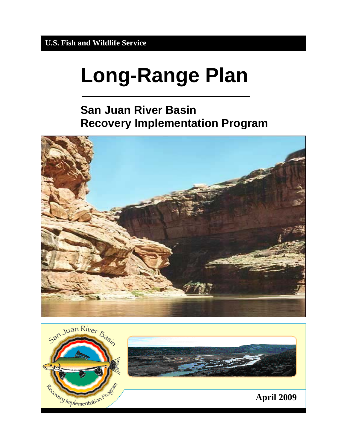# **Long-Range Plan**

# **San Juan River Basin Recovery Implementation Program**



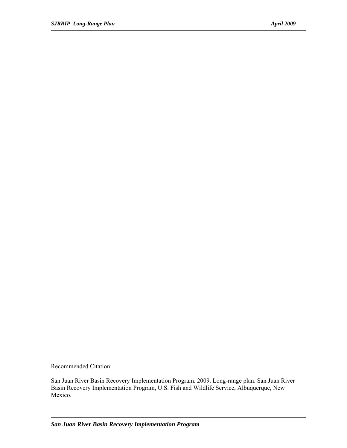Recommended Citation:

San Juan River Basin Recovery Implementation Program. 2009. Long-range plan. San Juan River Basin Recovery Implementation Program, U.S. Fish and Wildlife Service, Albuquerque, New Mexico.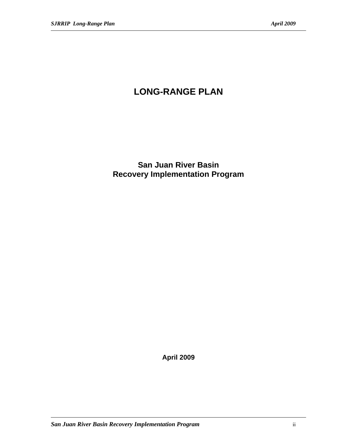# **LONG-RANGE PLAN**

**San Juan River Basin Recovery Implementation Program** 

**April 2009**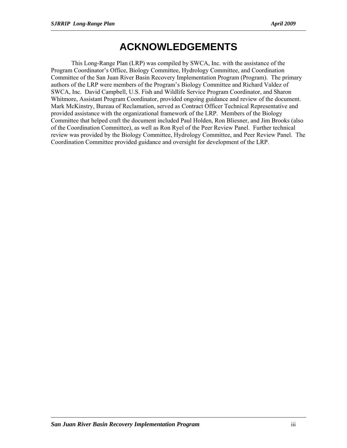# **ACKNOWLEDGEMENTS**

This Long-Range Plan (LRP) was compiled by SWCA, Inc. with the assistance of the Program Coordinator's Office, Biology Committee, Hydrology Committee, and Coordination Committee of the San Juan River Basin Recovery Implementation Program (Program). The primary authors of the LRP were members of the Program's Biology Committee and Richard Valdez of SWCA, Inc. David Campbell, U.S. Fish and Wildlife Service Program Coordinator, and Sharon Whitmore, Assistant Program Coordinator, provided ongoing guidance and review of the document. Mark McKinstry, Bureau of Reclamation, served as Contract Officer Technical Representative and provided assistance with the organizational framework of the LRP. Members of the Biology Committee that helped craft the document included Paul Holden, Ron Bliesner, and Jim Brooks (also of the Coordination Committee), as well as Ron Ryel of the Peer Review Panel. Further technical review was provided by the Biology Committee, Hydrology Committee, and Peer Review Panel. The Coordination Committee provided guidance and oversight for development of the LRP.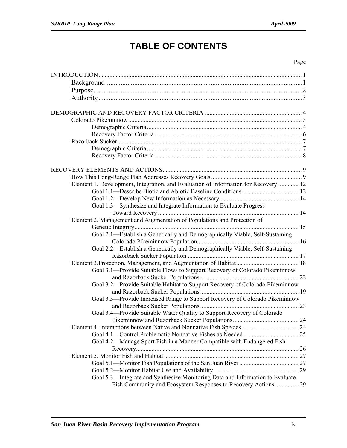# **TABLE OF CONTENTS**

#### Page

| Element 1. Development, Integration, and Evaluation of Information for Recovery  12 |    |
|-------------------------------------------------------------------------------------|----|
|                                                                                     |    |
|                                                                                     |    |
| Goal 1.3—Synthesize and Integrate Information to Evaluate Progress                  |    |
|                                                                                     |    |
| Element 2. Management and Augmentation of Populations and Protection of             |    |
|                                                                                     |    |
| Goal 2.1—Establish a Genetically and Demographically Viable, Self-Sustaining        |    |
|                                                                                     |    |
| Goal 2.2—Establish a Genetically and Demographically Viable, Self-Sustaining        |    |
|                                                                                     |    |
|                                                                                     |    |
| Goal 3.1—Provide Suitable Flows to Support Recovery of Colorado Pikeminnow          |    |
|                                                                                     |    |
| Goal 3.2-Provide Suitable Habitat to Support Recovery of Colorado Pikeminnow        |    |
|                                                                                     |    |
| Goal 3.3-Provide Increased Range to Support Recovery of Colorado Pikeminnow         |    |
|                                                                                     |    |
| Goal 3.4—Provide Suitable Water Quality to Support Recovery of Colorado             |    |
|                                                                                     | 24 |
|                                                                                     |    |
|                                                                                     |    |
| Goal 4.2—Manage Sport Fish in a Manner Compatible with Endangered Fish              |    |
|                                                                                     |    |
|                                                                                     |    |
|                                                                                     |    |
|                                                                                     |    |
| Goal 5.3-Integrate and Synthesize Monitoring Data and Information to Evaluate       |    |
| Fish Community and Ecosystem Responses to Recovery Actions  29                      |    |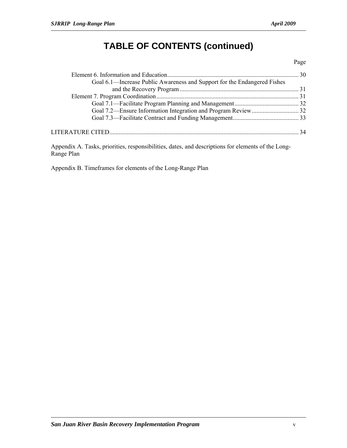# **TABLE OF CONTENTS (continued)**

#### Page

| Goal 6.1—Increase Public Awareness and Support for the Endangered Fishes |  |
|--------------------------------------------------------------------------|--|
|                                                                          |  |
|                                                                          |  |
|                                                                          |  |
|                                                                          |  |
|                                                                          |  |
|                                                                          |  |
|                                                                          |  |

Appendix A. Tasks, priorities, responsibilities, dates, and descriptions for elements of the Long-Range Plan

Appendix B. Timeframes for elements of the Long-Range Plan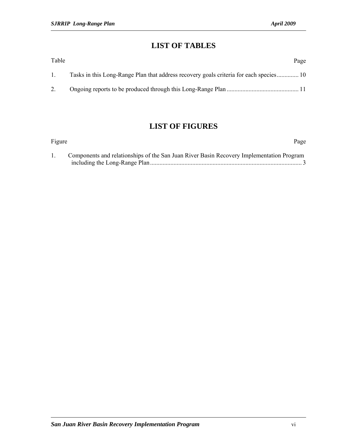## **LIST OF TABLES**

| Table | Page                                                                                   |
|-------|----------------------------------------------------------------------------------------|
| -1. - | Tasks in this Long-Range Plan that address recovery goals criteria for each species 10 |
|       |                                                                                        |

## **LIST OF FIGURES**

| Figure |                                                                                          | Page |
|--------|------------------------------------------------------------------------------------------|------|
|        | Components and relationships of the San Juan River Basin Recovery Implementation Program |      |
|        |                                                                                          |      |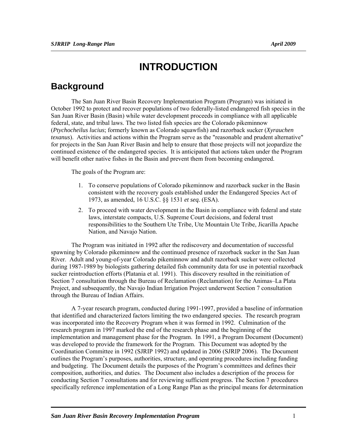# **INTRODUCTION**

## **Background**

The San Juan River Basin Recovery Implementation Program (Program) was initiated in October 1992 to protect and recover populations of two federally-listed endangered fish species in the San Juan River Basin (Basin) while water development proceeds in compliance with all applicable federal, state, and tribal laws. The two listed fish species are the Colorado pikeminnow (*Ptychocheilus lucius*; formerly known as Colorado squawfish) and razorback sucker (*Xyrauchen texanus*). Activities and actions within the Program serve as the "reasonable and prudent alternative" for projects in the San Juan River Basin and help to ensure that those projects will not jeopardize the continued existence of the endangered species. It is anticipated that actions taken under the Program will benefit other native fishes in the Basin and prevent them from becoming endangered.

The goals of the Program are:

- 1. To conserve populations of Colorado pikeminnow and razorback sucker in the Basin consistent with the recovery goals established under the Endangered Species Act of 1973, as amended, 16 U.S.C. §§ 1531 *et seq.* (ESA).
- 2. To proceed with water development in the Basin in compliance with federal and state laws, interstate compacts, U.S. Supreme Court decisions, and federal trust responsibilities to the Southern Ute Tribe, Ute Mountain Ute Tribe, Jicarilla Apache Nation, and Navajo Nation.

The Program was initiated in 1992 after the rediscovery and documentation of successful spawning by Colorado pikeminnow and the continued presence of razorback sucker in the San Juan River. Adult and young-of-year Colorado pikeminnow and adult razorback sucker were collected during 1987-1989 by biologists gathering detailed fish community data for use in potential razorback sucker reintroduction efforts (Platania et al. 1991). This discovery resulted in the reinitiation of Section 7 consultation through the Bureau of Reclamation (Reclamation) for the Animas–La Plata Project, and subsequently, the Navajo Indian Irrigation Project underwent Section 7 consultation through the Bureau of Indian Affairs.

A 7-year research program, conducted during 1991-1997, provided a baseline of information that identified and characterized factors limiting the two endangered species. The research program was incorporated into the Recovery Program when it was formed in 1992. Culmination of the research program in 1997 marked the end of the research phase and the beginning of the implementation and management phase for the Program. In 1991, a Program Document (Document) was developed to provide the framework for the Program. This Document was adopted by the Coordination Committee in 1992 (SJRIP 1992) and updated in 2006 (SJRIP 2006). The Document outlines the Program's purposes, authorities, structure, and operating procedures including funding and budgeting. The Document details the purposes of the Program's committees and defines their composition, authorities, and duties. The Document also includes a description of the process for conducting Section 7 consultations and for reviewing sufficient progress. The Section 7 procedures specifically reference implementation of a Long Range Plan as the principal means for determination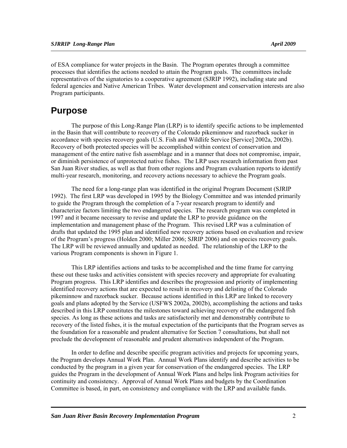of ESA compliance for water projects in the Basin. The Program operates through a committee processes that identifies the actions needed to attain the Program goals. The committees include representatives of the signatories to a cooperative agreement (SJRIP 1992), including state and federal agencies and Native American Tribes. Water development and conservation interests are also Program participants.

## **Purpose**

The purpose of this Long-Range Plan (LRP) is to identify specific actions to be implemented in the Basin that will contribute to recovery of the Colorado pikeminnow and razorback sucker in accordance with species recovery goals (U.S. Fish and Wildlife Service [Service] 2002a, 2002b). Recovery of both protected species will be accomplished within context of conservation and management of the entire native fish assemblage and in a manner that does not compromise, impair, or diminish persistence of unprotected native fishes. The LRP uses research information from past San Juan River studies, as well as that from other regions and Program evaluation reports to identify multi-year research, monitoring, and recovery actions necessary to achieve the Program goals.

The need for a long-range plan was identified in the original Program Document (SJRIP 1992). The first LRP was developed in 1995 by the Biology Committee and was intended primarily to guide the Program through the completion of a 7-year research program to identify and characterize factors limiting the two endangered species. The research program was completed in 1997 and it became necessary to revise and update the LRP to provide guidance on the implementation and management phase of the Program. This revised LRP was a culmination of drafts that updated the 1995 plan and identified new recovery actions based on evaluation and review of the Program's progress (Holden 2000; Miller 2006; SJRIP 2006) and on species recovery goals. The LRP will be reviewed annually and updated as needed. The relationship of the LRP to the various Program components is shown in Figure 1.

This LRP identifies actions and tasks to be accomplished and the time frame for carrying these out these tasks and activities consistent with species recovery and appropriate for evaluating Program progress. This LRP identifies and describes the progression and priority of implementing identified recovery actions that are expected to result in recovery and delisting of the Colorado pikeminnow and razorback sucker. Because actions identified in this LRP are linked to recovery goals and plans adopted by the Service (USFWS 2002a, 2002b), accomplishing the actions and tasks described in this LRP constitutes the milestones toward achieving recovery of the endangered fish species. As long as these actions and tasks are satisfactorily met and demonstrably contribute to recovery of the listed fishes, it is the mutual expectation of the participants that the Program serves as the foundation for a reasonable and prudent alternative for Section 7 consultations, but shall not preclude the development of reasonable and prudent alternatives independent of the Program.

In order to define and describe specific program activities and projects for upcoming years, the Program develops Annual Work Plan. Annual Work Plans identify and describe activities to be conducted by the program in a given year for conservation of the endangered species. The LRP guides the Program in the development of Annual Work Plans and helps link Program activities for continuity and consistency. Approval of Annual Work Plans and budgets by the Coordination Committee is based, in part, on consistency and compliance with the LRP and available funds.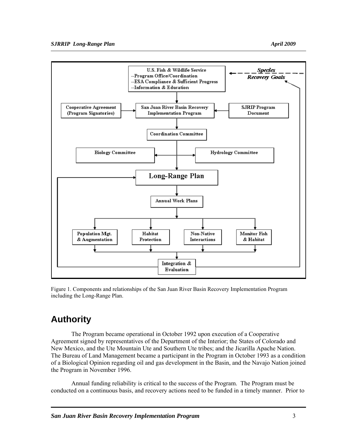

Figure 1. Components and relationships of the San Juan River Basin Recovery Implementation Program including the Long-Range Plan.

# **Authority**

The Program became operational in October 1992 upon execution of a Cooperative Agreement signed by representatives of the Department of the Interior; the States of Colorado and New Mexico, and the Ute Mountain Ute and Southern Ute tribes; and the Jicarilla Apache Nation. The Bureau of Land Management became a participant in the Program in October 1993 as a condition of a Biological Opinion regarding oil and gas development in the Basin, and the Navajo Nation joined the Program in November 1996.

Annual funding reliability is critical to the success of the Program. The Program must be conducted on a continuous basis, and recovery actions need to be funded in a timely manner. Prior to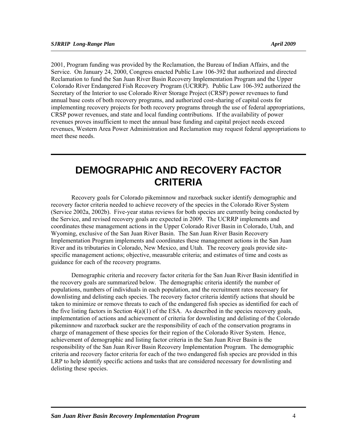2001, Program funding was provided by the Reclamation, the Bureau of Indian Affairs, and the Service. On January 24, 2000, Congress enacted Public Law 106-392 that authorized and directed Reclamation to fund the San Juan River Basin Recovery Implementation Program and the Upper Colorado River Endangered Fish Recovery Program (UCRRP). Public Law 106-392 authorized the Secretary of the Interior to use Colorado River Storage Project (CRSP) power revenues to fund annual base costs of both recovery programs, and authorized cost-sharing of capital costs for implementing recovery projects for both recovery programs through the use of federal appropriations, CRSP power revenues, and state and local funding contributions. If the availability of power revenues proves insufficient to meet the annual base funding and capital project needs exceed revenues, Western Area Power Administration and Reclamation may request federal appropriations to meet these needs.

# **DEMOGRAPHIC AND RECOVERY FACTOR CRITERIA**

Recovery goals for Colorado pikeminnow and razorback sucker identify demographic and recovery factor criteria needed to achieve recovery of the species in the Colorado River System (Service 2002a, 2002b). Five-year status reviews for both species are currently being conducted by the Service, and revised recovery goals are expected in 2009. The UCRRP implements and coordinates these management actions in the Upper Colorado River Basin in Colorado, Utah, and Wyoming, exclusive of the San Juan River Basin. The San Juan River Basin Recovery Implementation Program implements and coordinates these management actions in the San Juan River and its tributaries in Colorado, New Mexico, and Utah. The recovery goals provide sitespecific management actions; objective, measurable criteria; and estimates of time and costs as guidance for each of the recovery programs.

Demographic criteria and recovery factor criteria for the San Juan River Basin identified in the recovery goals are summarized below. The demographic criteria identify the number of populations, numbers of individuals in each population, and the recruitment rates necessary for downlisting and delisting each species. The recovery factor criteria identify actions that should be taken to minimize or remove threats to each of the endangered fish species as identified for each of the five listing factors in Section 4(a)(1) of the ESA. As described in the species recovery goals, implementation of actions and achievement of criteria for downlisting and delisting of the Colorado pikeminnow and razorback sucker are the responsibility of each of the conservation programs in charge of management of these species for their region of the Colorado River System. Hence, achievement of demographic and listing factor criteria in the San Juan River Basin is the responsibility of the San Juan River Basin Recovery Implementation Program. The demographic criteria and recovery factor criteria for each of the two endangered fish species are provided in this LRP to help identify specific actions and tasks that are considered necessary for downlisting and delisting these species.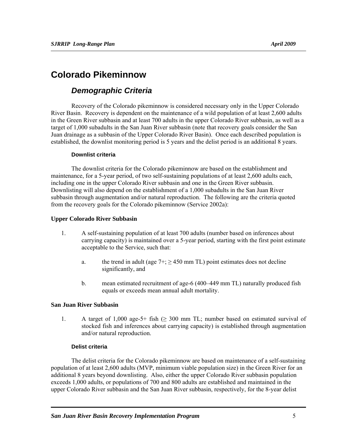## **Colorado Pikeminnow**

## *Demographic Criteria*

Recovery of the Colorado pikeminnow is considered necessary only in the Upper Colorado River Basin. Recovery is dependent on the maintenance of a wild population of at least 2,600 adults in the Green River subbasin and at least 700 adults in the upper Colorado River subbasin, as well as a target of 1,000 subadults in the San Juan River subbasin (note that recovery goals consider the San Juan drainage as a subbasin of the Upper Colorado River Basin). Once each described population is established, the downlist monitoring period is 5 years and the delist period is an additional 8 years.

#### **Downlist criteria**

The downlist criteria for the Colorado pikeminnow are based on the establishment and maintenance, for a 5-year period, of two self-sustaining populations of at least 2,600 adults each, including one in the upper Colorado River subbasin and one in the Green River subbasin. Downlisting will also depend on the establishment of a 1,000 subadults in the San Juan River subbasin through augmentation and/or natural reproduction. The following are the criteria quoted from the recovery goals for the Colorado pikeminnow (Service 2002a):

#### **Upper Colorado River Subbasin**

- 1. A self-sustaining population of at least 700 adults (number based on inferences about carrying capacity) is maintained over a 5-year period, starting with the first point estimate acceptable to the Service, such that:
	- a. the trend in adult (age  $7+$ ;  $\geq$  450 mm TL) point estimates does not decline significantly, and
	- b. mean estimated recruitment of age-6 (400–449 mm TL) naturally produced fish equals or exceeds mean annual adult mortality.

#### **San Juan River Subbasin**

1. A target of 1,000 age-5+ fish  $(≥ 300$  mm TL; number based on estimated survival of stocked fish and inferences about carrying capacity) is established through augmentation and/or natural reproduction.

#### **Delist criteria**

The delist criteria for the Colorado pikeminnow are based on maintenance of a self-sustaining population of at least 2,600 adults (MVP, minimum viable population size) in the Green River for an additional 8 years beyond downlisting. Also, either the upper Colorado River subbasin population exceeds 1,000 adults, or populations of 700 and 800 adults are established and maintained in the upper Colorado River subbasin and the San Juan River subbasin, respectively, for the 8-year delist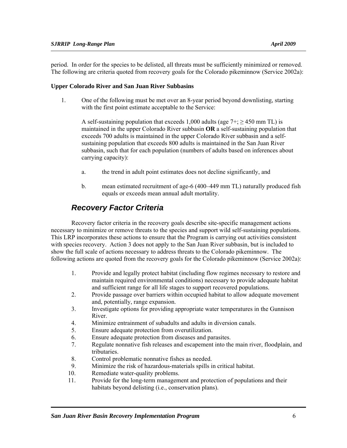period. In order for the species to be delisted, all threats must be sufficiently minimized or removed. The following are criteria quoted from recovery goals for the Colorado pikeminnow (Service 2002a):

#### **Upper Colorado River and San Juan River Subbasins**

1. One of the following must be met over an 8-year period beyond downlisting, starting with the first point estimate acceptable to the Service:

A self-sustaining population that exceeds 1,000 adults (age  $7+$ ;  $\geq$  450 mm TL) is maintained in the upper Colorado River subbasin **OR** a self-sustaining population that exceeds 700 adults is maintained in the upper Colorado River subbasin and a selfsustaining population that exceeds 800 adults is maintained in the San Juan River subbasin, such that for each population (numbers of adults based on inferences about carrying capacity):

- a. the trend in adult point estimates does not decline significantly, and
- b. mean estimated recruitment of age-6 (400–449 mm TL) naturally produced fish equals or exceeds mean annual adult mortality.

## *Recovery Factor Criteria*

Recovery factor criteria in the recovery goals describe site-specific management actions necessary to minimize or remove threats to the species and support wild self-sustaining populations. This LRP incorporates these actions to ensure that the Program is carrying out activities consistent with species recovery. Action 3 does not apply to the San Juan River subbasin, but is included to show the full scale of actions necessary to address threats to the Colorado pikeminnow. The following actions are quoted from the recovery goals for the Colorado pikeminnow (Service 2002a):

- 1. Provide and legally protect habitat (including flow regimes necessary to restore and maintain required environmental conditions) necessary to provide adequate habitat and sufficient range for all life stages to support recovered populations.
- 2. Provide passage over barriers within occupied habitat to allow adequate movement and, potentially, range expansion.
- 3. Investigate options for providing appropriate water temperatures in the Gunnison River.
- 4. Minimize entrainment of subadults and adults in diversion canals.
- 5. Ensure adequate protection from overutilization.
- 6. Ensure adequate protection from diseases and parasites.
- 7. Regulate nonnative fish releases and escapement into the main river, floodplain, and tributaries.
- 8. Control problematic nonnative fishes as needed.
- 9. Minimize the risk of hazardous-materials spills in critical habitat.
- 10. Remediate water-quality problems.
- 11. Provide for the long-term management and protection of populations and their habitats beyond delisting (i.e., conservation plans).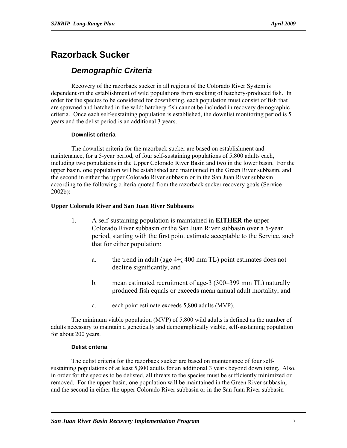## **Razorback Sucker**

## *Demographic Criteria*

Recovery of the razorback sucker in all regions of the Colorado River System is dependent on the establishment of wild populations from stocking of hatchery-produced fish. In order for the species to be considered for downlisting, each population must consist of fish that are spawned and hatched in the wild; hatchery fish cannot be included in recovery demographic criteria. Once each self-sustaining population is established, the downlist monitoring period is 5 years and the delist period is an additional 3 years.

#### **Downlist criteria**

The downlist criteria for the razorback sucker are based on establishment and maintenance, for a 5-year period, of four self-sustaining populations of 5,800 adults each, including two populations in the Upper Colorado River Basin and two in the lower basin. For the upper basin, one population will be established and maintained in the Green River subbasin, and the second in either the upper Colorado River subbasin or in the San Juan River subbasin according to the following criteria quoted from the razorback sucker recovery goals (Service 2002b):

#### **Upper Colorado River and San Juan River Subbasins**

- 1. A self-sustaining population is maintained in **EITHER** the upper Colorado River subbasin or the San Juan River subbasin over a 5-year period, starting with the first point estimate acceptable to the Service, such that for either population:
	- a. the trend in adult (age 4+; 400 mm TL) point estimates does not decline significantly, and
	- b. mean estimated recruitment of age-3 (300–399 mm TL) naturally produced fish equals or exceeds mean annual adult mortality, and
	- c. each point estimate exceeds 5,800 adults (MVP).

The minimum viable population (MVP) of 5,800 wild adults is defined as the number of adults necessary to maintain a genetically and demographically viable, self-sustaining population for about 200 years.

#### **Delist criteria**

The delist criteria for the razorback sucker are based on maintenance of four selfsustaining populations of at least 5,800 adults for an additional 3 years beyond downlisting. Also, in order for the species to be delisted, all threats to the species must be sufficiently minimized or removed. For the upper basin, one population will be maintained in the Green River subbasin, and the second in either the upper Colorado River subbasin or in the San Juan River subbasin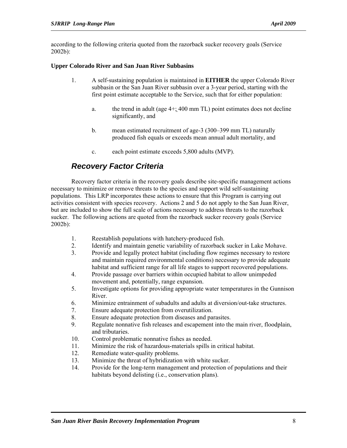according to the following criteria quoted from the razorback sucker recovery goals (Service 2002b):

#### **Upper Colorado River and San Juan River Subbasins**

- 1. A self-sustaining population is maintained in **EITHER** the upper Colorado River subbasin or the San Juan River subbasin over a 3-year period, starting with the first point estimate acceptable to the Service, such that for either population:
	- a. the trend in adult (age 4+; 400 mm TL) point estimates does not decline significantly, and
	- b. mean estimated recruitment of age-3 (300–399 mm TL) naturally produced fish equals or exceeds mean annual adult mortality, and
	- c. each point estimate exceeds 5,800 adults (MVP).

## *Recovery Factor Criteria*

Recovery factor criteria in the recovery goals describe site-specific management actions necessary to minimize or remove threats to the species and support wild self-sustaining populations. This LRP incorporates these actions to ensure that this Program is carrying out activities consistent with species recovery. Actions 2 and 5 do not apply to the San Juan River, but are included to show the full scale of actions necessary to address threats to the razorback sucker. The following actions are quoted from the razorback sucker recovery goals (Service 2002b):

- 1. Reestablish populations with hatchery-produced fish.
- 2. Identify and maintain genetic variability of razorback sucker in Lake Mohave.
- 3. Provide and legally protect habitat (including flow regimes necessary to restore and maintain required environmental conditions) necessary to provide adequate habitat and sufficient range for all life stages to support recovered populations.
- 4. Provide passage over barriers within occupied habitat to allow unimpeded movement and, potentially, range expansion.
- 5. Investigate options for providing appropriate water temperatures in the Gunnison River.
- 6. Minimize entrainment of subadults and adults at diversion/out-take structures.
- 7. Ensure adequate protection from overutilization.
- 8. Ensure adequate protection from diseases and parasites.
- 9. Regulate nonnative fish releases and escapement into the main river, floodplain, and tributaries.
- 10. Control problematic nonnative fishes as needed.
- 11. Minimize the risk of hazardous-materials spills in critical habitat.
- 12. Remediate water-quality problems.
- 13. Minimize the threat of hybridization with white sucker.
- 14. Provide for the long-term management and protection of populations and their habitats beyond delisting (i.e., conservation plans).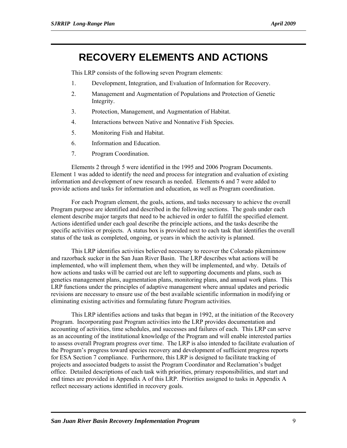# **RECOVERY ELEMENTS AND ACTIONS**

This LRP consists of the following seven Program elements:

- 1. Development, Integration, and Evaluation of Information for Recovery.
- 2. Management and Augmentation of Populations and Protection of Genetic Integrity.
- 3. Protection, Management, and Augmentation of Habitat.
- 4. Interactions between Native and Nonnative Fish Species.
- 5. Monitoring Fish and Habitat.
- 6. Information and Education.
- 7. Program Coordination.

Elements 2 through 5 were identified in the 1995 and 2006 Program Documents. Element 1 was added to identify the need and process for integration and evaluation of existing information and development of new research as needed. Elements 6 and 7 were added to provide actions and tasks for information and education, as well as Program coordination.

For each Program element, the goals, actions, and tasks necessary to achieve the overall Program purpose are identified and described in the following sections. The goals under each element describe major targets that need to be achieved in order to fulfill the specified element. Actions identified under each goal describe the principle actions, and the tasks describe the specific activities or projects. A status box is provided next to each task that identifies the overall status of the task as completed, ongoing, or years in which the activity is planned.

This LRP identifies activities believed necessary to recover the Colorado pikeminnow and razorback sucker in the San Juan River Basin. The LRP describes what actions will be implemented, who will implement them, when they will be implemented, and why. Details of how actions and tasks will be carried out are left to supporting documents and plans, such as genetics management plans, augmentation plans, monitoring plans, and annual work plans. This LRP functions under the principles of adaptive management where annual updates and periodic revisions are necessary to ensure use of the best available scientific information in modifying or eliminating existing activities and formulating future Program activities.

This LRP identifies actions and tasks that began in 1992, at the initiation of the Recovery Program. Incorporating past Program activities into the LRP provides documentation and accounting of activities, time schedules, and successes and failures of each. This LRP can serve as an accounting of the institutional knowledge of the Program and will enable interested parties to assess overall Program progress over time. The LRP is also intended to facilitate evaluation of the Program's progress toward species recovery and development of sufficient progress reports for ESA Section 7 compliance. Furthermore, this LRP is designed to facilitate tracking of projects and associated budgets to assist the Program Coordinator and Reclamation's budget office. Detailed descriptions of each task with priorities, primary responsibilities, and start and end times are provided in Appendix A of this LRP. Priorities assigned to tasks in Appendix A reflect necessary actions identified in recovery goals.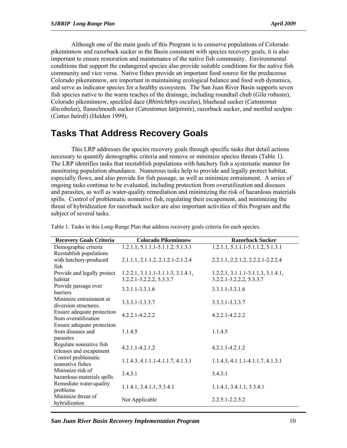Although one of the main goals of this Program is to conserve populations of Colorado pikeminnow and razorback sucker in the Basin consistent with species recovery goals, it is also important to ensure restoration and maintenance of the native fish community. Environmental conditions that support the endangered species also provide suitable conditions for the native fish community and vice versa. Native fishes provide an important food source for the predaceous Colorado pikeminnow, are important in maintaining ecological balance and food web dynamics, and serve as indicator species for a healthy ecosystem. The San Juan River Basin supports seven fish species native to the warm reaches of the drainage, including roundtail chub (*Gila robusta*), Colorado pikeminnow, speckled dace (*Rhinichthys osculus*), bluehead sucker (*Catostomus discobolus*), flannelmouth sucker (*Catostomus latipinnis*), razorback sucker, and mottled sculpin (*Cottus bairdi*) (Holden 1999).

## **Tasks That Address Recovery Goals**

This LRP addresses the species recovery goals through specific tasks that detail actions necessary to quantify demographic criteria and remove or minimize species threats (Table 1). The LRP identifies tasks that reestablish populations with hatchery fish a systematic manner for monitoring population abundance. Numerous tasks help to provide and legally protect habitat, especially flows, and also provide for fish passage, as well as minimize entrainment. A series of ongoing tasks continue to be evaluated, including protection from overutilization and diseases and parasites, as well as water-quality remediation and minimizing the risk of hazardous materials spills. Control of problematic nonnative fish, regulating their escapement, and minimizing the threat of hybridization for razorback sucker are also important activities of this Program and the subject of several tasks.

| <b>Recovery Goals Criteria</b>          | <b>Colorado Pikeminnow</b>            | <b>Razorback Sucker</b>               |
|-----------------------------------------|---------------------------------------|---------------------------------------|
| Demographic criteria                    | $1.2.1.1, 5.1.1.1 - 5.1.1.2, 5.1.3.1$ | $1.2.1.1, 5.1.1.1 - 5.1.1.2, 5.1.3.1$ |
| Reestablish populations                 |                                       |                                       |
| with hatchery-produced                  | 2.1.1.1, 2.1.1.2, 2.1.2.1-2.1.2.4     | 2.2.1.1, 2.2.1.2, 2.2.2.1-2.2.2.4     |
| fish                                    |                                       |                                       |
| Provide and legally protect             | $1.2.2.1, 3.1.1.1-3.1.1.3, 3.1.4.1,$  | $1.2.2.1, 3.1.1.1-3.1.1.3, 3.1.4.1,$  |
| habitat                                 | 3.2.2.1-3.2.2.2, 5.3.3.7              | 3.2.2.1-3.2.2.2, 5.3.3.7              |
| Provide passage over                    | $3.3.1.1 - 3.3.1.6$                   | $3.3.1.1 - 3.3.1.6$                   |
| barriers                                |                                       |                                       |
| Minimize entrainment at                 | 3.3.3.1-3.3.3.7                       | 3.3.3.1-3.3.3.7                       |
| diversion structures.                   |                                       |                                       |
| Ensure adequate protection              | 4221-4222                             | $4.2.2.1 - 4.2.2.2$                   |
| from overutilization                    |                                       |                                       |
| Ensure adequate protection              |                                       |                                       |
| from diseases and                       | 1145                                  | 1.1.4.5                               |
| parasites                               |                                       |                                       |
| Regulate nonnative fish                 | $4.2.1.1 - 4.2.1.2$                   | $4.2.1.1 - 4.2.1.2$                   |
| releases and escapement                 |                                       |                                       |
| Control problematic<br>nonnative fishes | $1.1.4.3, 4.1.1.1-4.1.1.7, 4.1.3.1$   | $1.1.4.3, 4.1.1.1-4.1.1.7, 4.1.3.1$   |
| Minimize risk of                        |                                       |                                       |
| hazardous-materials spills              | 3.4.3.1                               | 3.4.3.1                               |
| Remediate water-quality                 |                                       |                                       |
| problems                                | 1.1.4.1, 3.4.1.1, 5.3.4.1             | 1.1.4.1, 3.4.1.1, 5.3.4.1             |
| Minimize threat of                      |                                       |                                       |
| hybridization                           | Not Applicable                        | 2.2.5.1-2.2.5.2                       |

Table 1. Tasks in this Long-Range Plan that address recovery goals criteria for each species.

*San Juan River Basin Recovery Implementation Program* 10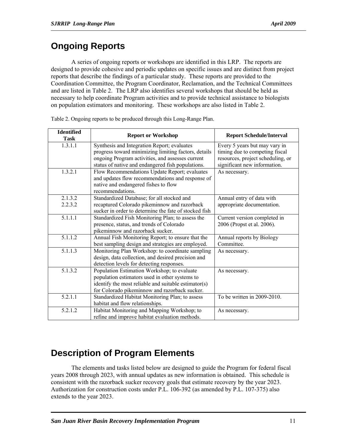# **Ongoing Reports**

 A series of ongoing reports or workshops are identified in this LRP. The reports are designed to provide cohesive and periodic updates on specific issues and are distinct from project reports that describe the findings of a particular study. These reports are provided to the Coordination Committee, the Program Coordinator, Reclamation, and the Technical Committees and are listed in Table 2. The LRP also identifies several workshops that should be held as necessary to help coordinate Program activities and to provide technical assistance to biologists on population estimators and monitoring. These workshops are also listed in Table 2.

| <b>Identified</b><br><b>Task</b> | <b>Report or Workshop</b>                             | <b>Report Schedule/Interval</b>   |
|----------------------------------|-------------------------------------------------------|-----------------------------------|
| 1.3.1.1                          | Synthesis and Integration Report; evaluates           | Every 5 years but may vary in     |
|                                  | progress toward minimizing limiting factors, details  | timing due to competing fiscal    |
|                                  | ongoing Program activities, and assesses current      | resources, project scheduling, or |
|                                  | status of native and endangered fish populations.     | significant new information.      |
| 1.3.2.1                          | Flow Recommendations Update Report; evaluates         | As necessary.                     |
|                                  | and updates flow recommendations and response of      |                                   |
|                                  | native and endangered fishes to flow                  |                                   |
|                                  | recommendations.                                      |                                   |
| 2.1.3.2                          | Standardized Database; for all stocked and            | Annual entry of data with         |
| 2.2.3.2                          | recaptured Colorado pikeminnow and razorback          | appropriate documentation.        |
|                                  | sucker in order to determine the fate of stocked fish |                                   |
| 5.1.1.1                          | Standardized Fish Monitoring Plan; to assess the      | Current version completed in      |
|                                  | presence, status, and trends of Colorado              | 2006 (Propst et al. 2006).        |
|                                  | pikeminnow and razorback sucker.                      |                                   |
| 5.1.1.2                          | Annual Fish Monitoring Report; to ensure that the     | Annual reports by Biology         |
|                                  | best sampling design and strategies are employed.     | Committee.                        |
| 5.1.1.3                          | Monitoring Plan Workshop: to coordinate sampling      | As necessary.                     |
|                                  | design, data collection, and desired precision and    |                                   |
|                                  | detection levels for detecting responses.             |                                   |
| 5.1.3.2                          | Population Estimation Workshop; to evaluate           | As necessary.                     |
|                                  | population estimators used in other systems to        |                                   |
|                                  | identify the most reliable and suitable estimator(s)  |                                   |
|                                  | for Colorado pikeminnow and razorback sucker.         |                                   |
| $\overline{5.2.1.1}$             | Standardized Habitat Monitoring Plan; to assess       | To be written in 2009-2010.       |
|                                  | habitat and flow relationships.                       |                                   |
| 5.2.1.2                          | Habitat Monitoring and Mapping Workshop; to           | As necessary.                     |
|                                  | refine and improve habitat evaluation methods.        |                                   |

Table 2. Ongoing reports to be produced through this Long-Range Plan.

# **Description of Program Elements**

The elements and tasks listed below are designed to guide the Program for federal fiscal years 2008 through 2023, with annual updates as new information is obtained. This schedule is consistent with the razorback sucker recovery goals that estimate recovery by the year 2023. Authorization for construction costs under P.L. 106-392 (as amended by P.L. 107-375) also extends to the year 2023.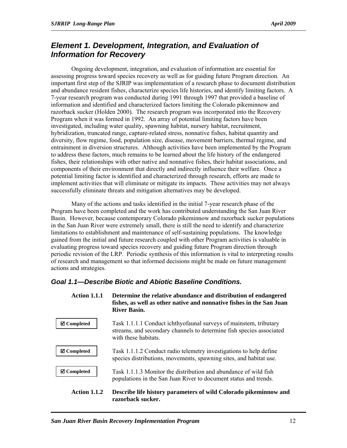## *Element 1. Development, Integration, and Evaluation of Information for Recovery*

Ongoing development, integration, and evaluation of information are essential for assessing progress toward species recovery as well as for guiding future Program direction. An important first step of the SJRIP was implementation of a research phase to document distribution and abundance resident fishes, characterize species life histories, and identify limiting factors. A 7-year research program was conducted during 1991 through 1997 that provided a baseline of information and identified and characterized factors limiting the Colorado pikeminnow and razorback sucker (Holden 2000). The research program was incorporated into the Recovery Program when it was formed in 1992. An array of potential limiting factors have been investigated, including water quality, spawning habitat, nursery habitat, recruitment, hybridization, truncated range, capture-related stress, nonnative fishes, habitat quantity and diversity, flow regime, food, population size, disease, movement barriers, thermal regime, and entrainment in diversion structures. Although activities have been implemented by the Program to address these factors, much remains to be learned about the life history of the endangered fishes, their relationships with other native and nonnative fishes, their habitat associations, and components of their environment that directly and indirectly influence their welfare. Once a potential limiting factor is identified and characterized through research, efforts are made to implement activities that will eliminate or mitigate its impacts. These activities may not always successfully eliminate threats and mitigation alternatives may be developed.

Many of the actions and tasks identified in the initial 7-year research phase of the Program have been completed and the work has contributed understanding the San Juan River Basin. However, because contemporary Colorado pikeminnow and razorback sucker populations in the San Juan River were extremely small, there is still the need to identify and characterize limitations to establishment and maintenance of self-sustaining populations. The knowledge gained from the initial and future research coupled with other Program activities is valuable in evaluating progress toward species recovery and guiding future Program direction through periodic revision of the LRP. Periodic synthesis of this information is vital to interpreting results of research and management so that informed decisions might be made on future management actions and strategies.

## *Goal 1.1—Describe Biotic and Abiotic Baseline Conditions.*

| Action 1.1.1        | Determine the relative abundance and distribution of endangered<br>fishes, as well as other native and nonnative fishes in the San Juan<br>River Basin.           |
|---------------------|-------------------------------------------------------------------------------------------------------------------------------------------------------------------|
| <b>⊠</b> Completed  | Task 1.1.1.1 Conduct ichthyofaunal surveys of mainstem, tributary<br>streams, and secondary channels to determine fish species associated<br>with these habitats. |
| <b>⊠</b> Completed  | Task 1.1.1.2 Conduct radio telemetry investigations to help define<br>species distributions, movements, spawning sites, and habitat use.                          |
| <b>Ø</b> Completed  | Task 1.1.1.3 Monitor the distribution and abundance of wild fish<br>populations in the San Juan River to document status and trends.                              |
| <b>Action 1.1.2</b> | Describe life history parameters of wild Colorado pikeminnow and<br>razorback sucker.                                                                             |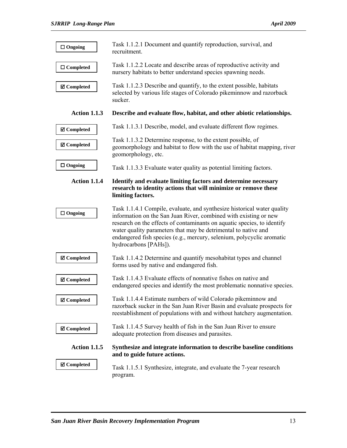| $\Box$ Ongoing        | Task 1.1.2.1 Document and quantify reproduction, survival, and<br>recruitment.                                                                                                                                                                                                                                                                                                             |
|-----------------------|--------------------------------------------------------------------------------------------------------------------------------------------------------------------------------------------------------------------------------------------------------------------------------------------------------------------------------------------------------------------------------------------|
| $\Box$ Completed      | Task 1.1.2.2 Locate and describe areas of reproductive activity and<br>nursery habitats to better understand species spawning needs.                                                                                                                                                                                                                                                       |
| <b>Ø</b> Completed    | Task 1.1.2.3 Describe and quantify, to the extent possible, habitats<br>selected by various life stages of Colorado pikeminnow and razorback<br>sucker.                                                                                                                                                                                                                                    |
| <b>Action 1.1.3</b>   | Describe and evaluate flow, habitat, and other abiotic relationships.                                                                                                                                                                                                                                                                                                                      |
| <b>Ø</b> Completed    | Task 1.1.3.1 Describe, model, and evaluate different flow regimes.                                                                                                                                                                                                                                                                                                                         |
| <b>Ø</b> Completed    | Task 1.1.3.2 Determine response, to the extent possible, of<br>geomorphology and habitat to flow with the use of habitat mapping, river<br>geomorphology, etc.                                                                                                                                                                                                                             |
| $\Box$ Ongoing        | Task 1.1.3.3 Evaluate water quality as potential limiting factors.                                                                                                                                                                                                                                                                                                                         |
| <b>Action 1.1.4</b>   | Identify and evaluate limiting factors and determine necessary<br>research to identity actions that will minimize or remove these                                                                                                                                                                                                                                                          |
|                       | limiting factors.                                                                                                                                                                                                                                                                                                                                                                          |
| $\Box$ Ongoing        | Task 1.1.4.1 Compile, evaluate, and synthesize historical water quality<br>information on the San Juan River, combined with existing or new<br>research on the effects of contaminants on aquatic species, to identify<br>water quality parameters that may be detrimental to native and<br>endangered fish species (e.g., mercury, selenium, polycyclic aromatic<br>hydrocarbons [PAHs]). |
| <b>Ø</b> Completed    | Task 1.1.4.2 Determine and quantify mesohabitat types and channel<br>forms used by native and endangered fish.                                                                                                                                                                                                                                                                             |
| <b>Ø</b> Completed    | Task 1.1.4.3 Evaluate effects of nonnative fishes on native and<br>endangered species and identify the most problematic nonnative species.                                                                                                                                                                                                                                                 |
| <b>Ø</b> Completed    | Task 1.1.4.4 Estimate numbers of wild Colorado pikeminnow and<br>razorback sucker in the San Juan River Basin and evaluate prospects for<br>reestablishment of populations with and without hatchery augmentation.                                                                                                                                                                         |
| <b>Ø</b> Completed    | Task 1.1.4.5 Survey health of fish in the San Juan River to ensure<br>adequate protection from diseases and parasites.                                                                                                                                                                                                                                                                     |
| <b>Action 1.1.5</b>   | Synthesize and integrate information to describe baseline conditions<br>and to guide future actions.                                                                                                                                                                                                                                                                                       |
| $\boxtimes$ Completed | Task 1.1.5.1 Synthesize, integrate, and evaluate the 7-year research<br>program.                                                                                                                                                                                                                                                                                                           |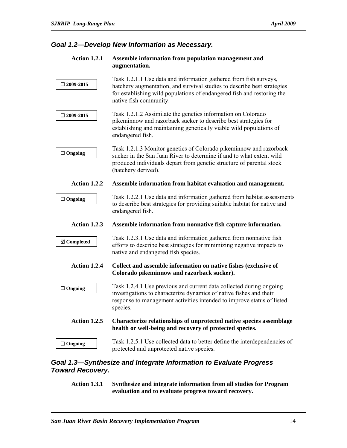## *Goal 1.2—Develop New Information as Necessary.*

#### **Action 1.2.1 Assemble information from population management and augmentation.**

|                     | Task 1.2.1.1 Use data and information gathered from fish surveys,                                                                                                                                                                         |  |
|---------------------|-------------------------------------------------------------------------------------------------------------------------------------------------------------------------------------------------------------------------------------------|--|
| $\square$ 2009-2015 | hatchery augmentation, and survival studies to describe best strategies<br>for establishing wild populations of endangered fish and restoring the<br>native fish community.                                                               |  |
| $\square$ 2009-2015 | Task 1.2.1.2 Assimilate the genetics information on Colorado<br>pikeminnow and razorback sucker to describe best strategies for<br>establishing and maintaining genetically viable wild populations of<br>endangered fish.                |  |
| $\Box$ Ongoing      | Task 1.2.1.3 Monitor genetics of Colorado pikeminnow and razorback<br>sucker in the San Juan River to determine if and to what extent wild<br>produced individuals depart from genetic structure of parental stock<br>(hatchery derived). |  |
| Action 1.2.2        | Assemble information from habitat evaluation and management.                                                                                                                                                                              |  |
| $\Box$ Ongoing      | Task 1.2.2.1 Use data and information gathered from habitat assessments<br>to describe best strategies for providing suitable habitat for native and<br>endangered fish.                                                                  |  |
| <b>Action 1.2.3</b> |                                                                                                                                                                                                                                           |  |
|                     | Assemble information from nonnative fish capture information.                                                                                                                                                                             |  |
| <b>Ø</b> Completed  | Task 1.2.3.1 Use data and information gathered from nonnative fish<br>efforts to describe best strategies for minimizing negative impacts to<br>native and endangered fish species.                                                       |  |
| Action 1.2.4        | Collect and assemble information on native fishes (exclusive of<br>Colorado pikeminnow and razorback sucker).                                                                                                                             |  |
| $\Box$ Ongoing      | Task 1.2.4.1 Use previous and current data collected during ongoing<br>investigations to characterize dynamics of native fishes and their<br>response to management activities intended to improve status of listed<br>species.           |  |
| <b>Action 1.2.5</b> | Characterize relationships of unprotected native species assemblage<br>health or well-being and recovery of protected species.                                                                                                            |  |
| $\Box$ Ongoing      | Task 1.2.5.1 Use collected data to better define the interdependencies of<br>protected and unprotected native species.                                                                                                                    |  |

## *Goal 1.3—Synthesize and Integrate Information to Evaluate Progress Toward Recovery.*

**Action 1.3.1 Synthesize and integrate information from all studies for Program evaluation and to evaluate progress toward recovery.**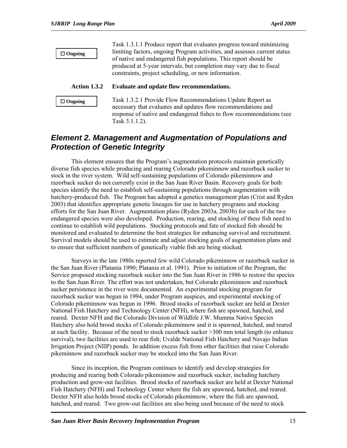**Ongoing**

Task 1.3.1.1 Produce report that evaluates progress toward minimizing limiting factors, ongoing Program activities, and assesses current status of native and endangered fish populations. This report should be produced at 5-year intervals, but completion may vary due to fiscal constraints, project scheduling, or new information.

#### **Action 1.3.2 Evaluate and update flow recommendations.**

```
 Ongoing
```
Task 1.3.2.1 Provide Flow Recommendations Update Report as necessary that evaluates and updates flow recommendations and response of native and endangered fishes to flow recommendations (see Task 3.1.1.2).

## *Element 2. Management and Augmentation of Populations and Protection of Genetic Integrity*

This element ensures that the Program's augmentation protocols maintain genetically diverse fish species while producing and rearing Colorado pikeminnow and razorback sucker to stock in the river system. Wild self-sustaining populations of Colorado pikeminnow and razorback sucker do not currently exist in the San Juan River Basin. Recovery goals for both species identify the need to establish self-sustaining populations through augmentation with hatchery-produced fish. The Program has adopted a genetics management plan (Crist and Ryden 2003) that identifies appropriate genetic lineages for use in hatchery programs and stocking efforts for the San Juan River. Augmentation plans (Ryden 2003a, 2003b) for each of the two endangered species were also developed. Production, rearing, and stocking of these fish need to continue to establish wild populations. Stocking protocols and fate of stocked fish should be monitored and evaluated to determine the best strategies for enhancing survival and recruitment. Survival models should be used to estimate and adjust stocking goals of augmentation plans and to ensure that sufficient numbers of genetically viable fish are being stocked.

Surveys in the late 1980s reported few wild Colorado pikeminnow or razorback sucker in the San Juan River (Platania 1990; Platania et al. 1991). Prior to initiation of the Program, the Service proposed stocking razorback sucker into the San Juan River in 1986 to restore the species to the San Juan River. The effort was not undertaken, but Colorado pikeminnow and razorback sucker persistence in the river were documented. An experimental stocking program for razorback sucker was begun in 1994, under Program auspices, and experimental stocking of Colorado pikeminnow was begun in 1996. Brood stocks of razorback sucker are held at Dexter National Fish Hatchery and Technology Center (NFH), where fish are spawned, hatched, and reared. Dexter NFH and the Colorado Division of Wildlife J.W. Mumma Native Species Hatchery also hold brood stocks of Colorado pikeminnow and it is spawned, hatched, and reared at each facility. Because of the need to stock razorback sucker >300 mm total length (to enhance survival), two facilities are used to rear fish; Uvalde National Fish Hatchery and Navajo Indian Irrigation Project (NIIP) ponds. In addition excess fish from other facilities that raise Colorado pikeminnow and razorback sucker may be stocked into the San Juan River.

Since its inception, the Program continues to identify and develop strategies for producing and rearing both Colorado pikeminnow and razorback sucker, including hatchery production and grow-out facilities. Brood stocks of razorback sucker are held at Dexter National Fish Hatchery (NFH) and Technology Center where the fish are spawned, hatched, and reared. Dexter NFH also holds brood stocks of Colorado pikeminnow, where the fish are spawned, hatched, and reared. Two grow-out facilities are also being used because of the need to stock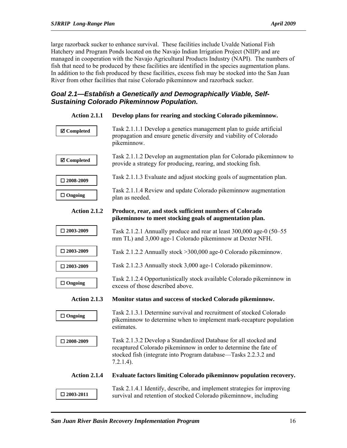large razorback sucker to enhance survival. These facilities include Uvalde National Fish Hatchery and Program Ponds located on the Navajo Indian Irrigation Project (NIIP) and are managed in cooperation with the Navajo Agricultural Products Industry (NAPI). The numbers of fish that need to be produced by these facilities are identified in the species augmentation plans. In addition to the fish produced by these facilities, excess fish may be stocked into the San Juan River from other facilities that raise Colorado pikeminnow and razorback sucker.

## *Goal 2.1—Establish a Genetically and Demographically Viable, Self-Sustaining Colorado Pikeminnow Population.*

| <b>Action 2.1.1</b> | Develop plans for rearing and stocking Colorado pikeminnow.                                                                                                                                                             |
|---------------------|-------------------------------------------------------------------------------------------------------------------------------------------------------------------------------------------------------------------------|
| <b>Ø</b> Completed  | Task 2.1.1.1 Develop a genetics management plan to guide artificial<br>propagation and ensure genetic diversity and viability of Colorado<br>pikeminnow.                                                                |
| <b>Ø</b> Completed  | Task 2.1.1.2 Develop an augmentation plan for Colorado pikeminnow to<br>provide a strategy for producing, rearing, and stocking fish.                                                                                   |
| $\square$ 2008-2009 | Task 2.1.1.3 Evaluate and adjust stocking goals of augmentation plan.                                                                                                                                                   |
| $\Box$ Ongoing      | Task 2.1.1.4 Review and update Colorado pikeminnow augmentation<br>plan as needed.                                                                                                                                      |
| <b>Action 2.1.2</b> | Produce, rear, and stock sufficient numbers of Colorado<br>pikeminnow to meet stocking goals of augmentation plan.                                                                                                      |
| $\square$ 2003-2009 | Task 2.1.2.1 Annually produce and rear at least 300,000 age-0 (50–55)<br>mm TL) and 3,000 age-1 Colorado pikeminnow at Dexter NFH.                                                                                      |
| $\square$ 2003-2009 | Task 2.1.2.2 Annually stock > 300,000 age-0 Colorado pikeminnow.                                                                                                                                                        |
| $\square$ 2003-2009 | Task 2.1.2.3 Annually stock 3,000 age-1 Colorado pikeminnow.                                                                                                                                                            |
| $\Box$ Ongoing      | Task 2.1.2.4 Opportunistically stock available Colorado pikeminnow in<br>excess of those described above.                                                                                                               |
| <b>Action 2.1.3</b> | Monitor status and success of stocked Colorado pikeminnow.                                                                                                                                                              |
| $\Box$ Ongoing      | Task 2.1.3.1 Determine survival and recruitment of stocked Colorado<br>pikeminnow to determine when to implement mark-recapture population<br>estimates.                                                                |
| $\square$ 2008-2009 | Task 2.1.3.2 Develop a Standardized Database for all stocked and<br>recaptured Colorado pikeminnow in order to determine the fate of<br>stocked fish (integrate into Program database—Tasks 2.2.3.2 and<br>$7.2.1.4$ ). |
| <b>Action 2.1.4</b> | Evaluate factors limiting Colorado pikeminnow population recovery.                                                                                                                                                      |
| $\square$ 2003-2011 | Task 2.1.4.1 Identify, describe, and implement strategies for improving<br>survival and retention of stocked Colorado pikeminnow, including                                                                             |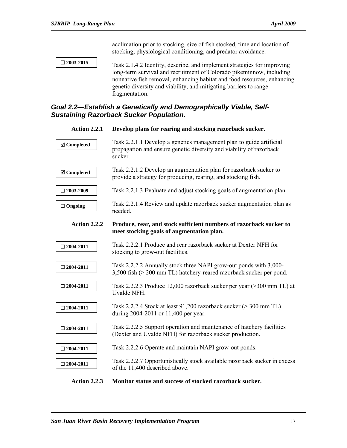acclimation prior to stocking, size of fish stocked, time and location of stocking, physiological conditioning, and predator avoidance.

 **2003-2015** 

Task 2.1.4.2 Identify, describe, and implement strategies for improving long-term survival and recruitment of Colorado pikeminnow, including nonnative fish removal, enhancing habitat and food resources, enhancing genetic diversity and viability, and mitigating barriers to range fragmentation.

#### *Goal 2.2—Establish a Genetically and Demographically Viable, Self-Sustaining Razorback Sucker Population.*

| <b>Action 2.2.1</b>   | Develop plans for rearing and stocking razorback sucker.                                                                                              |
|-----------------------|-------------------------------------------------------------------------------------------------------------------------------------------------------|
| <b>Ø</b> Completed    | Task 2.2.1.1 Develop a genetics management plan to guide artificial<br>propagation and ensure genetic diversity and viability of razorback<br>sucker. |
| $\boxtimes$ Completed | Task 2.2.1.2 Develop an augmentation plan for razorback sucker to<br>provide a strategy for producing, rearing, and stocking fish.                    |
| $\square$ 2003-2009   | Task 2.2.1.3 Evaluate and adjust stocking goals of augmentation plan.                                                                                 |
| $\Box$ Ongoing        | Task 2.2.1.4 Review and update razorback sucker augmentation plan as<br>needed.                                                                       |
| Action 2.2.2          | Produce, rear, and stock sufficient numbers of razorback sucker to<br>meet stocking goals of augmentation plan.                                       |
| $\square$ 2004-2011   | Task 2.2.2.1 Produce and rear razorback sucker at Dexter NFH for<br>stocking to grow-out facilities.                                                  |
| $\square$ 2004-2011   | Task 2.2.2.2 Annually stock three NAPI grow-out ponds with 3,000-<br>3,500 fish (> 200 mm TL) hatchery-reared razorback sucker per pond.              |
| $\square$ 2004-2011   | Task 2.2.2.3 Produce 12,000 razorback sucker per year (>300 mm TL) at<br>Uvalde NFH.                                                                  |
| $\square$ 2004-2011   | Task 2.2.2.4 Stock at least 91,200 razorback sucker (> 300 mm TL)<br>during 2004-2011 or 11,400 per year.                                             |
| $\square$ 2004-2011   | Task 2.2.2.5 Support operation and maintenance of hatchery facilities<br>(Dexter and Uvalde NFH) for razorback sucker production.                     |
| $\square$ 2004-2011   | Task 2.2.2.6 Operate and maintain NAPI grow-out ponds.                                                                                                |
| $\square$ 2004-2011   | Task 2.2.2.7 Opportunistically stock available razorback sucker in excess<br>of the 11,400 described above.                                           |

**Action 2.2.3 Monitor status and success of stocked razorback sucker.**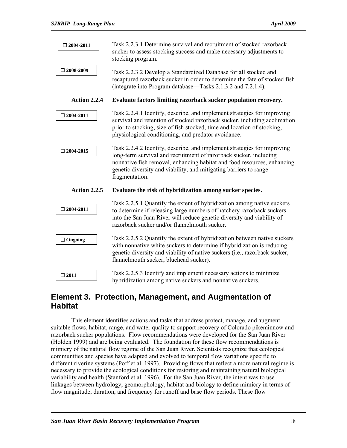| $\square$ 2004-2011 | Task 2.2.3.1 Determine survival and recruitment of stocked razorback<br>sucker to assess stocking success and make necessary adjustments to<br>stocking program.                                                                                                                                               |
|---------------------|----------------------------------------------------------------------------------------------------------------------------------------------------------------------------------------------------------------------------------------------------------------------------------------------------------------|
| $\Box$ 2008-2009    | Task 2.2.3.2 Develop a Standardized Database for all stocked and<br>recaptured razorback sucker in order to determine the fate of stocked fish<br>(integrate into Program database—Tasks 2.1.3.2 and 7.2.1.4).                                                                                                 |
| Action 2.2.4        | Evaluate factors limiting razorback sucker population recovery.                                                                                                                                                                                                                                                |
| $\square$ 2004-2011 | Task 2.2.4.1 Identify, describe, and implement strategies for improving<br>survival and retention of stocked razorback sucker, including acclimation<br>prior to stocking, size of fish stocked, time and location of stocking,<br>physiological conditioning, and predator avoidance.                         |
| $\square$ 2004-2015 | Task 2.2.4.2 Identify, describe, and implement strategies for improving<br>long-term survival and recruitment of razorback sucker, including<br>nonnative fish removal, enhancing habitat and food resources, enhancing<br>genetic diversity and viability, and mitigating barriers to range<br>fragmentation. |
| <b>Action 2.2.5</b> | Evaluate the risk of hybridization among sucker species.                                                                                                                                                                                                                                                       |
| $\square$ 2004-2011 | Task 2.2.5.1 Quantify the extent of hybridization among native suckers<br>to determine if releasing large numbers of hatchery razorback suckers<br>into the San Juan River will reduce genetic diversity and viability of<br>razorback sucker and/or flannelmouth sucker.                                      |
| $\Box$ Ongoing      | Task 2.2.5.2 Quantify the extent of hybridization between native suckers<br>with nonnative white suckers to determine if hybridization is reducing<br>genetic diversity and viability of native suckers (i.e., razorback sucker,<br>flannelmouth sucker, bluehead sucker).                                     |
| $\square$ 2011      | Task 2.2.5.3 Identify and implement necessary actions to minimize<br>hybridization among native suckers and nonnative suckers.                                                                                                                                                                                 |

## **Element 3. Protection, Management, and Augmentation of Habitat**

This element identifies actions and tasks that address protect, manage, and augment suitable flows, habitat, range, and water quality to support recovery of Colorado pikeminnow and razorback sucker populations. Flow recommendations were developed for the San Juan River (Holden 1999) and are being evaluated. The foundation for these flow recommendations is mimicry of the natural flow regime of the San Juan River. Scientists recognize that ecological communities and species have adapted and evolved to temporal flow variations specific to different riverine systems (Poff et al. 1997). Providing flows that reflect a more natural regime is necessary to provide the ecological conditions for restoring and maintaining natural biological variability and health (Stanford et al. 1996). For the San Juan River, the intent was to use linkages between hydrology, geomorphology, habitat and biology to define mimicry in terms of flow magnitude, duration, and frequency for runoff and base flow periods. These flow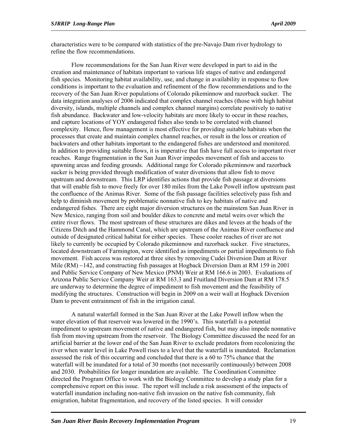characteristics were to be compared with statistics of the pre-Navajo Dam river hydrology to refine the flow recommendations.

Flow recommendations for the San Juan River were developed in part to aid in the creation and maintenance of habitats important to various life stages of native and endangered fish species. Monitoring habitat availability, use, and change in availability in response to flow conditions is important to the evaluation and refinement of the flow recommendations and to the recovery of the San Juan River populations of Colorado pikeminnow and razorback sucker. The data integration analyses of 2006 indicated that complex channel reaches (those with high habitat diversity, islands, multiple channels and complex channel margins) correlate positively to native fish abundance. Backwater and low-velocity habitats are more likely to occur in these reaches, and capture locations of YOY endangered fishes also tends to be correlated with channel complexity. Hence, flow management is most effective for providing suitable habitats when the processes that create and maintain complex channel reaches, or result in the loss or creation of backwaters and other habitats important to the endangered fishes are understood and monitored. In addition to providing suitable flows, it is imperative that fish have full access to important river reaches. Range fragmentation in the San Juan River impedes movement of fish and access to spawning areas and feeding grounds. Additional range for Colorado pikeminnow and razorback sucker is being provided through modification of water diversions that allow fish to move upstream and downstream. This LRP identifies actions that provide fish passage at diversions that will enable fish to move freely for over 180 miles from the Lake Powell inflow upstream past the confluence of the Animas River. Some of the fish passage facilities selectively pass fish and help to diminish movement by problematic nonnative fish to key habitats of native and endangered fishes. There are eight major diversion structures on the mainstem San Juan River in New Mexico, ranging from soil and boulder dikes to concrete and metal weirs over which the entire river flows. The most upstream of these structures are dikes and levees at the heads of the Citizens Ditch and the Hammond Canal, which are upstream of the Animas River confluence and outside of designated critical habitat for either species. These cooler reaches of river are not likely to currently be occupied by Colorado pikeminnow and razorback sucker. Five structures, located downstream of Farmington, were identified as impediments or partial impediments to fish movement. Fish access was restored at three sites by removing Cudei Diversion Dam at River Mile (RM)  $\sim$ 142, and constructing fish passages at Hogback Diversion Dam at RM 159 in 2001 and Public Service Company of New Mexico (PNM) Weir at RM 166.6 in 2003. Evaluations of Arizona Public Service Company Weir at RM 163.3 and Fruitland Diversion Dam at RM 178.5 are underway to determine the degree of impediment to fish movement and the feasibility of modifying the structures. Construction will begin in 2009 on a weir wall at Hogback Diversion Dam to prevent entrainment of fish in the irrigation canal.

A natural waterfall formed in the San Juan River at the Lake Powell inflow when the water elevation of that reservoir was lowered in the 1990's. This waterfall is a potential impediment to upstream movement of native and endangered fish, but may also impede nonnative fish from moving upstream from the reservoir. The Biology Committee discussed the need for an artificial barrier at the lower end of the San Juan River to exclude predators from recolonizing the river when water level in Lake Powell rises to a level that the waterfall is inundated. Reclamation assessed the risk of this occurring and concluded that there is a 60 to 75% chance that the waterfall will be inundated for a total of 30 months (not necessarily continuously) between 2008 and 2030. Probabilities for longer inundation are available. The Coordination Committee directed the Program Office to work with the Biology Committee to develop a study plan for a comprehensive report on this issue. The report will include a risk assessment of the impacts of waterfall inundation including non-native fish invasion on the native fish community, fish emigration, habitat fragmentation, and recovery of the listed species. It will consider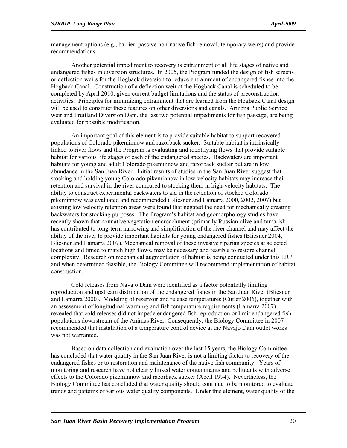management options (e.g., barrier, passive non-native fish removal, temporary weirs) and provide recommendations.

Another potential impediment to recovery is entrainment of all life stages of native and endangered fishes in diversion structures. In 2005, the Program funded the design of fish screens or deflection weirs for the Hogback diversion to reduce entrainment of endangered fishes into the Hogback Canal. Construction of a deflection weir at the Hogback Canal is scheduled to be completed by April 2010, given current budget limitations and the status of preconstruction activities. Principles for minimizing entrainment that are learned from the Hogback Canal design will be used to construct these features on other diversions and canals. Arizona Public Service weir and Fruitland Diversion Dam, the last two potential impediments for fish passage, are being evaluated for possible modification.

An important goal of this element is to provide suitable habitat to support recovered populations of Colorado pikeminnow and razorback sucker. Suitable habitat is intrinsically linked to river flows and the Program is evaluating and identifying flows that provide suitable habitat for various life stages of each of the endangered species. Backwaters are important habitats for young and adult Colorado pikeminnow and razorback sucker but are in low abundance in the San Juan River. Initial results of studies in the San Juan River suggest that stocking and holding young Colorado pikeminnow in low-velocity habitats may increase their retention and survival in the river compared to stocking them in high-velocity habitats. The ability to construct experimental backwaters to aid in the retention of stocked Colorado pikeminnow was evaluated and recommended (Bliesner and Lamarra 2000, 2002, 2007) but existing low velocity retention areas were found that negated the need for mechanically creating backwaters for stocking purposes. The Program's habitat and geomorphology studies have recently shown that nonnative vegetation encroachment (primarily Russian olive and tamarisk) has contributed to long-term narrowing and simplification of the river channel and may affect the ability of the river to provide important habitats for young endangered fishes (Bliesner 2004, Bliesner and Lamarra 2007). Mechanical removal of these invasive riparian species at selected locations and timed to match high flows, may be necessary and feasible to restore channel complexity. Research on mechanical augmentation of habitat is being conducted under this LRP and when determined feasible, the Biology Committee will recommend implementation of habitat construction.

Cold releases from Navajo Dam were identified as a factor potentially limiting reproduction and upstream distribution of the endangered fishes in the San Juan River (Bliesner and Lamarra 2000). Modeling of reservoir and release temperatures (Cutler 2006), together with an assessment of longitudinal warming and fish temperature requirements (Lamarra 2007) revealed that cold releases did not impede endangered fish reproduction or limit endangered fish populations downstream of the Animas River. Consequently, the Biology Committee in 2007 recommended that installation of a temperature control device at the Navajo Dam outlet works was not warranted.

Based on data collection and evaluation over the last 15 years, the Biology Committee has concluded that water quality in the San Juan River is not a limiting factor to recovery of the endangered fishes or to restoration and maintenance of the native fish community. Years of monitoring and research have not clearly linked water contaminants and pollutants with adverse effects to the Colorado pikeminnow and razorback sucker (Abell 1994). Nevertheless, the Biology Committee has concluded that water quality should continue to be monitored to evaluate trends and patterns of various water quality components. Under this element, water quality of the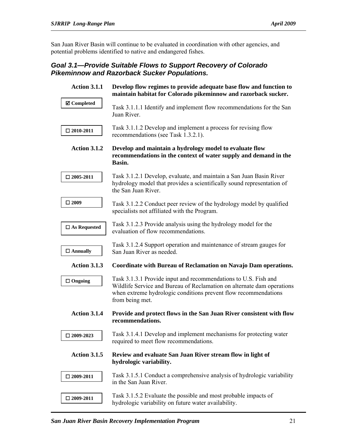San Juan River Basin will continue to be evaluated in coordination with other agencies, and potential problems identified to native and endangered fishes.

## *Goal 3.1—Provide Suitable Flows to Support Recovery of Colorado Pikeminnow and Razorback Sucker Populations.*

| <b>Action 3.1.1</b>    | Develop flow regimes to provide adequate base flow and function to<br>maintain habitat for Colorado pikeminnow and razorback sucker.                                                                                            |
|------------------------|---------------------------------------------------------------------------------------------------------------------------------------------------------------------------------------------------------------------------------|
| <b>☑</b> Completed     | Task 3.1.1.1 Identify and implement flow recommendations for the San<br>Juan River.                                                                                                                                             |
| $\square$ 2010-2011    | Task 3.1.1.2 Develop and implement a process for revising flow<br>recommendations (see Task 1.3.2.1).                                                                                                                           |
| Action 3.1.2           | Develop and maintain a hydrology model to evaluate flow<br>recommendations in the context of water supply and demand in the<br>Basin.                                                                                           |
| $\square$ 2005-2011    | Task 3.1.2.1 Develop, evaluate, and maintain a San Juan Basin River<br>hydrology model that provides a scientifically sound representation of<br>the San Juan River.                                                            |
| $\square$ 2009         | Task 3.1.2.2 Conduct peer review of the hydrology model by qualified<br>specialists not affiliated with the Program.                                                                                                            |
| $\square$ As Requested | Task 3.1.2.3 Provide analysis using the hydrology model for the<br>evaluation of flow recommendations.                                                                                                                          |
| $\Box$ Annually        | Task 3.1.2.4 Support operation and maintenance of stream gauges for<br>San Juan River as needed.                                                                                                                                |
| <b>Action 3.1.3</b>    | Coordinate with Bureau of Reclamation on Navajo Dam operations.                                                                                                                                                                 |
| $\Box$ Ongoing         | Task 3.1.3.1 Provide input and recommendations to U.S. Fish and<br>Wildlife Service and Bureau of Reclamation on alternate dam operations<br>when extreme hydrologic conditions prevent flow recommendations<br>from being met. |
| Action 3.1.4           | Provide and protect flows in the San Juan River consistent with flow<br>recommendations.                                                                                                                                        |
| $\square$ 2009-2023    | Task 3.1.4.1 Develop and implement mechanisms for protecting water<br>required to meet flow recommendations.                                                                                                                    |
| <b>Action 3.1.5</b>    | Review and evaluate San Juan River stream flow in light of<br>hydrologic variability.                                                                                                                                           |
| $\square$ 2009-2011    | Task 3.1.5.1 Conduct a comprehensive analysis of hydrologic variability                                                                                                                                                         |
|                        | in the San Juan River.                                                                                                                                                                                                          |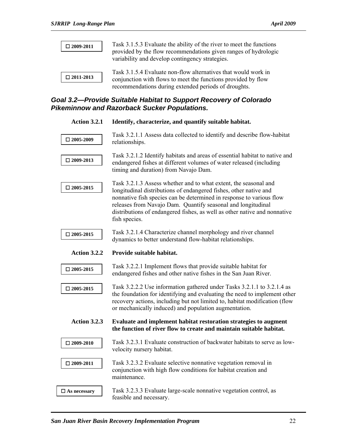| $\square$ 2009-2011 | Task 3.1.5.3 Evaluate the ability of the river to meet the functions<br>provided by the flow recommendations given ranges of hydrologic<br>variability and develop contingency strategies. |
|---------------------|--------------------------------------------------------------------------------------------------------------------------------------------------------------------------------------------|
| $\square$ 2011-2013 | Task 3.1.5.4 Evaluate non-flow alternatives that would work in<br>conjunction with flows to meet the functions provided by flow<br>recommendations during extended periods of droughts.    |

## *Goal 3.2—Provide Suitable Habitat to Support Recovery of Colorado Pikeminnow and Razorback Sucker Populations.*

| <b>Action 3.2.1</b> | Identify, characterize, and quantify suitable habitat.                                                                                                                                                                                                                                                                                                                      |
|---------------------|-----------------------------------------------------------------------------------------------------------------------------------------------------------------------------------------------------------------------------------------------------------------------------------------------------------------------------------------------------------------------------|
| $\square$ 2005-2009 | Task 3.2.1.1 Assess data collected to identify and describe flow-habitat<br>relationships.                                                                                                                                                                                                                                                                                  |
| $\square$ 2009-2013 | Task 3.2.1.2 Identify habitats and areas of essential habitat to native and<br>endangered fishes at different volumes of water released (including<br>timing and duration) from Navajo Dam.                                                                                                                                                                                 |
| $\square$ 2005-2015 | Task 3.2.1.3 Assess whether and to what extent, the seasonal and<br>longitudinal distributions of endangered fishes, other native and<br>nonnative fish species can be determined in response to various flow<br>releases from Navajo Dam. Quantify seasonal and longitudinal<br>distributions of endangered fishes, as well as other native and nonnative<br>fish species. |
| $\square$ 2005-2015 | Task 3.2.1.4 Characterize channel morphology and river channel<br>dynamics to better understand flow-habitat relationships.                                                                                                                                                                                                                                                 |
| Action 3.2.2        | Provide suitable habitat.                                                                                                                                                                                                                                                                                                                                                   |
| $\square$ 2005-2015 | Task 3.2.2.1 Implement flows that provide suitable habitat for<br>endangered fishes and other native fishes in the San Juan River.                                                                                                                                                                                                                                          |
| $\square$ 2005-2015 | Task 3.2.2.2 Use information gathered under Tasks 3.2.1.1 to 3.2.1.4 as                                                                                                                                                                                                                                                                                                     |
|                     | the foundation for identifying and evaluating the need to implement other<br>recovery actions, including but not limited to, habitat modification (flow<br>or mechanically induced) and population augmentation.                                                                                                                                                            |
| <b>Action 3.2.3</b> | Evaluate and implement habitat restoration strategies to augment<br>the function of river flow to create and maintain suitable habitat.                                                                                                                                                                                                                                     |
| $\square$ 2009-2010 | Task 3.2.3.1 Evaluate construction of backwater habitats to serve as low-<br>velocity nursery habitat.                                                                                                                                                                                                                                                                      |
| $\square$ 2009-2011 | Task 3.2.3.2 Evaluate selective nonnative vegetation removal in<br>conjunction with high flow conditions for habitat creation and<br>maintenance.                                                                                                                                                                                                                           |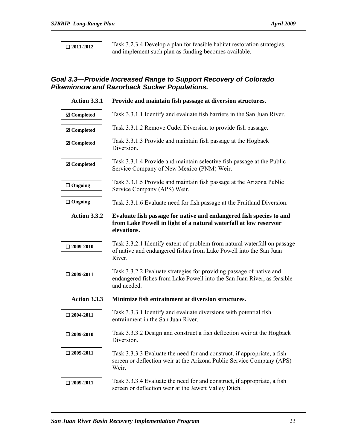**2011-2012** 

Task 3.2.3.4 Develop a plan for feasible habitat restoration strategies, and implement such plan as funding becomes available.

## *Goal 3.3—Provide Increased Range to Support Recovery of Colorado Pikeminnow and Razorback Sucker Populations.*

| <b>Action 3.3.1</b> | Provide and maintain fish passage at diversion structures.                                                                                                     |
|---------------------|----------------------------------------------------------------------------------------------------------------------------------------------------------------|
| <b>Ø</b> Completed  | Task 3.3.1.1 Identify and evaluate fish barriers in the San Juan River.                                                                                        |
| <b>Ø</b> Completed  | Task 3.3.1.2 Remove Cudei Diversion to provide fish passage.                                                                                                   |
| <b>Ø</b> Completed  | Task 3.3.1.3 Provide and maintain fish passage at the Hogback<br>Diversion.                                                                                    |
| <b>Ø</b> Completed  | Task 3.3.1.4 Provide and maintain selective fish passage at the Public<br>Service Company of New Mexico (PNM) Weir.                                            |
| $\Box$ Ongoing      | Task 3.3.1.5 Provide and maintain fish passage at the Arizona Public<br>Service Company (APS) Weir.                                                            |
| $\Box$ Ongoing      | Task 3.3.1.6 Evaluate need for fish passage at the Fruitland Diversion.                                                                                        |
| Action 3.3.2        | Evaluate fish passage for native and endangered fish species to and<br>from Lake Powell in light of a natural waterfall at low reservoir<br>elevations.        |
| $\square$ 2009-2010 | Task 3.3.2.1 Identify extent of problem from natural waterfall on passage<br>of native and endangered fishes from Lake Powell into the San Juan<br>River.      |
| $\square$ 2009-2011 | Task 3.3.2.2 Evaluate strategies for providing passage of native and<br>endangered fishes from Lake Powell into the San Juan River, as feasible<br>and needed. |
| Action 3.3.3        | Minimize fish entrainment at diversion structures.                                                                                                             |
| $\square$ 2004-2011 | Task 3.3.3.1 Identify and evaluate diversions with potential fish<br>entrainment in the San Juan River.                                                        |
| $\square$ 2009-2010 | Task 3.3.3.2 Design and construct a fish deflection weir at the Hogback<br>Diversion.                                                                          |
| $\square$ 2009-2011 | Task 3.3.3.3 Evaluate the need for and construct, if appropriate, a fish<br>screen or deflection weir at the Arizona Public Service Company (APS)<br>Weir.     |
| $\square$ 2009-2011 | Task 3.3.3.4 Evaluate the need for and construct, if appropriate, a fish<br>screen or deflection weir at the Jewett Valley Ditch.                              |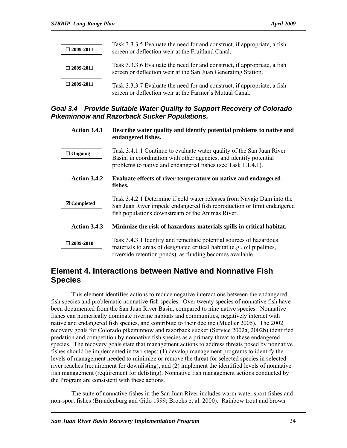| $\square$ 2009-2011 | Task 3.3.3.5 Evaluate the need for and construct, if appropriate, a fish<br>screen or deflection weir at the Fruitland Canal.             |
|---------------------|-------------------------------------------------------------------------------------------------------------------------------------------|
| $\square$ 2009-2011 | Task 3.3.3.6 Evaluate the need for and construct, if appropriate, a fish<br>screen or deflection weir at the San Juan Generating Station. |
| $\square$ 2009-2011 | Task 3.3.3.7 Evaluate the need for and construct, if appropriate, a fish<br>screen or deflection weir at the Farmer's Mutual Canal.       |

## *Goal 3.4—Provide Suitable Water Quality to Support Recovery of Colorado Pikeminnow and Razorback Sucker Populations.*

| Action 3.4.1        | Describe water quality and identify potential problems to native and<br>endangered fishes.                                                                                                                  |
|---------------------|-------------------------------------------------------------------------------------------------------------------------------------------------------------------------------------------------------------|
| $\Box$ Ongoing      | Task 3.4.1.1 Continue to evaluate water quality of the San Juan River<br>Basin, in coordination with other agencies, and identify potential<br>problems to native and endangered fishes (see Task 1.1.4.1). |
| Action 3.4.2        | Evaluate effects of river temperature on native and endangered<br>fishes.                                                                                                                                   |
| <b>⊠</b> Completed  | Task 3.4.2.1 Determine if cold water releases from Navajo Dam into the<br>San Juan River impede endangered fish reproduction or limit endangered<br>fish populations downstream of the Animas River.        |
| Action 3.4.3        | Minimize the risk of hazardous-materials spills in critical habitat.                                                                                                                                        |
| $\square$ 2009-2010 | Task 3.4.3.1 Identify and remediate potential sources of hazardous<br>materials to areas of designated critical habitat (e.g., oil pipelines,<br>riverside retention ponds), as funding becomes available.  |

## **Element 4. Interactions between Native and Nonnative Fish Species**

This element identifies actions to reduce negative interactions between the endangered fish species and problematic nonnative fish species. Over twenty species of nonnative fish have been documented from the San Juan River Basin, compared to nine native species. Nonnative fishes can numerically dominate riverine habitats and communities, negatively interact with native and endangered fish species, and contribute to their decline (Mueller 2005). The 2002 recovery goals for Colorado pikeminnow and razorback sucker (Service 2002a, 2002b) identified predation and competition by nonnative fish species as a primary threat to these endangered species. The recovery goals state that management actions to address threats posed by nonnative fishes should be implemented in two steps: (1) develop management programs to identify the levels of management needed to minimize or remove the threat for selected species in selected river reaches (requirement for downlisting), and (2) implement the identified levels of nonnative fish management (requirement for delisting). Nonnative fish management actions conducted by the Program are consistent with these actions.

The suite of nonnative fishes in the San Juan River includes warm-water sport fishes and non-sport fishes (Brandenburg and Gido 1999; Brooks et al. 2000). Rainbow trout and brown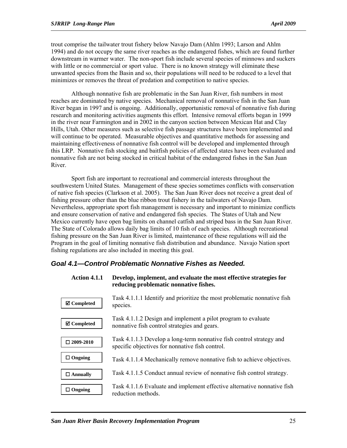trout comprise the tailwater trout fishery below Navajo Dam (Ahlm 1993; Larson and Ahlm 1994) and do not occupy the same river reaches as the endangered fishes, which are found further downstream in warmer water. The non-sport fish include several species of minnows and suckers with little or no commercial or sport value. There is no known strategy will eliminate these unwanted species from the Basin and so, their populations will need to be reduced to a level that minimizes or removes the threat of predation and competition to native species.

Although nonnative fish are problematic in the San Juan River, fish numbers in most reaches are dominated by native species. Mechanical removal of nonnative fish in the San Juan River began in 1997 and is ongoing. Additionally, opportunistic removal of nonnative fish during research and monitoring activities augments this effort. Intensive removal efforts began in 1999 in the river near Farmington and in 2002 in the canyon section between Mexican Hat and Clay Hills, Utah. Other measures such as selective fish passage structures have been implemented and will continue to be operated. Measurable objectives and quantitative methods for assessing and maintaining effectiveness of nonnative fish control will be developed and implemented through this LRP. Nonnative fish stocking and baitfish policies of affected states have been evaluated and nonnative fish are not being stocked in critical habitat of the endangered fishes in the San Juan River.

Sport fish are important to recreational and commercial interests throughout the southwestern United States. Management of these species sometimes conflicts with conservation of native fish species (Clarkson et al. 2005). The San Juan River does not receive a great deal of fishing pressure other than the blue ribbon trout fishery in the tailwaters of Navajo Dam. Nevertheless, appropriate sport fish management is necessary and important to minimize conflicts and ensure conservation of native and endangered fish species. The States of Utah and New Mexico currently have open bag limits on channel catfish and striped bass in the San Juan River. The State of Colorado allows daily bag limits of 10 fish of each species. Although recreational fishing pressure on the San Juan River is limited, maintenance of these regulations will aid the Program in the goal of limiting nonnative fish distribution and abundance. Navajo Nation sport fishing regulations are also included in meeting this goal.

#### *Goal 4.1—Control Problematic Nonnative Fishes as Needed.*

| <b>Action 4.1.1</b>   | Develop, implement, and evaluate the most effective strategies for<br>reducing problematic nonnative fishes.            |
|-----------------------|-------------------------------------------------------------------------------------------------------------------------|
| $\boxtimes$ Completed | Task 4.1.1.1 Identify and prioritize the most problematic nonnative fish<br>species.                                    |
| $\boxtimes$ Completed | Task 4.1.1.2 Design and implement a pilot program to evaluate<br>nonnative fish control strategies and gears.           |
| $\square$ 2009-2010   | Task 4.1.1.3 Develop a long-term nonnative fish control strategy and<br>specific objectives for nonnative fish control. |
| Ongoing<br>□          | Task 4.1.1.4 Mechanically remove nonnative fish to achieve objectives.                                                  |
| $\square$ Annually    | Task 4.1.1.5 Conduct annual review of nonnative fish control strategy.                                                  |
| Ongoing<br>⊔          | Task 4.1.1.6 Evaluate and implement effective alternative nonnative fish<br>reduction methods.                          |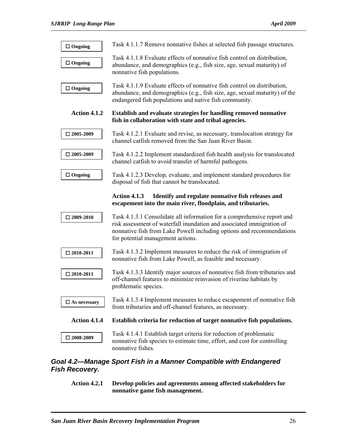| $\Box$ Ongoing      | Task 4.1.1.7 Remove nonnative fishes at selected fish passage structures.                                                                                                                                                                                      |
|---------------------|----------------------------------------------------------------------------------------------------------------------------------------------------------------------------------------------------------------------------------------------------------------|
| $\Box$ Ongoing      | Task 4.1.1.8 Evaluate effects of nonnative fish control on distribution,<br>abundance, and demographics (e.g., fish size, age, sexual maturity) of<br>nonnative fish populations.                                                                              |
| $\Box$ Ongoing      | Task 4.1.1.9 Evaluate effects of nonnative fish control on distribution,<br>abundance, and demographics (e.g., fish size, age, sexual maturity) of the<br>endangered fish populations and native fish community.                                               |
| Action 4.1.2        | Establish and evaluate strategies for handling removed nonnative<br>fish in collaboration with state and tribal agencies.                                                                                                                                      |
| $\square$ 2005-2009 | Task 4.1.2.1 Evaluate and revise, as necessary, translocation strategy for<br>channel catfish removed from the San Juan River Basin.                                                                                                                           |
| $\square$ 2005-2009 | Task 4.1.2.2 Implement standardized fish health analysis for translocated<br>channel catfish to avoid transfer of harmful pathogens.                                                                                                                           |
| $\Box$ Ongoing      | Task 4.1.2.3 Develop, evaluate, and implement standard procedures for<br>disposal of fish that cannot be translocated.                                                                                                                                         |
|                     | <b>Action 4.1.3</b><br>Identify and regulate nonnative fish releases and<br>escapement into the main river, floodplain, and tributaries.                                                                                                                       |
| $\square$ 2009-2010 | Task 4.1.3.1 Consolidate all information for a comprehensive report and<br>risk assessment of waterfall inundation and associated immigration of<br>nonnative fish from Lake Powell including options and recommendations<br>for potential management actions. |
| $\square$ 2010-2011 | Task 4.1.3.2 Implement measures to reduce the risk of immigration of<br>nonnative fish from Lake Powell, as feasible and necessary.                                                                                                                            |
| $\square$ 2010-2011 | Task 4.1.3.3 Identify major sources of nonnative fish from tributaries and<br>off-channel features to minimize reinvasion of riverine habitats by<br>problematic species.                                                                                      |
| $\Box$ As necessary | Task 4.1.3.4 Implement measures to reduce escapement of nonnative fish<br>from tributaries and off-channel features, as necessary.                                                                                                                             |
| Action 4.1.4        | Establish criteria for reduction of target nonnative fish populations.                                                                                                                                                                                         |
| $\square$ 2008-2009 | Task 4.1.4.1 Establish target criteria for reduction of problematic<br>nonnative fish species to estimate time, effort, and cost for controlling                                                                                                               |

## *Goal 4.2—Manage Sport Fish in a Manner Compatible with Endangered Fish Recovery.*

**Action 4.2.1 Develop policies and agreements among affected stakeholders for nonnative game fish management.**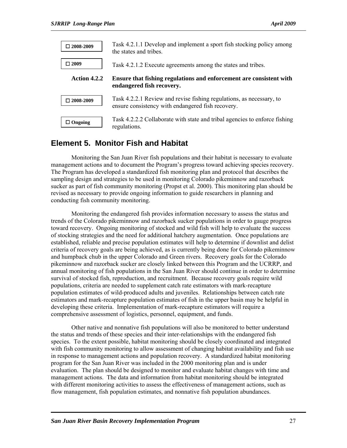| $\square$ 2008-2009 | Task 4.2.1.1 Develop and implement a sport fish stocking policy among<br>the states and tribes.                           |
|---------------------|---------------------------------------------------------------------------------------------------------------------------|
| $\Box 2009$         | Task 4.2.1.2 Execute agreements among the states and tribes.                                                              |
| Action 4.2.2        | Ensure that fishing regulations and enforcement are consistent with<br>endangered fish recovery.                          |
| $\square$ 2008-2009 | Task 4.2.2.1 Review and revise fishing regulations, as necessary, to<br>ensure consistency with endangered fish recovery. |
| $\Box$ Ongoing      | Task 4.2.2.2 Collaborate with state and tribal agencies to enforce fishing<br>regulations.                                |

## **Element 5. Monitor Fish and Habitat**

Monitoring the San Juan River fish populations and their habitat is necessary to evaluate management actions and to document the Program's progress toward achieving species recovery. The Program has developed a standardized fish monitoring plan and protocol that describes the sampling design and strategies to be used in monitoring Colorado pikeminnow and razorback sucker as part of fish community monitoring (Propst et al. 2000). This monitoring plan should be revised as necessary to provide ongoing information to guide researchers in planning and conducting fish community monitoring.

Monitoring the endangered fish provides information necessary to assess the status and trends of the Colorado pikeminnow and razorback sucker populations in order to gauge progress toward recovery. Ongoing monitoring of stocked and wild fish will help to evaluate the success of stocking strategies and the need for additional hatchery augmentation. Once populations are established, reliable and precise population estimates will help to determine if downlist and delist criteria of recovery goals are being achieved, as is currently being done for Colorado pikeminnow and humpback chub in the upper Colorado and Green rivers. Recovery goals for the Colorado pikeminnow and razorback sucker are closely linked between this Program and the UCRRP, and annual monitoring of fish populations in the San Juan River should continue in order to determine survival of stocked fish, reproduction, and recruitment. Because recovery goals require wild populations, criteria are needed to supplement catch rate estimators with mark-recapture population estimates of wild-produced adults and juveniles. Relationships between catch rate estimators and mark-recapture population estimates of fish in the upper basin may be helpful in developing these criteria. Implementation of mark-recapture estimators will require a comprehensive assessment of logistics, personnel, equipment, and funds.

Other native and nonnative fish populations will also be monitored to better understand the status and trends of these species and their inter-relationships with the endangered fish species. To the extent possible, habitat monitoring should be closely coordinated and integrated with fish community monitoring to allow assessment of changing habitat availability and fish use in response to management actions and population recovery. A standardized habitat monitoring program for the San Juan River was included in the 2000 monitoring plan and is under evaluation. The plan should be designed to monitor and evaluate habitat changes with time and management actions. The data and information from habitat monitoring should be integrated with different monitoring activities to assess the effectiveness of management actions, such as flow management, fish population estimates, and nonnative fish population abundances.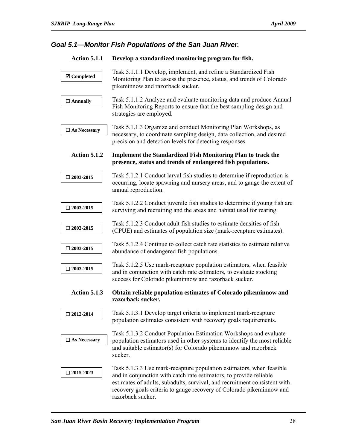## *Goal 5.1—Monitor Fish Populations of the San Juan River.*

| <b>Action 5.1.1</b>    | Develop a standardized monitoring program for fish.                                                                                                                                                                                                                                                                  |
|------------------------|----------------------------------------------------------------------------------------------------------------------------------------------------------------------------------------------------------------------------------------------------------------------------------------------------------------------|
| <b>Ø</b> Completed     | Task 5.1.1.1 Develop, implement, and refine a Standardized Fish<br>Monitoring Plan to assess the presence, status, and trends of Colorado<br>pikeminnow and razorback sucker.                                                                                                                                        |
| $\Box$ Annually        | Task 5.1.1.2 Analyze and evaluate monitoring data and produce Annual<br>Fish Monitoring Reports to ensure that the best sampling design and<br>strategies are employed.                                                                                                                                              |
| $\Box$<br>As Necessary | Task 5.1.1.3 Organize and conduct Monitoring Plan Workshops, as<br>necessary, to coordinate sampling design, data collection, and desired<br>precision and detection levels for detecting responses.                                                                                                                 |
| <b>Action 5.1.2</b>    | <b>Implement the Standardized Fish Monitoring Plan to track the</b><br>presence, status and trends of endangered fish populations.                                                                                                                                                                                   |
| $\square$ 2003-2015    | Task 5.1.2.1 Conduct larval fish studies to determine if reproduction is<br>occurring, locate spawning and nursery areas, and to gauge the extent of<br>annual reproduction.                                                                                                                                         |
| $\square$ 2003-2015    | Task 5.1.2.2 Conduct juvenile fish studies to determine if young fish are<br>surviving and recruiting and the areas and habitat used for rearing.                                                                                                                                                                    |
| $\square$ 2003-2015    | Task 5.1.2.3 Conduct adult fish studies to estimate densities of fish<br>(CPUE) and estimates of population size (mark-recapture estimates).                                                                                                                                                                         |
| $\square$ 2003-2015    | Task 5.1.2.4 Continue to collect catch rate statistics to estimate relative<br>abundance of endangered fish populations.                                                                                                                                                                                             |
| $\square$ 2003-2015    | Task 5.1.2.5 Use mark-recapture population estimators, when feasible<br>and in conjunction with catch rate estimators, to evaluate stocking<br>success for Colorado pikeminnow and razorback sucker.                                                                                                                 |
| <b>Action 5.1.3</b>    | Obtain reliable population estimates of Colorado pikeminnow and<br>razorback sucker.                                                                                                                                                                                                                                 |
| $\square$ 2012-2014    | Task 5.1.3.1 Develop target criteria to implement mark-recapture<br>population estimates consistent with recovery goals requirements.                                                                                                                                                                                |
| $\square$ As Necessary | Task 5.1.3.2 Conduct Population Estimation Workshops and evaluate<br>population estimators used in other systems to identify the most reliable<br>and suitable estimator(s) for Colorado pikeminnow and razorback<br>sucker.                                                                                         |
| $\square$ 2015-2023    | Task 5.1.3.3 Use mark-recapture population estimators, when feasible<br>and in conjunction with catch rate estimators, to provide reliable<br>estimates of adults, subadults, survival, and recruitment consistent with<br>recovery goals criteria to gauge recovery of Colorado pikeminnow and<br>razorback sucker. |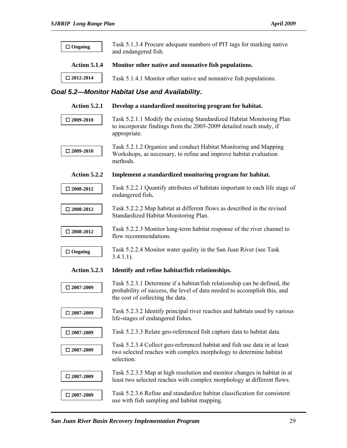| $\Box$ Ongoing      | Task 5.1.3.4 Procure adequate numbers of PIT tags for marking native<br>and endangered fish.                                                                                              |
|---------------------|-------------------------------------------------------------------------------------------------------------------------------------------------------------------------------------------|
| Action 5.1.4        | Monitor other native and nonnative fish populations.                                                                                                                                      |
| $\square$ 2012-2014 | Task 5.1.4.1 Monitor other native and nonnative fish populations.                                                                                                                         |
|                     | Goal 5.2-Monitor Habitat Use and Availability.                                                                                                                                            |
| <b>Action 5.2.1</b> | Develop a standardized monitoring program for habitat.                                                                                                                                    |
| $\square$ 2009-2010 | Task 5.2.1.1 Modify the existing Standardized Habitat Monitoring Plan<br>to incorporate findings from the 2005-2009 detailed reach study, if<br>appropriate.                              |
| $\square$ 2009-2010 | Task 5.2.1.2 Organize and conduct Habitat Monitoring and Mapping<br>Workshops, as necessary, to refine and improve habitat evaluation<br>methods.                                         |
| Action 5.2.2        | Implement a standardized monitoring program for habitat.                                                                                                                                  |
| $\square$ 2008-2012 | Task 5.2.2.1 Quantify attributes of habitats important to each life stage of<br>endangered fish.                                                                                          |
| $\square$ 2008-2012 | Task 5.2.2.2 Map habitat at different flows as described in the revised<br>Standardized Habitat Monitoring Plan.                                                                          |
| $\square$ 2008-2012 | Task 5.2.2.3 Monitor long-term habitat response of the river channel to<br>flow recommendations.                                                                                          |
| $\Box$ Ongoing      | Task 5.2.2.4 Monitor water quality in the San Juan River (see Task<br>$3.4.1.1$ ).                                                                                                        |
| <b>Action 5.2.3</b> | Identify and refine habitat/fish relationships.                                                                                                                                           |
| $\square$ 2007-2009 | Task 5.2.3.1 Determine if a habitat/fish relationship can be defined, the<br>probability of success, the level of data needed to accomplish this, and<br>the cost of collecting the data. |
| $\square$ 2007-2009 | Task 5.2.3.2 Identify principal river reaches and habitats used by various<br>life-stages of endangered fishes.                                                                           |
| $\square$ 2007-2009 | Task 5.2.3.3 Relate geo-referenced fish capture data to habitat data.                                                                                                                     |
| $\square$ 2007-2009 | Task 5.2.3.4 Collect geo-referenced habitat and fish use data in at least<br>two selected reaches with complex morphology to determine habitat<br>selection.                              |
| $\square$ 2007-2009 | Task 5.2.3.5 Map at high resolution and monitor changes in habitat in at<br>least two selected reaches with complex morphology at different flows.                                        |
| $\square$ 2007-2009 | Task 5.2.3.6 Refine and standardize habitat classification for consistent<br>use with fish sampling and habitat mapping.                                                                  |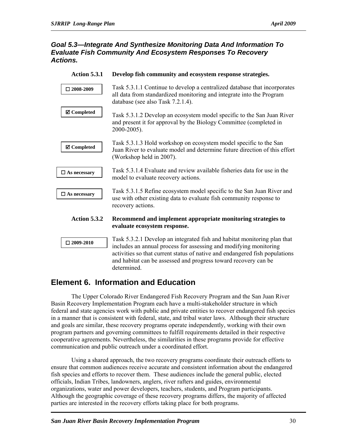#### *Goal 5.3—Integrate And Synthesize Monitoring Data And Information To Evaluate Fish Community And Ecosystem Responses To Recovery Actions.*

| <b>Action 5.3.1</b> | Develop fish community and ecosystem response strategies.                                                                                                                                                                                                                                       |
|---------------------|-------------------------------------------------------------------------------------------------------------------------------------------------------------------------------------------------------------------------------------------------------------------------------------------------|
| $\square$ 2008-2009 | Task 5.3.1.1 Continue to develop a centralized database that incorporates<br>all data from standardized monitoring and integrate into the Program<br>database (see also Task 7.2.1.4).                                                                                                          |
| <b>Ø</b> Completed  | Task 5.3.1.2 Develop an ecosystem model specific to the San Juan River<br>and present it for approval by the Biology Committee (completed in<br>2000-2005).                                                                                                                                     |
| <b>Ø</b> Completed  | Task 5.3.1.3 Hold workshop on ecosystem model specific to the San<br>Juan River to evaluate model and determine future direction of this effort<br>(Workshop held in 2007).                                                                                                                     |
| $\Box$ As necessary | Task 5.3.1.4 Evaluate and review available fisheries data for use in the<br>model to evaluate recovery actions.                                                                                                                                                                                 |
| $\Box$ As necessary | Task 5.3.1.5 Refine ecosystem model specific to the San Juan River and<br>use with other existing data to evaluate fish community response to<br>recovery actions.                                                                                                                              |
| Action 5.3.2        | Recommend and implement appropriate monitoring strategies to<br>evaluate ecosystem response.                                                                                                                                                                                                    |
| $\square$ 2009-2010 | Task 5.3.2.1 Develop an integrated fish and habitat monitoring plan that<br>includes an annual process for assessing and modifying monitoring<br>activities so that current status of native and endangered fish populations<br>and habitat can be assessed and progress toward recovery can be |

## **Element 6. Information and Education**

determined.

The Upper Colorado River Endangered Fish Recovery Program and the San Juan River Basin Recovery Implementation Program each have a multi-stakeholder structure in which federal and state agencies work with public and private entities to recover endangered fish species in a manner that is consistent with federal, state, and tribal water laws. Although their structure and goals are similar, these recovery programs operate independently, working with their own program partners and governing committees to fulfill requirements detailed in their respective cooperative agreements. Nevertheless, the similarities in these programs provide for effective communication and public outreach under a coordinated effort.

Using a shared approach, the two recovery programs coordinate their outreach efforts to ensure that common audiences receive accurate and consistent information about the endangered fish species and efforts to recover them. These audiences include the general public, elected officials, Indian Tribes, landowners, anglers, river rafters and guides, environmental organizations, water and power developers, teachers, students, and Program participants. Although the geographic coverage of these recovery programs differs, the majority of affected parties are interested in the recovery efforts taking place for both programs.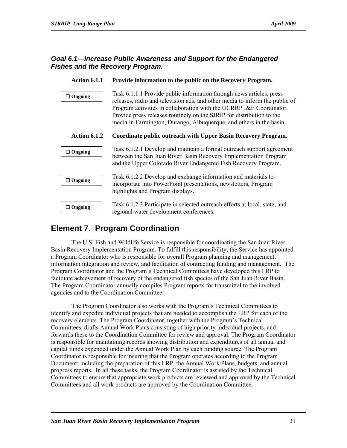#### *Goal 6.1—Increase Public Awareness and Support for the Endangered Fishes and the Recovery Program.*

| <b>Action 6.1.1</b> | Provide information to the public on the Recovery Program.                                                                                                                                                                                                                                                                                                                 |
|---------------------|----------------------------------------------------------------------------------------------------------------------------------------------------------------------------------------------------------------------------------------------------------------------------------------------------------------------------------------------------------------------------|
| $\Box$ Ongoing      | Task 6.1.1.1 Provide public information through news articles, press<br>releases, radio and television ads, and other media to inform the public of<br>Program activities in collaboration with the UCRRP I&E Coordinator.<br>Provide press releases routinely on the SJRIP for distribution to the<br>media in Farmington, Durango, Albuquerque, and others in the basin. |
| Action 6.1.2        | Coordinate public outreach with Upper Basin Recovery Program.                                                                                                                                                                                                                                                                                                              |
| $\Box$ Ongoing      | Task 6.1.2.1 Develop and maintain a formal outreach support agreement<br>between the San Juan River Basin Recovery Implementation Program<br>and the Upper Colorado River Endangered Fish Recovery Program.                                                                                                                                                                |
| $\Box$ Ongoing      | Task 6.1.2.2 Develop and exchange information and materials to<br>incorporate into PowerPoint presentations, newsletters, Program<br>highlights and Program displays.                                                                                                                                                                                                      |
| $\Box$ Ongoing      | Task 6.1.2.3 Participate in selected outreach efforts at local, state, and<br>regional water development conferences.                                                                                                                                                                                                                                                      |

## **Element 7. Program Coordination**

The U.S. Fish and Wildlife Service is responsible for coordinating the San Juan River Basin Recovery Implementation Program. To fulfill this responsibility, the Service has appointed a Program Coordinator who is responsible for overall Program planning and management, information integration and review, and facilitation of contracting funding and management. The Program Coordinator and the Program's Technical Committees have developed this LRP to facilitate achievement of recovery of the endangered fish species of the San Juan River Basin. The Program Coordinator annually compiles Program reports for transmittal to the involved agencies and to the Coordination Committee.

The Program Coordinator also works with the Program's Technical Committees to identify and expedite individual projects that are needed to accomplish the LRP for each of the recovery elements. The Program Coordinator, together with the Program's Technical Committees, drafts Annual Work Plans consisting of high priority individual projects, and forwards these to the Coordination Committee for review and approval. The Program Coordinator is responsible for maintaining records showing distribution and expenditures of all annual and capital funds expended under the Annual Work Plan by each funding source. The Program Coordinator is responsible for insuring that the Program operates according to the Program Document; including the preparation of this LRP, the Annual Work Plans, budgets, and annual progress reports. In all these tasks, the Program Coordinator is assisted by the Technical Committees to ensure that appropriate work products are reviewed and approved by the Technical Committees and all work products are approved by the Coordination Committee.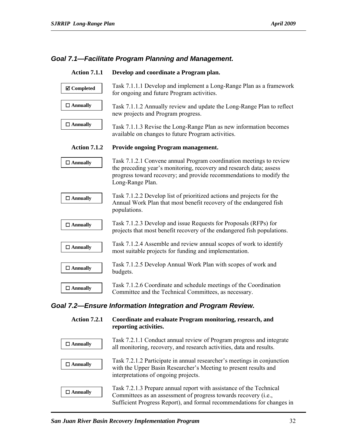#### *Goal 7.1—Facilitate Program Planning and Management.*

| <b>Action 7.1.1</b> | Develop and coordinate a Program plan.                                                                                                                                                                                                |
|---------------------|---------------------------------------------------------------------------------------------------------------------------------------------------------------------------------------------------------------------------------------|
| <b>Ø</b> Completed  | Task 7.1.1.1 Develop and implement a Long-Range Plan as a framework<br>for ongoing and future Program activities.                                                                                                                     |
| $\Box$ Annually     | Task 7.1.1.2 Annually review and update the Long-Range Plan to reflect<br>new projects and Program progress.                                                                                                                          |
| $\Box$ Annually     | Task 7.1.1.3 Revise the Long-Range Plan as new information becomes<br>available on changes to future Program activities.                                                                                                              |
| Action 7.1.2        | <b>Provide ongoing Program management.</b>                                                                                                                                                                                            |
| $\Box$ Annually     | Task 7.1.2.1 Convene annual Program coordination meetings to review<br>the preceding year's monitoring, recovery and research data; assess<br>progress toward recovery; and provide recommendations to modify the<br>Long-Range Plan. |
| $\Box$ Annually     | Task 7.1.2.2 Develop list of prioritized actions and projects for the<br>Annual Work Plan that most benefit recovery of the endangered fish<br>populations.                                                                           |
| $\square$ Annually  | Task 7.1.2.3 Develop and issue Requests for Proposals (RFPs) for<br>projects that most benefit recovery of the endangered fish populations.                                                                                           |
| $\Box$ Annually     | Task 7.1.2.4 Assemble and review annual scopes of work to identify<br>most suitable projects for funding and implementation.                                                                                                          |
| $\Box$ Annually     | Task 7.1.2.5 Develop Annual Work Plan with scopes of work and<br>budgets.                                                                                                                                                             |
| $\Box$ Annually     | Task 7.1.2.6 Coordinate and schedule meetings of the Coordination<br>Committee and the Technical Committees, as necessary.                                                                                                            |
|                     | Goal 7.2-Ensure Information Integration and Program Review.                                                                                                                                                                           |
| <b>Action 7.2.1</b> | Coordinate and evaluate Program monitoring, research, and<br>reporting activities.                                                                                                                                                    |
| $\Box$ Annually     | Task 7.2.1.1 Conduct annual review of Program progress and integrate<br>all monitoring, recovery, and research activities, data and results.                                                                                          |
| $\Box$ Annually     | Task 7.2.1.2 Participate in annual researcher's meetings in conjunction                                                                                                                                                               |

with the Upper Basin Researcher's Meeting to present results and interpretations of ongoing projects. Task 7.2.1.3 Prepare annual report with assistance of the Technical Committees as an assessment of progress towards recovery (i.e., Sufficient Progress Report), and formal recommendations for changes in  **Annually**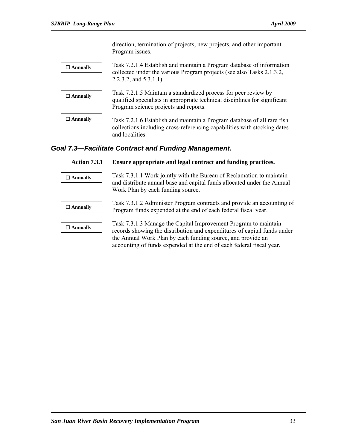direction, termination of projects, new projects, and other important Program issues.

| $\Box$ Annually | Task 7.2.1.4 Establish and maintain a Program database of information<br>collected under the various Program projects (see also Tasks 2.1.3.2,<br>$2.2.3.2$ , and $5.3.1.1$ ).         |
|-----------------|----------------------------------------------------------------------------------------------------------------------------------------------------------------------------------------|
| $\Box$ Annually | Task 7.2.1.5 Maintain a standardized process for peer review by<br>qualified specialists in appropriate technical disciplines for significant<br>Program science projects and reports. |
| $\Box$ Annually | Task 7.2.1.6 Establish and maintain a Program database of all rare fish<br>collections including cross-referencing capabilities with stocking dates<br>and localities.                 |

### *Goal 7.3—Facilitate Contract and Funding Management.*

| <b>Action 7.3.1</b> | Ensure appropriate and legal contract and funding practices.                                                                                                                                                                                                                       |
|---------------------|------------------------------------------------------------------------------------------------------------------------------------------------------------------------------------------------------------------------------------------------------------------------------------|
| $\Box$ Annually     | Task 7.3.1.1 Work jointly with the Bureau of Reclamation to maintain<br>and distribute annual base and capital funds allocated under the Annual<br>Work Plan by each funding source.                                                                                               |
| $\Box$ Annually     | Task 7.3.1.2 Administer Program contracts and provide an accounting of<br>Program funds expended at the end of each federal fiscal year.                                                                                                                                           |
| $\Box$ Annually     | Task 7.3.1.3 Manage the Capital Improvement Program to maintain<br>records showing the distribution and expenditures of capital funds under<br>the Annual Work Plan by each funding source, and provide an<br>accounting of funds expended at the end of each federal fiscal year. |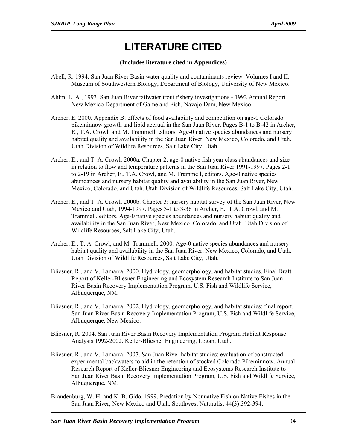# **LITERATURE CITED**

#### **(Includes literature cited in Appendices)**

- Abell, R. 1994. San Juan River Basin water quality and contaminants review. Volumes I and II. Museum of Southwestern Biology, Department of Biology, University of New Mexico.
- Ahlm, L. A., 1993. San Juan River tailwater trout fishery investigations 1992 Annual Report. New Mexico Department of Game and Fish, Navajo Dam, New Mexico.
- Archer, E. 2000. Appendix B: effects of food availability and competition on age-0 Colorado pikeminnow growth and lipid accrual in the San Juan River. Pages B-1 to B-42 in Archer, E., T.A. Crowl, and M. Trammell, editors. Age-0 native species abundances and nursery habitat quality and availability in the San Juan River, New Mexico, Colorado, and Utah. Utah Division of Wildlife Resources, Salt Lake City, Utah.
- Archer, E., and T. A. Crowl. 2000a. Chapter 2: age-0 native fish year class abundances and size in relation to flow and temperature patterns in the San Juan River 1991-1997. Pages 2-1 to 2-19 in Archer, E., T.A. Crowl, and M. Trammell, editors. Age-0 native species abundances and nursery habitat quality and availability in the San Juan River, New Mexico, Colorado, and Utah. Utah Division of Wildlife Resources, Salt Lake City, Utah.
- Archer, E., and T. A. Crowl. 2000b. Chapter 3: nursery habitat survey of the San Juan River, New Mexico and Utah, 1994-1997. Pages 3-1 to 3-36 in Archer, E., T.A. Crowl, and M. Trammell, editors. Age-0 native species abundances and nursery habitat quality and availability in the San Juan River, New Mexico, Colorado, and Utah. Utah Division of Wildlife Resources, Salt Lake City, Utah.
- Archer, E., T. A. Crowl, and M. Trammell. 2000. Age-0 native species abundances and nursery habitat quality and availability in the San Juan River, New Mexico, Colorado, and Utah. Utah Division of Wildlife Resources, Salt Lake City, Utah.
- Bliesner, R., and V. Lamarra. 2000. Hydrology, geomorphology, and habitat studies. Final Draft Report of Keller-Bliesner Engineering and Ecosystem Research Institute to San Juan River Basin Recovery Implementation Program, U.S. Fish and Wildlife Service, Albuquerque, NM.
- Bliesner, R., and V. Lamarra. 2002. Hydrology, geomorphology, and habitat studies; final report. San Juan River Basin Recovery Implementation Program, U.S. Fish and Wildlife Service, Albuquerque, New Mexico.
- Bliesner, R. 2004. San Juan River Basin Recovery Implementation Program Habitat Response Analysis 1992-2002. Keller-Bliesner Engineering, Logan, Utah.
- Bliesner, R., and V. Lamarra. 2007. San Juan River habitat studies; evaluation of constructed experimental backwaters to aid in the retention of stocked Colorado Pikeminnow. Annual Research Report of Keller-Bliesner Engineering and Ecosystems Research Institute to San Juan River Basin Recovery Implementation Program, U.S. Fish and Wildlife Service, Albuquerque, NM.
- Brandenburg, W. H. and K. B. Gido. 1999. Predation by Nonnative Fish on Native Fishes in the San Juan River, New Mexico and Utah. Southwest Naturalist 44(3):392-394.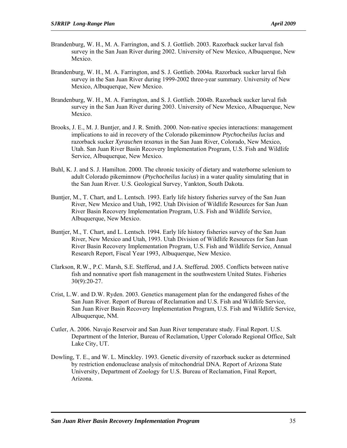- Brandenburg, W. H., M. A. Farrington, and S. J. Gottlieb. 2003. Razorback sucker larval fish survey in the San Juan River during 2002. University of New Mexico, Albuquerque, New Mexico.
- Brandenburg, W. H., M. A. Farrington, and S. J. Gottlieb. 2004a. Razorback sucker larval fish survey in the San Juan River during 1999-2002 three-year summary. University of New Mexico, Albuquerque, New Mexico.
- Brandenburg, W. H., M. A. Farrington, and S. J. Gottlieb. 2004b. Razorback sucker larval fish survey in the San Juan River during 2003. University of New Mexico, Albuquerque, New Mexico.
- Brooks, J. E., M. J. Buntjer, and J. R. Smith. 2000. Non-native species interactions: management implications to aid in recovery of the Colorado pikeminnow *Ptychocheilus lucius* and razorback sucker *Xyrauchen texanus* in the San Juan River, Colorado, New Mexico, Utah. San Juan River Basin Recovery Implementation Program, U.S. Fish and Wildlife Service, Albuquerque, New Mexico.
- Buhl, K. J. and S. J. Hamilton. 2000. The chronic toxicity of dietary and waterborne selenium to adult Colorado pikeminnow (*Ptychocheilus lucius*) in a water quality simulating that in the San Juan River. U.S. Geological Survey, Yankton, South Dakota.
- Buntjer, M., T. Chart, and L. Lentsch. 1993. Early life history fisheries survey of the San Juan River, New Mexico and Utah, 1992. Utah Division of Wildlife Resources for San Juan River Basin Recovery Implementation Program, U.S. Fish and Wildlife Service, Albuquerque, New Mexico.
- Buntjer, M., T. Chart, and L. Lentsch. 1994. Early life history fisheries survey of the San Juan River, New Mexico and Utah, 1993. Utah Division of Wildlife Resources for San Juan River Basin Recovery Implementation Program, U.S. Fish and Wildlife Service, Annual Research Report, Fiscal Year 1993, Albuquerque, New Mexico.
- Clarkson, R.W., P.C. Marsh, S.E. Stefferud, and J.A. Stefferud. 2005. Conflicts between native fish and nonnative sport fish management in the southwestern United States. Fisheries 30(9):20-27.
- Crist, L.W. and D.W. Ryden. 2003. Genetics management plan for the endangered fishes of the San Juan River. Report of Bureau of Reclamation and U.S. Fish and Wildlife Service, San Juan River Basin Recovery Implementation Program, U.S. Fish and Wildlife Service, Albuquerque, NM.
- Cutler, A. 2006. Navajo Reservoir and San Juan River temperature study. Final Report. U.S. Department of the Interior, Bureau of Reclamation, Upper Colorado Regional Office, Salt Lake City, UT.
- Dowling, T. E., and W. L. Minckley. 1993. Genetic diversity of razorback sucker as determined by restriction endonuclease analysis of mitochondrial DNA. Report of Arizona State University, Department of Zoology for U.S. Bureau of Reclamation, Final Report, Arizona.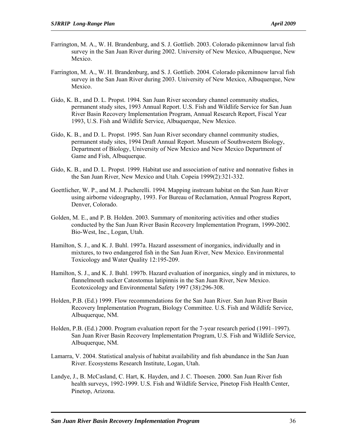- Farrington, M. A., W. H. Brandenburg, and S. J. Gottlieb. 2003. Colorado pikeminnow larval fish survey in the San Juan River during 2002. University of New Mexico, Albuquerque, New Mexico.
- Farrington, M. A., W. H. Brandenburg, and S. J. Gottlieb. 2004. Colorado pikeminnow larval fish survey in the San Juan River during 2003. University of New Mexico, Albuquerque, New Mexico.
- Gido, K. B., and D. L. Propst. 1994. San Juan River secondary channel community studies, permanent study sites, 1993 Annual Report. U.S. Fish and Wildlife Service for San Juan River Basin Recovery Implementation Program, Annual Research Report, Fiscal Year 1993, U.S. Fish and Wildlife Service, Albuquerque, New Mexico.
- Gido, K. B., and D. L. Propst. 1995. San Juan River secondary channel community studies, permanent study sites, 1994 Draft Annual Report. Museum of Southwestern Biology, Department of Biology, University of New Mexico and New Mexico Department of Game and Fish, Albuquerque.
- Gido, K. B., and D. L. Propst. 1999. Habitat use and association of native and nonnative fishes in the San Juan River, New Mexico and Utah. Copeia 1999(2):321-332.
- Goettlicher, W. P., and M. J. Pucherelli. 1994. Mapping instream habitat on the San Juan River using airborne videography, 1993. For Bureau of Reclamation, Annual Progress Report, Denver, Colorado.
- Golden, M. E., and P. B. Holden. 2003. Summary of monitoring activities and other studies conducted by the San Juan River Basin Recovery Implementation Program, 1999-2002. Bio-West, Inc., Logan, Utah.
- Hamilton, S. J., and K. J. Buhl. 1997a. Hazard assessment of inorganics, individually and in mixtures, to two endangered fish in the San Juan River, New Mexico. Environmental Toxicology and Water Quality 12:195-209.
- Hamilton, S. J., and K. J. Buhl. 1997b. Hazard evaluation of inorganics, singly and in mixtures, to flannelmouth sucker Catostomus latipinnis in the San Juan River, New Mexico. Ecotoxicology and Environmental Safety 1997 (38):296-308.
- Holden, P.B. (Ed.) 1999. Flow recommendations for the San Juan River. San Juan River Basin Recovery Implementation Program, Biology Committee. U.S. Fish and Wildlife Service, Albuquerque, NM.
- Holden, P.B. (Ed.) 2000. Program evaluation report for the 7-year research period (1991–1997). San Juan River Basin Recovery Implementation Program, U.S. Fish and Wildlife Service, Albuquerque, NM.
- Lamarra, V. 2004. Statistical analysis of habitat availability and fish abundance in the San Juan River. Ecosystems Research Institute, Logan, Utah.
- Landye, J., B. McCasland, C. Hart, K. Hayden, and J. C. Thoesen. 2000. San Juan River fish health surveys, 1992-1999. U.S. Fish and Wildlife Service, Pinetop Fish Health Center, Pinetop, Arizona.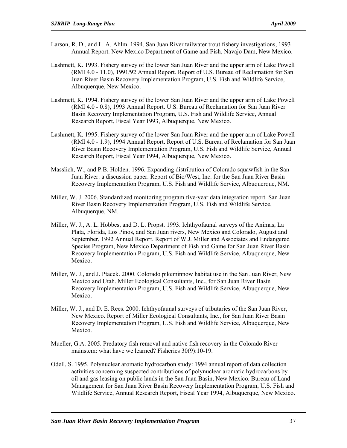- Larson, R. D., and L. A. Ahlm. 1994. San Juan River tailwater trout fishery investigations, 1993 Annual Report. New Mexico Department of Game and Fish, Navajo Dam, New Mexico.
- Lashmett, K. 1993. Fishery survey of the lower San Juan River and the upper arm of Lake Powell (RMI 4.0 - 11.0), 1991/92 Annual Report. Report of U.S. Bureau of Reclamation for San Juan River Basin Recovery Implementation Program, U.S. Fish and Wildlife Service, Albuquerque, New Mexico.
- Lashmett, K. 1994. Fishery survey of the lower San Juan River and the upper arm of Lake Powell (RMI 4.0 - 0.8), 1993 Annual Report. U.S. Bureau of Reclamation for San Juan River Basin Recovery Implementation Program, U.S. Fish and Wildlife Service, Annual Research Report, Fiscal Year 1993, Albuquerque, New Mexico.
- Lashmett, K. 1995. Fishery survey of the lower San Juan River and the upper arm of Lake Powell (RMI 4.0 - 1.9), 1994 Annual Report. Report of U.S. Bureau of Reclamation for San Juan River Basin Recovery Implementation Program, U.S. Fish and Wildlife Service, Annual Research Report, Fiscal Year 1994, Albuquerque, New Mexico.
- Masslich, W., and P.B. Holden. 1996. Expanding distribution of Colorado squawfish in the San Juan River: a discussion paper. Report of Bio/West, Inc. for the San Juan River Basin Recovery Implementation Program, U.S. Fish and Wildlife Service, Albuquerque, NM.
- Miller, W. J. 2006. Standardized monitoring program five-year data integration report. San Juan River Basin Recovery Implementation Program, U.S. Fish and Wildlife Service, Albuquerque, NM.
- Miller, W. J., A. L. Hobbes, and D. L. Propst. 1993. Ichthyofaunal surveys of the Animas, La Plata, Florida, Los Pinos, and San Juan rivers, New Mexico and Colorado, August and September, 1992 Annual Report. Report of W.J. Miller and Associates and Endangered Species Program, New Mexico Department of Fish and Game for San Juan River Basin Recovery Implementation Program, U.S. Fish and Wildlife Service, Albuquerque, New Mexico.
- Miller, W. J., and J. Ptacek. 2000. Colorado pikeminnow habitat use in the San Juan River, New Mexico and Utah. Miller Ecological Consultants, Inc., for San Juan River Basin Recovery Implementation Program, U.S. Fish and Wildlife Service, Albuquerque, New Mexico.
- Miller, W. J., and D. E. Rees. 2000. Ichthyofaunal surveys of tributaries of the San Juan River, New Mexico. Report of Miller Ecological Consultants, Inc., for San Juan River Basin Recovery Implementation Program, U.S. Fish and Wildlife Service, Albuquerque, New Mexico.
- Mueller, G.A. 2005. Predatory fish removal and native fish recovery in the Colorado River mainstem: what have we learned? Fisheries 30(9):10-19.
- Odell, S. 1995. Polynuclear aromatic hydrocarbon study: 1994 annual report of data collection activities concerning suspected contributions of polynuclear aromatic hydrocarbons by oil and gas leasing on public lands in the San Juan Basin, New Mexico. Bureau of Land Management for San Juan River Basin Recovery Implementation Program, U.S. Fish and Wildlife Service, Annual Research Report, Fiscal Year 1994, Albuquerque, New Mexico.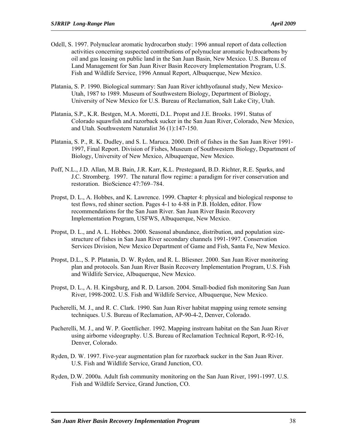- Odell, S. 1997. Polynuclear aromatic hydrocarbon study: 1996 annual report of data collection activities concerning suspected contributions of polynuclear aromatic hydrocarbons by oil and gas leasing on public land in the San Juan Basin, New Mexico. U.S. Bureau of Land Management for San Juan River Basin Recovery Implementation Program, U.S. Fish and Wildlife Service, 1996 Annual Report, Albuquerque, New Mexico.
- Platania, S. P. 1990. Biological summary: San Juan River ichthyofaunal study, New Mexico-Utah, 1987 to 1989. Museum of Southwestern Biology, Department of Biology, University of New Mexico for U.S. Bureau of Reclamation, Salt Lake City, Utah.
- Platania, S.P., K.R. Bestgen, M.A. Moretti, D.L. Propst and J.E. Brooks. 1991. Status of Colorado squawfish and razorback sucker in the San Juan River, Colorado, New Mexico, and Utah. Southwestern Naturalist 36 (1):147-150.
- Platania, S. P., R. K. Dudley, and S. L. Maruca. 2000. Drift of fishes in the San Juan River 1991- 1997, Final Report. Division of Fishes, Museum of Southwestern Biology, Department of Biology, University of New Mexico, Albuquerque, New Mexico.
- Poff, N.L., J.D. Allan, M.B. Bain, J.R. Karr, K.L. Prestegaard, B.D. Richter, R.E. Sparks, and J.C. Stromberg. 1997. The natural flow regime: a paradigm for river conservation and restoration. BioScience 47:769–784.
- Propst, D. L., A. Hobbes, and K. Lawrence. 1999. Chapter 4: physical and biological response to test flows, red shiner section. Pages 4-1 to 4-88 in P.B. Holden, editor. Flow recommendations for the San Juan River. San Juan River Basin Recovery Implementation Program, USFWS, Albuquerque, New Mexico.
- Propst, D. L., and A. L. Hobbes. 2000. Seasonal abundance, distribution, and population sizestructure of fishes in San Juan River secondary channels 1991-1997. Conservation Services Division, New Mexico Department of Game and Fish, Santa Fe, New Mexico.
- Propst, D.L., S. P. Platania, D. W. Ryden, and R. L. Bliesner. 2000. San Juan River monitoring plan and protocols. San Juan River Basin Recovery Implementation Program, U.S. Fish and Wildlife Service, Albuquerque, New Mexico.
- Propst, D. L., A. H. Kingsburg, and R. D. Larson. 2004. Small-bodied fish monitoring San Juan River, 1998-2002. U.S. Fish and Wildlife Service, Albuquerque, New Mexico.
- Pucherelli, M. J., and R. C. Clark. 1990. San Juan River habitat mapping using remote sensing techniques. U.S. Bureau of Reclamation, AP-90-4-2, Denver, Colorado.
- Pucherelli, M. J., and W. P. Goettlicher. 1992. Mapping instream habitat on the San Juan River using airborne videography. U.S. Bureau of Reclamation Technical Report, R-92-16, Denver, Colorado.
- Ryden, D. W. 1997. Five-year augmentation plan for razorback sucker in the San Juan River. U.S. Fish and Wildlife Service, Grand Junction, CO.
- Ryden, D.W. 2000a. Adult fish community monitoring on the San Juan River, 1991-1997. U.S. Fish and Wildlife Service, Grand Junction, CO.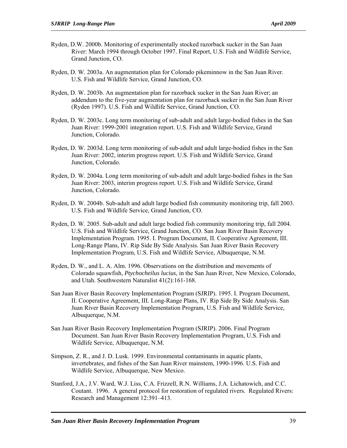- Ryden, D.W. 2000b. Monitoring of experimentally stocked razorback sucker in the San Juan River: March 1994 through October 1997. Final Report, U.S. Fish and Wildlife Service, Grand Junction, CO.
- Ryden, D. W. 2003a. An augmentation plan for Colorado pikeminnow in the San Juan River. U.S. Fish and Wildlife Service, Grand Junction, CO.
- Ryden, D. W. 2003b. An augmentation plan for razorback sucker in the San Juan River; an addendum to the five-year augmentation plan for razorback sucker in the San Juan River (Ryden 1997). U.S. Fish and Wildlife Service, Grand Junction, CO.
- Ryden, D. W. 2003c. Long term monitoring of sub-adult and adult large-bodied fishes in the San Juan River: 1999-2001 integration report. U.S. Fish and Wildlife Service, Grand Junction, Colorado.
- Ryden, D. W. 2003d. Long term monitoring of sub-adult and adult large-bodied fishes in the San Juan River: 2002, interim progress report. U.S. Fish and Wildlife Service, Grand Junction, Colorado.
- Ryden, D. W. 2004a. Long term monitoring of sub-adult and adult large-bodied fishes in the San Juan River: 2003, interim progress report. U.S. Fish and Wildlife Service, Grand Junction, Colorado.
- Ryden, D. W. 2004b. Sub-adult and adult large bodied fish community monitoring trip, fall 2003. U.S. Fish and Wildlife Service, Grand Junction, CO.
- Ryden, D. W. 2005. Sub-adult and adult large bodied fish community monitoring trip, fall 2004. U.S. Fish and Wildlife Service, Grand Junction, CO. San Juan River Basin Recovery Implementation Program. 1995. I. Program Document, II. Cooperative Agreement, III. Long-Range Plans, IV. Rip Side By Side Analysis. San Juan River Basin Recovery Implementation Program, U.S. Fish and Wildlife Service, Albuquerque, N.M.
- Ryden, D. W., and L. A. Alm. 1996. Observations on the distribution and movements of Colorado squawfish, *Ptychocheilus lucius*, in the San Juan River, New Mexico, Colorado, and Utah. Southwestern Naturalist 41(2):161-168.
- San Juan River Basin Recovery Implementation Program (SJRIP). 1995. I. Program Document, II. Cooperative Agreement, III. Long-Range Plans, IV. Rip Side By Side Analysis. San Juan River Basin Recovery Implementation Program, U.S. Fish and Wildlife Service, Albuquerque, N.M.
- San Juan River Basin Recovery Implementation Program (SJRIP). 2006. Final Program Document. San Juan River Basin Recovery Implementation Program, U.S. Fish and Wildlife Service, Albuquerque, N.M.
- Simpson, Z. R., and J. D. Lusk. 1999. Environmental contaminants in aquatic plants, invertebrates, and fishes of the San Juan River mainstem, 1990-1996. U.S. Fish and Wildlife Service, Albuquerque, New Mexico.
- Stanford, J.A., J.V. Ward, W.J. Liss, C.A. Frizzell, R.N. Williams, J.A. Lichatowich, and C.C. Coutant. 1996. A general protocol for restoration of regulated rivers. Regulated Rivers: Research and Management 12:391–413.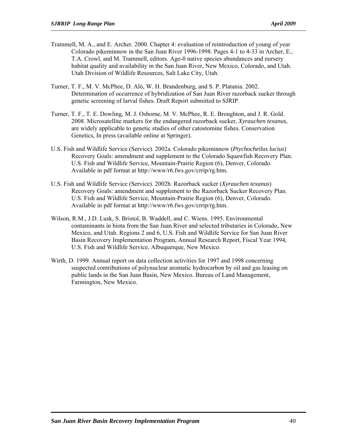- Trammell, M. A., and E. Archer. 2000. Chapter 4: evaluation of reintroduction of young of year Colorado pikeminnow in the San Juan River 1996-1998. Pages 4-1 to 4-33 in Archer, E., T.A. Crowl, and M. Trammell, editors. Age-0 native species abundances and nursery habitat quality and availability in the San Juan River, New Mexico, Colorado, and Utah. Utah Division of Wildlife Resources, Salt Lake City, Utah.
- Turner, T. F., M. V. McPhee, D. Alò, W. H. Brandenburg, and S. P. Platania. 2002. Determination of occurrence of hybridization of San Juan River razorback sucker through genetic screening of larval fishes. Draft Report submitted to SJRIP.
- Turner, T. F., T. E. Dowling, M. J. Osborne, M. V. McPhee, R. E. Broughton, and J. R. Gold. 2008. Microsatellite markers for the endangered razorback sucker, *Xyrauchen texanus*, are widely applicable to genetic studies of other catostomine fishes. Conservation Genetics, In press (available online at Springer).
- U.S. Fish and Wildlife Service (Service). 2002a. Colorado pikeminnow (*Ptychocheilus lucius*) Recovery Goals: amendment and supplement to the Colorado Squawfish Recovery Plan. U.S. Fish and Wildlife Service, Mountain-Prairie Region (6), Denver, Colorado. Available in pdf format at http://www/r6.fws.gov/crrip/rg.htm.
- U.S. Fish and Wildlife Service (Service). 2002b. Razorback sucker (*Xyrauchen texanus*) Recovery Goals: amendment and supplement to the Razorback Sucker Recovery Plan. U.S. Fish and Wildlife Service, Mountain-Prairie Region (6), Denver, Colorado. Available in pdf format at http://www/r6.fws.gov/crrip/rg.htm.
- Wilson, R.M., J.D. Lusk, S. Bristol, B. Waddell, and C. Wiens. 1995. Environmental contaminants in biota from the San Juan River and selected tributaries in Colorado, New Mexico, and Utah. Regions 2 and 6, U.S. Fish and Wildlife Service for San Juan River Basin Recovery Implementation Program, Annual Research Report, Fiscal Year 1994, U.S. Fish and Wildlife Service, Albuquerque, New Mexico.
- Wirth, D. 1999. Annual report on data collection activities for 1997 and 1998 concerning suspected contributions of polynuclear aromatic hydrocarbon by oil and gas leasing on public lands in the San Juan Basin, New Mexico. Bureau of Land Management, Farmington, New Mexico.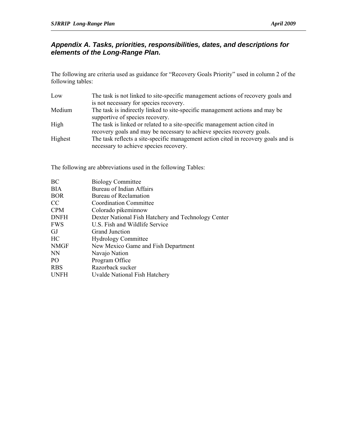#### *Appendix A. Tasks, priorities, responsibilities, dates, and descriptions for elements of the Long-Range Plan.*

The following are criteria used as guidance for "Recovery Goals Priority" used in column 2 of the following tables:

| Low     | The task is not linked to site-specific management actions of recovery goals and   |
|---------|------------------------------------------------------------------------------------|
|         | is not necessary for species recovery.                                             |
| Medium  | The task is indirectly linked to site-specific management actions and may be       |
|         | supportive of species recovery.                                                    |
| High    | The task is linked or related to a site-specific management action cited in        |
|         | recovery goals and may be necessary to achieve species recovery goals.             |
| Highest | The task reflects a site-specific management action cited in recovery goals and is |
|         | necessary to achieve species recovery.                                             |

The following are abbreviations used in the following Tables:

| ВC          | <b>Biology Committee</b>                            |
|-------------|-----------------------------------------------------|
| <b>BIA</b>  | Bureau of Indian Affairs                            |
| <b>BOR</b>  | Bureau of Reclamation                               |
| CC          | Coordination Committee                              |
| <b>CPM</b>  | Colorado pikeminnow                                 |
| <b>DNFH</b> | Dexter National Fish Hatchery and Technology Center |
| <b>FWS</b>  | U.S. Fish and Wildlife Service                      |
| GJ          | <b>Grand Junction</b>                               |
| HС          | <b>Hydrology Committee</b>                          |
| <b>NMGF</b> | New Mexico Game and Fish Department                 |
| NN          | Navajo Nation                                       |
| PO          | Program Office                                      |
| <b>RBS</b>  | Razorback sucker                                    |
| <b>UNFH</b> | Uvalde National Fish Hatchery                       |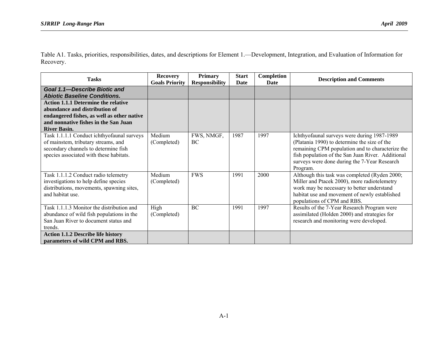Table A1. Tasks, priorities, responsibilities, dates, and descriptions for Element 1.—Development, Integration, and Evaluation of Information for Recovery.

| <b>Tasks</b>                                                                                                                                                                             | <b>Recovery</b><br><b>Goals Priority</b> | <b>Primary</b><br><b>Responsibility</b> | <b>Start</b><br>Date | Completion<br>Date | <b>Description and Comments</b>                                                                                                                                                                                                                                  |
|------------------------------------------------------------------------------------------------------------------------------------------------------------------------------------------|------------------------------------------|-----------------------------------------|----------------------|--------------------|------------------------------------------------------------------------------------------------------------------------------------------------------------------------------------------------------------------------------------------------------------------|
| <b>Goal 1.1-Describe Biotic and</b><br><b>Abiotic Baseline Conditions.</b>                                                                                                               |                                          |                                         |                      |                    |                                                                                                                                                                                                                                                                  |
| <b>Action 1.1.1 Determine the relative</b><br>abundance and distribution of<br>endangered fishes, as well as other native<br>and nonnative fishes in the San Juan<br><b>River Basin.</b> |                                          |                                         |                      |                    |                                                                                                                                                                                                                                                                  |
| Task 1.1.1.1 Conduct ichthyofaunal surveys<br>of mainstem, tributary streams, and<br>secondary channels to determine fish<br>species associated with these habitats.                     | Medium<br>(Completed)                    | FWS, NMGF,<br>BC.                       | 1987                 | 1997               | Ichthyofaunal surveys were during 1987-1989<br>(Platania 1990) to determine the size of the<br>remaining CPM population and to characterize the<br>fish population of the San Juan River. Additional<br>surveys were done during the 7-Year Research<br>Program. |
| Task 1.1.1.2 Conduct radio telemetry<br>investigations to help define species<br>distributions, movements, spawning sites,<br>and habitat use.                                           | Medium<br>(Completed)                    | <b>FWS</b>                              | 1991                 | 2000               | Although this task was completed (Ryden 2000;<br>Miller and Ptacek 2000), more radiotelemetry<br>work may be necessary to better understand<br>habitat use and movement of newly established<br>populations of CPM and RBS.                                      |
| Task 1.1.1.3 Monitor the distribution and<br>abundance of wild fish populations in the<br>San Juan River to document status and<br>trends.                                               | High<br>(Completed)                      | BC                                      | 1991                 | 1997               | Results of the 7-Year Research Program were<br>assimilated (Holden 2000) and strategies for<br>research and monitoring were developed.                                                                                                                           |
| <b>Action 1.1.2 Describe life history</b><br>parameters of wild CPM and RBS.                                                                                                             |                                          |                                         |                      |                    |                                                                                                                                                                                                                                                                  |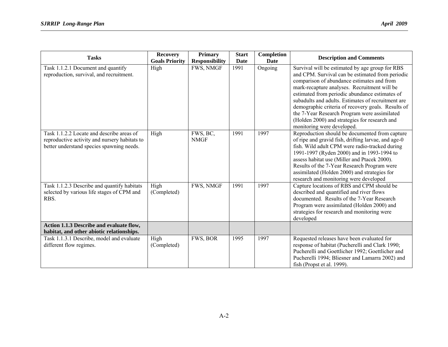| <b>Tasks</b>                                                                                                                            | <b>Recovery</b>       | <b>Primary</b>          | <b>Start</b> | Completion  | <b>Description and Comments</b>                                                                                                                                                                                                                                                                                                                                                                                                                                  |
|-----------------------------------------------------------------------------------------------------------------------------------------|-----------------------|-------------------------|--------------|-------------|------------------------------------------------------------------------------------------------------------------------------------------------------------------------------------------------------------------------------------------------------------------------------------------------------------------------------------------------------------------------------------------------------------------------------------------------------------------|
|                                                                                                                                         | <b>Goals Priority</b> | <b>Responsibility</b>   | Date         | <b>Date</b> |                                                                                                                                                                                                                                                                                                                                                                                                                                                                  |
| Task 1.1.2.1 Document and quantify<br>reproduction, survival, and recruitment.                                                          | High                  | <b>FWS, NMGF</b>        | 1991         | Ongoing     | Survival will be estimated by age group for RBS<br>and CPM. Survival can be estimated from periodic<br>comparison of abundance estimates and from<br>mark-recapture analyses. Recruitment will be<br>estimated from periodic abundance estimates of<br>subadults and adults. Estimates of recruitment are<br>demographic criteria of recovery goals. Results of<br>the 7-Year Research Program were assimilated<br>(Holden 2000) and strategies for research and |
| Task 1.1.2.2 Locate and describe areas of<br>reproductive activity and nursery habitats to<br>better understand species spawning needs. | High                  | FWS, BC,<br><b>NMGF</b> | 1991         | 1997        | monitoring were developed.<br>Reproduction should be documented from capture<br>of ripe and gravid fish, drifting larvae, and age-0<br>fish. Wild adult CPM were radio-tracked during<br>1991-1997 (Ryden 2000) and in 1993-1994 to<br>assess habitat use (Miller and Ptacek 2000).<br>Results of the 7-Year Research Program were<br>assimilated (Holden 2000) and strategies for<br>research and monitoring were developed                                     |
| Task 1.1.2.3 Describe and quantify habitats<br>selected by various life stages of CPM and<br>RBS.                                       | High<br>(Completed)   | FWS, NMGF               | 1991         | 1997        | Capture locations of RBS and CPM should be<br>described and quantified and river flows<br>documented. Results of the 7-Year Research<br>Program were assimilated (Holden 2000) and<br>strategies for research and monitoring were<br>developed                                                                                                                                                                                                                   |
| Action 1.1.3 Describe and evaluate flow,<br>habitat, and other abiotic relationships.                                                   |                       |                         |              |             |                                                                                                                                                                                                                                                                                                                                                                                                                                                                  |
| Task 1.1.3.1 Describe, model and evaluate<br>different flow regimes.                                                                    | High<br>(Completed)   | FWS, BOR                | 1995         | 1997        | Requested releases have been evaluated for<br>response of habitat (Pucherelli and Clark 1990;<br>Pucherelli and Goettlicher 1992; Goettlicher and<br>Pucherelli 1994; Bliesner and Lamarra 2002) and<br>fish (Propst et al. 1999).                                                                                                                                                                                                                               |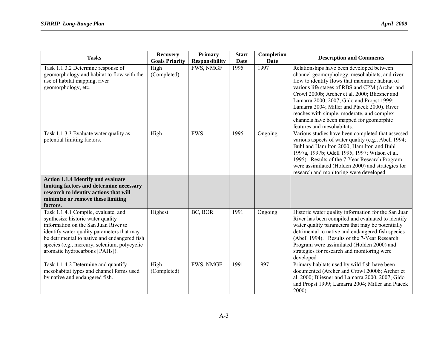| <b>Tasks</b>                                                                                                                                                                                                                                                                                     | <b>Recovery</b><br><b>Goals Priority</b> | <b>Primary</b><br><b>Responsibility</b> | <b>Start</b><br>Date | Completion<br><b>Date</b> | <b>Description and Comments</b>                                                                                                                                                                                                                                                                                                                                                                                                                                        |
|--------------------------------------------------------------------------------------------------------------------------------------------------------------------------------------------------------------------------------------------------------------------------------------------------|------------------------------------------|-----------------------------------------|----------------------|---------------------------|------------------------------------------------------------------------------------------------------------------------------------------------------------------------------------------------------------------------------------------------------------------------------------------------------------------------------------------------------------------------------------------------------------------------------------------------------------------------|
| Task 1.1.3.2 Determine response of<br>geomorphology and habitat to flow with the<br>use of habitat mapping, river<br>geomorphology, etc.                                                                                                                                                         | High<br>(Completed)                      | FWS, NMGF                               | 1995                 | 1997                      | Relationships have been developed between<br>channel geomorphology, mesohabitats, and river<br>flow to identify flows that maximize habitat of<br>various life stages of RBS and CPM (Archer and<br>Crowl 2000b; Archer et al. 2000; Bliesner and<br>Lamarra 2000, 2007; Gido and Propst 1999;<br>Lamarra 2004; Miller and Ptacek 2000). River<br>reaches with simple, moderate, and complex<br>channels have been mapped for geomorphic<br>features and mesohabitats. |
| Task 1.1.3.3 Evaluate water quality as<br>potential limiting factors.                                                                                                                                                                                                                            | High                                     | <b>FWS</b>                              | 1995                 | Ongoing                   | Various studies have been completed that assessed<br>various aspects of water quality (e.g., Abell 1994;<br>Buhl and Hamilton 2000; Hamilton and Buhl<br>1997a, 1997b; Odell 1995, 1997; Wilson et al.<br>1995). Results of the 7-Year Research Program<br>were assimilated (Holden 2000) and strategies for<br>research and monitoring were developed                                                                                                                 |
| <b>Action 1.1.4 Identify and evaluate</b><br>limiting factors and determine necessary<br>research to identity actions that will<br>minimize or remove these limiting<br>factors.                                                                                                                 |                                          |                                         |                      |                           |                                                                                                                                                                                                                                                                                                                                                                                                                                                                        |
| Task 1.1.4.1 Compile, evaluate, and<br>synthesize historic water quality<br>information on the San Juan River to<br>identify water quality parameters that may<br>be detrimental to native and endangered fish<br>species (e.g., mercury, selenium, polycyclic<br>aromatic hydrocarbons [PAHs]). | Highest                                  | BC, BOR                                 | 1991                 | Ongoing                   | Historic water quality information for the San Juan<br>River has been compiled and evaluated to identify<br>water quality parameters that may be potentially<br>detrimental to native and endangered fish species<br>(Abell 1994). Results of the 7-Year Research<br>Program were assimilated (Holden 2000) and<br>strategies for research and monitoring were<br>developed                                                                                            |
| Task 1.1.4.2 Determine and quantify<br>mesohabitat types and channel forms used<br>by native and endangered fish.                                                                                                                                                                                | High<br>(Completed)                      | FWS, NMGF                               | 1991                 | 1997                      | Primary habitats used by wild fish have been<br>documented (Archer and Crowl 2000b; Archer et<br>al. 2000; Bliesner and Lamarra 2000, 2007; Gido<br>and Propst 1999; Lamarra 2004; Miller and Ptacek<br>2000).                                                                                                                                                                                                                                                         |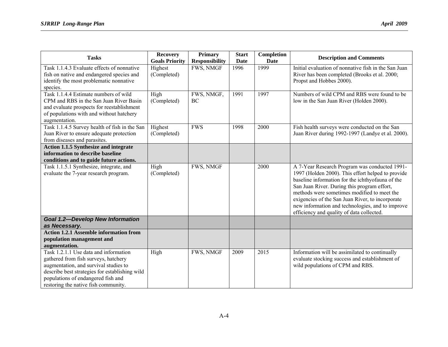| <b>Tasks</b>                                                                                                                                                                                                                                           | <b>Recovery</b><br><b>Goals Priority</b> | <b>Primary</b><br><b>Responsibility</b> | <b>Start</b><br>Date | Completion<br>Date | <b>Description and Comments</b>                                                                                                                                                                                                                                                                                                                                                                           |
|--------------------------------------------------------------------------------------------------------------------------------------------------------------------------------------------------------------------------------------------------------|------------------------------------------|-----------------------------------------|----------------------|--------------------|-----------------------------------------------------------------------------------------------------------------------------------------------------------------------------------------------------------------------------------------------------------------------------------------------------------------------------------------------------------------------------------------------------------|
| Task 1.1.4.3 Evaluate effects of nonnative<br>fish on native and endangered species and<br>identify the most problematic nonnative<br>species.                                                                                                         | Highest<br>(Completed)                   | FWS, NMGF                               | 1996                 | 1999               | Initial evaluation of nonnative fish in the San Juan<br>River has been completed (Brooks et al. 2000;<br>Propst and Hobbes 2000).                                                                                                                                                                                                                                                                         |
| Task 1.1.4.4 Estimate numbers of wild<br>CPM and RBS in the San Juan River Basin<br>and evaluate prospects for reestablishment<br>of populations with and without hatchery<br>augmentation.                                                            | High<br>(Completed)                      | FWS, NMGF,<br>BC                        | 1991                 | 1997               | Numbers of wild CPM and RBS were found to be<br>low in the San Juan River (Holden 2000).                                                                                                                                                                                                                                                                                                                  |
| Task 1.1.4.5 Survey health of fish in the San<br>Juan River to ensure adequate protection<br>from diseases and parasites.                                                                                                                              | Highest<br>(Completed)                   | <b>FWS</b>                              | 1998                 | 2000               | Fish health surveys were conducted on the San<br>Juan River during 1992-1997 (Landye et al. 2000).                                                                                                                                                                                                                                                                                                        |
| <b>Action 1.1.5 Synthesize and integrate</b><br>information to describe baseline<br>conditions and to guide future actions.                                                                                                                            |                                          |                                         |                      |                    |                                                                                                                                                                                                                                                                                                                                                                                                           |
| Task 1.1.5.1 Synthesize, integrate, and<br>evaluate the 7-year research program.                                                                                                                                                                       | High<br>(Completed)                      | FWS, NMGF                               |                      | 2000               | A 7-Year Research Program was conducted 1991-<br>1997 (Holden 2000). This effort helped to provide<br>baseline information for the ichthyofauna of the<br>San Juan River. During this program effort,<br>methods were sometimes modified to meet the<br>exigencies of the San Juan River, to incorporate<br>new information and technologies, and to improve<br>efficiency and quality of data collected. |
| <b>Goal 1.2-Develop New Information</b><br>as Necessary.                                                                                                                                                                                               |                                          |                                         |                      |                    |                                                                                                                                                                                                                                                                                                                                                                                                           |
| <b>Action 1.2.1 Assemble information from</b><br>population management and<br>augmentation.                                                                                                                                                            |                                          |                                         |                      |                    |                                                                                                                                                                                                                                                                                                                                                                                                           |
| Task 1.2.1.1 Use data and information<br>gathered from fish surveys, hatchery<br>augmentation, and survival studies to<br>describe best strategies for establishing wild<br>populations of endangered fish and<br>restoring the native fish community. | High                                     | FWS, NMGF                               | 2009                 | 2015               | Information will be assimilated to continually<br>evaluate stocking success and establishment of<br>wild populations of CPM and RBS.                                                                                                                                                                                                                                                                      |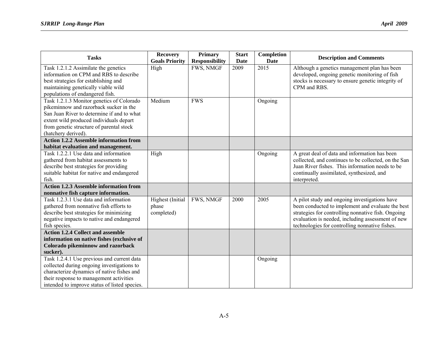| <b>Tasks</b>                                                                                                                                                                                                                                    | <b>Recovery</b><br><b>Goals Priority</b> | <b>Primary</b><br><b>Responsibility</b> | <b>Start</b><br>Date | Completion<br><b>Date</b> | <b>Description and Comments</b>                                                                                                                                                                                                                                 |
|-------------------------------------------------------------------------------------------------------------------------------------------------------------------------------------------------------------------------------------------------|------------------------------------------|-----------------------------------------|----------------------|---------------------------|-----------------------------------------------------------------------------------------------------------------------------------------------------------------------------------------------------------------------------------------------------------------|
| Task 1.2.1.2 Assimilate the genetics<br>information on CPM and RBS to describe<br>best strategies for establishing and<br>maintaining genetically viable wild<br>populations of endangered fish.                                                | High                                     | FWS, NMGF                               | 2009                 | 2015                      | Although a genetics management plan has been<br>developed, ongoing genetic monitoring of fish<br>stocks is necessary to ensure genetic integrity of<br>CPM and RBS.                                                                                             |
| Task 1.2.1.3 Monitor genetics of Colorado<br>pikeminnow and razorback sucker in the<br>San Juan River to determine if and to what<br>extent wild produced individuals depart<br>from genetic structure of parental stock<br>(hatchery derived). | Medium                                   | <b>FWS</b>                              |                      | Ongoing                   |                                                                                                                                                                                                                                                                 |
| <b>Action 1.2.2 Assemble information from</b><br>habitat evaluation and management.                                                                                                                                                             |                                          |                                         |                      |                           |                                                                                                                                                                                                                                                                 |
| Task 1.2.2.1 Use data and information<br>gathered from habitat assessments to<br>describe best strategies for providing<br>suitable habitat for native and endangered<br>fish.<br><b>Action 1.2.3 Assemble information from</b>                 | High                                     |                                         |                      | Ongoing                   | A great deal of data and information has been<br>collected, and continues to be collected, on the San<br>Juan River fishes. This information needs to be<br>continually assimilated, synthesized, and<br>interpreted.                                           |
| nonnative fish capture information.                                                                                                                                                                                                             |                                          |                                         |                      |                           |                                                                                                                                                                                                                                                                 |
| Task 1.2.3.1 Use data and information<br>gathered from nonnative fish efforts to<br>describe best strategies for minimizing<br>negative impacts to native and endangered<br>fish species.                                                       | Highest (Initial<br>phase<br>completed)  | FWS, NMGF                               | 2000                 | 2005                      | A pilot study and ongoing investigations have<br>been conducted to implement and evaluate the best<br>strategies for controlling nonnative fish. Ongoing<br>evaluation is needed, including assessment of new<br>technologies for controlling nonnative fishes. |
| <b>Action 1.2.4 Collect and assemble</b><br>information on native fishes (exclusive of                                                                                                                                                          |                                          |                                         |                      |                           |                                                                                                                                                                                                                                                                 |
| Colorado pikeminnow and razorback                                                                                                                                                                                                               |                                          |                                         |                      |                           |                                                                                                                                                                                                                                                                 |
| sucker).                                                                                                                                                                                                                                        |                                          |                                         |                      |                           |                                                                                                                                                                                                                                                                 |
| Task 1.2.4.1 Use previous and current data<br>collected during ongoing investigations to<br>characterize dynamics of native fishes and<br>their response to management activities<br>intended to improve status of listed species.              |                                          |                                         |                      | Ongoing                   |                                                                                                                                                                                                                                                                 |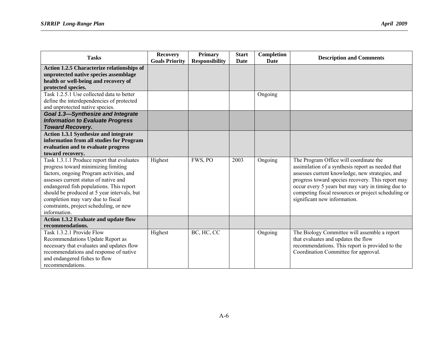| <b>Tasks</b>                                 | <b>Recovery</b>       | <b>Primary</b>        | <b>Start</b> | Completion | <b>Description and Comments</b>                     |
|----------------------------------------------|-----------------------|-----------------------|--------------|------------|-----------------------------------------------------|
|                                              | <b>Goals Priority</b> | <b>Responsibility</b> | Date         | Date       |                                                     |
| Action 1.2.5 Characterize relationships of   |                       |                       |              |            |                                                     |
| unprotected native species assemblage        |                       |                       |              |            |                                                     |
| health or well-being and recovery of         |                       |                       |              |            |                                                     |
| protected species.                           |                       |                       |              |            |                                                     |
| Task 1.2.5.1 Use collected data to better    |                       |                       |              | Ongoing    |                                                     |
| define the interdependencies of protected    |                       |                       |              |            |                                                     |
| and unprotected native species.              |                       |                       |              |            |                                                     |
| <b>Goal 1.3-Synthesize and Integrate</b>     |                       |                       |              |            |                                                     |
| <b>Information to Evaluate Progress</b>      |                       |                       |              |            |                                                     |
| <b>Toward Recovery.</b>                      |                       |                       |              |            |                                                     |
| <b>Action 1.3.1 Synthesize and integrate</b> |                       |                       |              |            |                                                     |
| information from all studies for Program     |                       |                       |              |            |                                                     |
| evaluation and to evaluate progress          |                       |                       |              |            |                                                     |
| toward recovery.                             |                       |                       |              |            |                                                     |
| Task 1.3.1.1 Produce report that evaluates   | Highest               | FWS, PO               | 2003         | Ongoing    | The Program Office will coordinate the              |
| progress toward minimizing limiting          |                       |                       |              |            | assimilation of a synthesis report as needed that   |
| factors, ongoing Program activities, and     |                       |                       |              |            | assesses current knowledge, new strategies, and     |
| assesses current status of native and        |                       |                       |              |            | progress toward species recovery. This report may   |
| endangered fish populations. This report     |                       |                       |              |            | occur every 5 years but may vary in timing due to   |
| should be produced at 5 year intervals, but  |                       |                       |              |            | competing fiscal resources or project scheduling or |
| completion may vary due to fiscal            |                       |                       |              |            | significant new information.                        |
| constraints, project scheduling, or new      |                       |                       |              |            |                                                     |
| information.                                 |                       |                       |              |            |                                                     |
| <b>Action 1.3.2 Evaluate and update flow</b> |                       |                       |              |            |                                                     |
| recommendations.                             |                       |                       |              |            |                                                     |
| Task 1.3.2.1 Provide Flow                    | Highest               | BC, HC, CC            |              | Ongoing    | The Biology Committee will assemble a report        |
| Recommendations Update Report as             |                       |                       |              |            | that evaluates and updates the flow                 |
| necessary that evaluates and updates flow    |                       |                       |              |            | recommendations. This report is provided to the     |
| recommendations and response of native       |                       |                       |              |            | Coordination Committee for approval.                |
| and endangered fishes to flow                |                       |                       |              |            |                                                     |
| recommendations.                             |                       |                       |              |            |                                                     |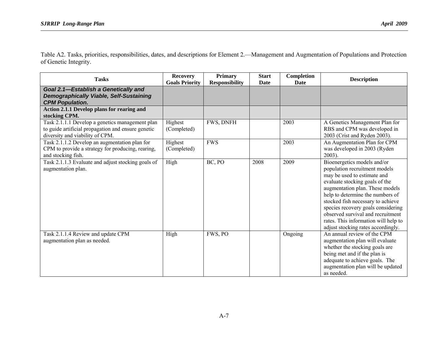Table A2. Tasks, priorities, responsibilities, dates, and descriptions for Element 2.—Management and Augmentation of Populations and Protection of Genetic Integrity.

| <b>Tasks</b>                                                                                                                             | <b>Recovery</b><br><b>Goals Priority</b> | Primary<br><b>Responsibility</b> | <b>Start</b><br>Date | Completion<br>Date | <b>Description</b>                                                                                                                                                                                                                                                                                                                                                                                 |
|------------------------------------------------------------------------------------------------------------------------------------------|------------------------------------------|----------------------------------|----------------------|--------------------|----------------------------------------------------------------------------------------------------------------------------------------------------------------------------------------------------------------------------------------------------------------------------------------------------------------------------------------------------------------------------------------------------|
| Goal 2.1-Establish a Genetically and<br><b>Demographically Viable, Self-Sustaining</b><br><b>CPM Population.</b>                         |                                          |                                  |                      |                    |                                                                                                                                                                                                                                                                                                                                                                                                    |
| <b>Action 2.1.1 Develop plans for rearing and</b><br>stocking CPM.                                                                       |                                          |                                  |                      |                    |                                                                                                                                                                                                                                                                                                                                                                                                    |
| Task 2.1.1.1 Develop a genetics management plan<br>to guide artificial propagation and ensure genetic<br>diversity and viability of CPM. | Highest<br>(Completed)                   | FWS, DNFH                        |                      | 2003               | A Genetics Management Plan for<br>RBS and CPM was developed in<br>2003 (Crist and Ryden 2003).                                                                                                                                                                                                                                                                                                     |
| Task 2.1.1.2 Develop an augmentation plan for<br>CPM to provide a strategy for producing, rearing,<br>and stocking fish.                 | Highest<br>(Completed)                   | <b>FWS</b>                       |                      | 2003               | An Augmentation Plan for CPM<br>was developed in 2003 (Ryden<br>$2003$ ).                                                                                                                                                                                                                                                                                                                          |
| Task 2.1.1.3 Evaluate and adjust stocking goals of<br>augmentation plan.                                                                 | High                                     | BC, PO                           | 2008                 | 2009               | Bioenergetics models and/or<br>population recruitment models<br>may be used to estimate and<br>evaluate stocking goals of the<br>augmentation plan. These models<br>help to determine the numbers of<br>stocked fish necessary to achieve<br>species recovery goals considering<br>observed survival and recruitment<br>rates. This information will help to<br>adjust stocking rates accordingly. |
| Task 2.1.1.4 Review and update CPM<br>augmentation plan as needed.                                                                       | High                                     | FWS, PO                          |                      | Ongoing            | An annual review of the CPM<br>augmentation plan will evaluate<br>whether the stocking goals are<br>being met and if the plan is<br>adequate to achieve goals. The<br>augmentation plan will be updated<br>as needed.                                                                                                                                                                              |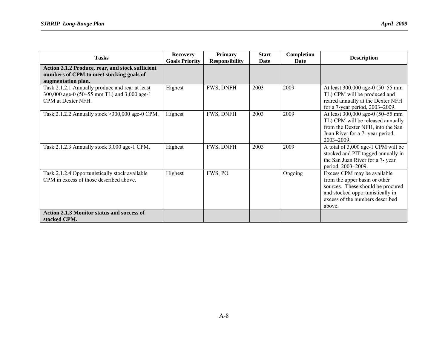| <b>Tasks</b>                                                                                                         | <b>Recovery</b><br><b>Goals Priority</b> | <b>Primary</b><br><b>Responsibility</b> | <b>Start</b><br>Date | Completion<br>Date | <b>Description</b>                                                                                                                                                                 |
|----------------------------------------------------------------------------------------------------------------------|------------------------------------------|-----------------------------------------|----------------------|--------------------|------------------------------------------------------------------------------------------------------------------------------------------------------------------------------------|
| Action 2.1.2 Produce, rear, and stock sufficient<br>numbers of CPM to meet stocking goals of<br>augmentation plan.   |                                          |                                         |                      |                    |                                                                                                                                                                                    |
| Task 2.1.2.1 Annually produce and rear at least<br>300,000 age-0 (50–55 mm TL) and 3,000 age-1<br>CPM at Dexter NFH. | Highest                                  | FWS, DNFH                               | 2003                 | 2009               | At least 300,000 age-0 (50-55 mm<br>TL) CPM will be produced and<br>reared annually at the Dexter NFH<br>for a 7-year period, 2003-2009.                                           |
| Task 2.1.2.2 Annually stock >300,000 age-0 CPM.                                                                      | Highest                                  | FWS, DNFH                               | 2003                 | 2009               | At least 300,000 age-0 (50-55 mm<br>TL) CPM will be released annually<br>from the Dexter NFH, into the San<br>Juan River for a 7- year period,<br>2003-2009.                       |
| Task 2.1.2.3 Annually stock 3,000 age-1 CPM.                                                                         | Highest                                  | FWS, DNFH                               | 2003                 | 2009               | A total of 3,000 age-1 CPM will be<br>stocked and PIT tagged annually in<br>the San Juan River for a 7- year<br>period, 2003-2009.                                                 |
| Task 2.1.2.4 Opportunistically stock available<br>CPM in excess of those described above.                            | Highest                                  | FWS, PO                                 |                      | Ongoing            | Excess CPM may be available<br>from the upper basin or other<br>sources. These should be procured<br>and stocked opportunistically in<br>excess of the numbers described<br>above. |
| <b>Action 2.1.3 Monitor status and success of</b><br>stocked CPM.                                                    |                                          |                                         |                      |                    |                                                                                                                                                                                    |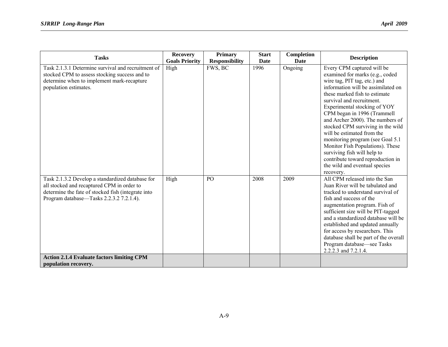| <b>Tasks</b>                                                                                                                                                                                     | <b>Recovery</b><br><b>Goals Priority</b> | Primary<br><b>Responsibility</b> | <b>Start</b><br><b>Date</b> | Completion<br><b>Date</b> | <b>Description</b>                                                                                                                                                                                                                                                                                                                                                                                                                                                                                                                                                |
|--------------------------------------------------------------------------------------------------------------------------------------------------------------------------------------------------|------------------------------------------|----------------------------------|-----------------------------|---------------------------|-------------------------------------------------------------------------------------------------------------------------------------------------------------------------------------------------------------------------------------------------------------------------------------------------------------------------------------------------------------------------------------------------------------------------------------------------------------------------------------------------------------------------------------------------------------------|
| Task 2.1.3.1 Determine survival and recruitment of<br>stocked CPM to assess stocking success and to<br>determine when to implement mark-recapture<br>population estimates.                       | High                                     | FWS, BC                          | 1996                        | Ongoing                   | Every CPM captured will be<br>examined for marks (e.g., coded<br>wire tag, PIT tag, etc.) and<br>information will be assimilated on<br>these marked fish to estimate<br>survival and recruitment.<br>Experimental stocking of YOY<br>CPM began in 1996 (Trammell<br>and Archer 2000). The numbers of<br>stocked CPM surviving in the wild<br>will be estimated from the<br>monitoring program (see Goal 5.1<br>Monitor Fish Populations). These<br>surviving fish will help to<br>contribute toward reproduction in<br>the wild and eventual species<br>recovery. |
| Task 2.1.3.2 Develop a standardized database for<br>all stocked and recaptured CPM in order to<br>determine the fate of stocked fish (integrate into<br>Program database—Tasks 2.2.3.2 7.2.1.4). | High                                     | PO                               | 2008                        | 2009                      | All CPM released into the San<br>Juan River will be tabulated and<br>tracked to understand survival of<br>fish and success of the<br>augmentation program. Fish of<br>sufficient size will be PIT-tagged<br>and a standardized database will be<br>established and updated annually<br>for access by researchers. This<br>database shall be part of the overall<br>Program database—see Tasks<br>2.2.2.3 and 7.2.1.4.                                                                                                                                             |
| <b>Action 2.1.4 Evaluate factors limiting CPM</b><br>population recovery.                                                                                                                        |                                          |                                  |                             |                           |                                                                                                                                                                                                                                                                                                                                                                                                                                                                                                                                                                   |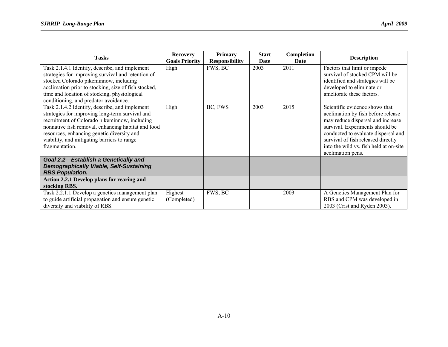| <b>Tasks</b>                                                                                                                                                                                                                                                                                                            | <b>Recovery</b><br><b>Goals Priority</b> | <b>Primary</b><br><b>Responsibility</b> | <b>Start</b><br>Date | Completion<br>Date | <b>Description</b>                                                                                                                                                                                                                                                                       |
|-------------------------------------------------------------------------------------------------------------------------------------------------------------------------------------------------------------------------------------------------------------------------------------------------------------------------|------------------------------------------|-----------------------------------------|----------------------|--------------------|------------------------------------------------------------------------------------------------------------------------------------------------------------------------------------------------------------------------------------------------------------------------------------------|
| Task 2.1.4.1 Identify, describe, and implement<br>strategies for improving survival and retention of<br>stocked Colorado pikeminnow, including<br>acclimation prior to stocking, size of fish stocked,<br>time and location of stocking, physiological<br>conditioning, and predator avoidance.                         | High                                     | FWS, BC                                 | 2003                 | 2011               | Factors that limit or impede<br>survival of stocked CPM will be<br>identified and strategies will be<br>developed to eliminate or<br>ameliorate these factors.                                                                                                                           |
| Task 2.1.4.2 Identify, describe, and implement<br>strategies for improving long-term survival and<br>recruitment of Colorado pikeminnow, including<br>nonnative fish removal, enhancing habitat and food<br>resources, enhancing genetic diversity and<br>viability, and mitigating barriers to range<br>fragmentation. | High                                     | BC, FWS                                 | 2003                 | 2015               | Scientific evidence shows that<br>acclimation by fish before release<br>may reduce dispersal and increase<br>survival. Experiments should be<br>conducted to evaluate dispersal and<br>survival of fish released directly<br>into the wild vs. fish held at on-site<br>acclimation pens. |
| Goal 2.2-Establish a Genetically and<br><b>Demographically Viable, Self-Sustaining</b><br><b>RBS Population.</b>                                                                                                                                                                                                        |                                          |                                         |                      |                    |                                                                                                                                                                                                                                                                                          |
| Action 2.2.1 Develop plans for rearing and<br>stocking RBS.                                                                                                                                                                                                                                                             |                                          |                                         |                      |                    |                                                                                                                                                                                                                                                                                          |
| Task 2.2.1.1 Develop a genetics management plan<br>to guide artificial propagation and ensure genetic<br>diversity and viability of RBS.                                                                                                                                                                                | Highest<br>(Completed)                   | FWS, BC                                 |                      | 2003               | A Genetics Management Plan for<br>RBS and CPM was developed in<br>2003 (Crist and Ryden 2003).                                                                                                                                                                                           |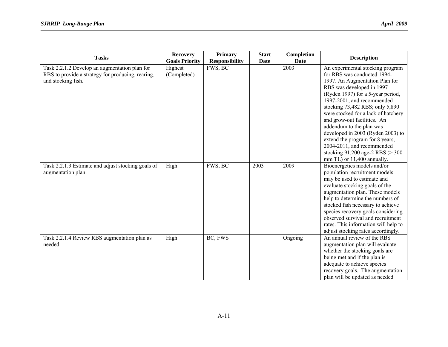| <b>Tasks</b>                                                                                                             | <b>Recovery</b>        | <b>Primary</b>        | <b>Start</b> | Completion  | <b>Description</b>                                                                                                                                                                                                                                                                                                                                                                                                                                                                                             |
|--------------------------------------------------------------------------------------------------------------------------|------------------------|-----------------------|--------------|-------------|----------------------------------------------------------------------------------------------------------------------------------------------------------------------------------------------------------------------------------------------------------------------------------------------------------------------------------------------------------------------------------------------------------------------------------------------------------------------------------------------------------------|
|                                                                                                                          | <b>Goals Priority</b>  | <b>Responsibility</b> | <b>Date</b>  | <b>Date</b> |                                                                                                                                                                                                                                                                                                                                                                                                                                                                                                                |
| Task 2.2.1.2 Develop an augmentation plan for<br>RBS to provide a strategy for producing, rearing,<br>and stocking fish. | Highest<br>(Completed) | FWS, BC               |              | 2003        | An experimental stocking program<br>for RBS was conducted 1994-<br>1997. An Augmentation Plan for<br>RBS was developed in 1997<br>(Ryden 1997) for a 5-year period,<br>1997-2001, and recommended<br>stocking 73,482 RBS; only 5,890<br>were stocked for a lack of hatchery<br>and grow-out facilities. An<br>addendum to the plan was<br>developed in 2003 (Ryden 2003) to<br>extend the program for 8 years,<br>2004-2011, and recommended<br>stocking 91,200 age-2 RBS (> 300<br>mm TL) or 11,400 annually. |
| Task 2.2.1.3 Estimate and adjust stocking goals of<br>augmentation plan.                                                 | High                   | FWS, BC               | 2003         | 2009        | Bioenergetics models and/or<br>population recruitment models<br>may be used to estimate and<br>evaluate stocking goals of the<br>augmentation plan. These models<br>help to determine the numbers of<br>stocked fish necessary to achieve<br>species recovery goals considering<br>observed survival and recruitment<br>rates. This information will help to<br>adjust stocking rates accordingly.                                                                                                             |
| Task 2.2.1.4 Review RBS augmentation plan as<br>needed.                                                                  | High                   | BC, FWS               |              | Ongoing     | An annual review of the RBS<br>augmentation plan will evaluate<br>whether the stocking goals are<br>being met and if the plan is<br>adequate to achieve species<br>recovery goals. The augmentation<br>plan will be updated as needed                                                                                                                                                                                                                                                                          |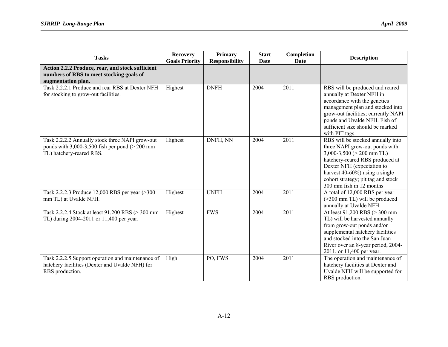| <b>Tasks</b>                                                                                                                       | <b>Recovery</b><br><b>Goals Priority</b> | <b>Primary</b><br><b>Responsibility</b> | <b>Start</b><br><b>Date</b> | Completion<br>Date | <b>Description</b>                                                                                                                                                                                                                                                         |
|------------------------------------------------------------------------------------------------------------------------------------|------------------------------------------|-----------------------------------------|-----------------------------|--------------------|----------------------------------------------------------------------------------------------------------------------------------------------------------------------------------------------------------------------------------------------------------------------------|
| Action 2.2.2 Produce, rear, and stock sufficient<br>numbers of RBS to meet stocking goals of<br>augmentation plan.                 |                                          |                                         |                             |                    |                                                                                                                                                                                                                                                                            |
| Task 2.2.2.1 Produce and rear RBS at Dexter NFH<br>for stocking to grow-out facilities.                                            | Highest                                  | <b>DNFH</b>                             | 2004                        | 2011               | RBS will be produced and reared<br>annually at Dexter NFH in<br>accordance with the genetics<br>management plan and stocked into<br>grow-out facilities; currently NAPI<br>ponds and Uvalde NFH. Fish of<br>sufficient size should be marked<br>with PIT tags.             |
| Task 2.2.2.2 Annually stock three NAPI grow-out<br>ponds with $3,000-3,500$ fish per pond ( $> 200$ mm<br>TL) hatchery-reared RBS. | Highest                                  | DNFH, NN                                | 2004                        | 2011               | RBS will be stocked annually into<br>three NAPI grow-out ponds with<br>$3,000-3,500$ ( $> 200$ mm TL)<br>hatchery-reared RBS produced at<br>Dexter NFH (expectation to<br>harvest 40-60%) using a single<br>cohort strategy; pit tag and stock<br>300 mm fish in 12 months |
| Task 2.2.2.3 Produce 12,000 RBS per year (>300<br>mm TL) at Uvalde NFH.                                                            | Highest                                  | <b>UNFH</b>                             | 2004                        | 2011               | A total of 12,000 RBS per year<br>(>300 mm TL) will be produced<br>annually at Uvalde NFH.                                                                                                                                                                                 |
| Task 2.2.2.4 Stock at least 91,200 RBS (> 300 mm<br>TL) during 2004-2011 or 11,400 per year.                                       | Highest                                  | <b>FWS</b>                              | 2004                        | 2011               | At least 91,200 RBS (> 300 mm<br>TL) will be harvested annually<br>from grow-out ponds and/or<br>supplemental hatchery facilities<br>and stocked into the San Juan<br>River over an 8-year period, 2004-<br>2011, or 11,400 per year.                                      |
| Task 2.2.2.5 Support operation and maintenance of<br>hatchery facilities (Dexter and Uvalde NFH) for<br>RBS production.            | High                                     | PO, FWS                                 | 2004                        | 2011               | The operation and maintenance of<br>hatchery facilities at Dexter and<br>Uvalde NFH will be supported for<br>RBS production.                                                                                                                                               |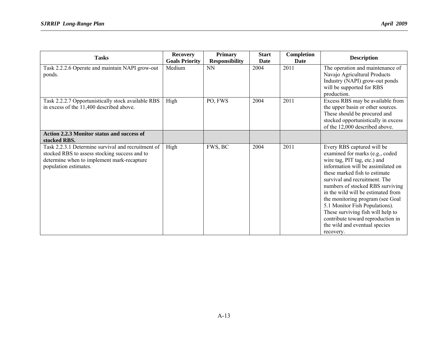| <b>Tasks</b>                                                                                                                                                               | <b>Recovery</b><br><b>Goals Priority</b> | <b>Primary</b><br><b>Responsibility</b> | <b>Start</b><br><b>Date</b> | Completion<br>Date | <b>Description</b>                                                                                                                                                                                                                                                                                                                                                                                                                                                            |
|----------------------------------------------------------------------------------------------------------------------------------------------------------------------------|------------------------------------------|-----------------------------------------|-----------------------------|--------------------|-------------------------------------------------------------------------------------------------------------------------------------------------------------------------------------------------------------------------------------------------------------------------------------------------------------------------------------------------------------------------------------------------------------------------------------------------------------------------------|
| Task 2.2.2.6 Operate and maintain NAPI grow-out<br>ponds.                                                                                                                  | Medium                                   | <b>NN</b>                               | 2004                        | 2011               | The operation and maintenance of<br>Navajo Agricultural Products<br>Industry (NAPI) grow-out ponds<br>will be supported for RBS<br>production.                                                                                                                                                                                                                                                                                                                                |
| Task 2.2.2.7 Opportunistically stock available RBS<br>in excess of the 11,400 described above.                                                                             | High                                     | PO, FWS                                 | 2004                        | 2011               | Excess RBS may be available from<br>the upper basin or other sources.<br>These should be procured and<br>stocked opportunistically in excess<br>of the 12,000 described above.                                                                                                                                                                                                                                                                                                |
| Action 2.2.3 Monitor status and success of<br>stocked RBS.                                                                                                                 |                                          |                                         |                             |                    |                                                                                                                                                                                                                                                                                                                                                                                                                                                                               |
| Task 2.2.3.1 Determine survival and recruitment of<br>stocked RBS to assess stocking success and to<br>determine when to implement mark-recapture<br>population estimates. | High                                     | FWS, BC                                 | 2004                        | 2011               | Every RBS captured will be<br>examined for marks (e.g., coded<br>wire tag, PIT tag, etc.) and<br>information will be assimilated on<br>these marked fish to estimate<br>survival and recruitment. The<br>numbers of stocked RBS surviving<br>in the wild will be estimated from<br>the monitoring program (see Goal<br>5.1 Monitor Fish Populations).<br>These surviving fish will help to<br>contribute toward reproduction in<br>the wild and eventual species<br>recovery. |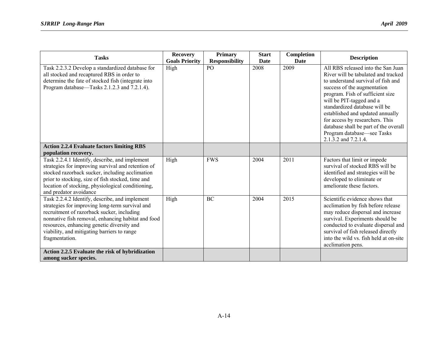| <b>Tasks</b>                                                                                                                                                                                                                                                                                                         | <b>Recovery</b><br><b>Goals Priority</b> | <b>Primary</b><br><b>Responsibility</b> | <b>Start</b><br><b>Date</b> | Completion<br>Date | <b>Description</b>                                                                                                                                                                                                                                                                                                                                                                                                    |
|----------------------------------------------------------------------------------------------------------------------------------------------------------------------------------------------------------------------------------------------------------------------------------------------------------------------|------------------------------------------|-----------------------------------------|-----------------------------|--------------------|-----------------------------------------------------------------------------------------------------------------------------------------------------------------------------------------------------------------------------------------------------------------------------------------------------------------------------------------------------------------------------------------------------------------------|
| Task 2.2.3.2 Develop a standardized database for<br>all stocked and recaptured RBS in order to<br>determine the fate of stocked fish (integrate into<br>Program database—Tasks 2.1.2.3 and 7.2.1.4).                                                                                                                 | High                                     | PO                                      | 2008                        | 2009               | All RBS released into the San Juan<br>River will be tabulated and tracked<br>to understand survival of fish and<br>success of the augmentation<br>program. Fish of sufficient size<br>will be PIT-tagged and a<br>standardized database will be<br>established and updated annually<br>for access by researchers. This<br>database shall be part of the overall<br>Program database—see Tasks<br>2.1.3.2 and 7.2.1.4. |
| <b>Action 2.2.4 Evaluate factors limiting RBS</b><br>population recovery.                                                                                                                                                                                                                                            |                                          |                                         |                             |                    |                                                                                                                                                                                                                                                                                                                                                                                                                       |
| Task 2.2.4.1 Identify, describe, and implement<br>strategies for improving survival and retention of<br>stocked razorback sucker, including acclimation<br>prior to stocking, size of fish stocked, time and<br>location of stocking, physiological conditioning,<br>and predator avoidance                          | High                                     | <b>FWS</b>                              | 2004                        | 2011               | Factors that limit or impede<br>survival of stocked RBS will be<br>identified and strategies will be<br>developed to eliminate or<br>ameliorate these factors.                                                                                                                                                                                                                                                        |
| Task 2.2.4.2 Identify, describe, and implement<br>strategies for improving long-term survival and<br>recruitment of razorback sucker, including<br>nonnative fish removal, enhancing habitat and food<br>resources, enhancing genetic diversity and<br>viability, and mitigating barriers to range<br>fragmentation. | High                                     | <b>BC</b>                               | 2004                        | 2015               | Scientific evidence shows that<br>acclimation by fish before release<br>may reduce dispersal and increase<br>survival. Experiments should be<br>conducted to evaluate dispersal and<br>survival of fish released directly<br>into the wild vs. fish held at on-site<br>acclimation pens.                                                                                                                              |
| Action 2.2.5 Evaluate the risk of hybridization<br>among sucker species.                                                                                                                                                                                                                                             |                                          |                                         |                             |                    |                                                                                                                                                                                                                                                                                                                                                                                                                       |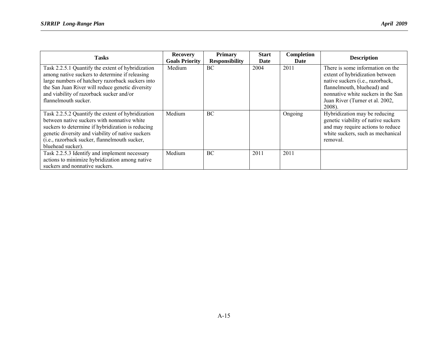| <b>Tasks</b>                                                                                                                                                                                                                                                                     | <b>Recovery</b><br><b>Goals Priority</b> | Primary<br><b>Responsibility</b> | <b>Start</b><br>Date | Completion<br>Date | <b>Description</b>                                                                                                                                                                                                        |
|----------------------------------------------------------------------------------------------------------------------------------------------------------------------------------------------------------------------------------------------------------------------------------|------------------------------------------|----------------------------------|----------------------|--------------------|---------------------------------------------------------------------------------------------------------------------------------------------------------------------------------------------------------------------------|
| Task 2.2.5.1 Quantify the extent of hybridization<br>among native suckers to determine if releasing<br>large numbers of hatchery razorback suckers into<br>the San Juan River will reduce genetic diversity<br>and viability of razorback sucker and/or<br>flannelmouth sucker.  | Medium                                   | <b>BC</b>                        | 2004                 | 2011               | There is some information on the<br>extent of hybridization between<br>native suckers (i.e., razorback,<br>flannelmouth, bluehead) and<br>nonnative white suckers in the San<br>Juan River (Turner et al. 2002,<br>2008). |
| Task 2.2.5.2 Quantify the extent of hybridization<br>between native suckers with nonnative white<br>suckers to determine if hybridization is reducing<br>genetic diversity and viability of native suckers<br>(i.e., razorback sucker, flannelmouth sucker,<br>bluehead sucker). | Medium                                   | <b>BC</b>                        |                      | Ongoing            | Hybridization may be reducing<br>genetic viability of native suckers<br>and may require actions to reduce<br>white suckers, such as mechanical<br>removal.                                                                |
| Task 2.2.5.3 Identify and implement necessary<br>actions to minimize hybridization among native<br>suckers and nonnative suckers.                                                                                                                                                | Medium                                   | <b>BC</b>                        | 2011                 | 2011               |                                                                                                                                                                                                                           |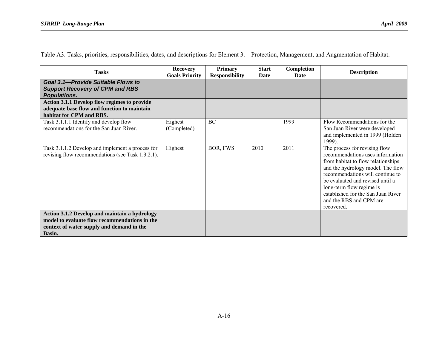Table A3. Tasks, priorities, responsibilities, dates, and descriptions for Element 3.—Protection, Management, and Augmentation of Habitat.

| <b>Tasks</b>                                                                                                                                          | <b>Recovery</b><br><b>Goals Priority</b> | <b>Primary</b><br><b>Responsibility</b> | <b>Start</b><br><b>Date</b> | Completion<br>Date | <b>Description</b>                                                                                                                                                                                                                                                                                                              |
|-------------------------------------------------------------------------------------------------------------------------------------------------------|------------------------------------------|-----------------------------------------|-----------------------------|--------------------|---------------------------------------------------------------------------------------------------------------------------------------------------------------------------------------------------------------------------------------------------------------------------------------------------------------------------------|
| Goal 3.1-Provide Suitable Flows to<br><b>Support Recovery of CPM and RBS</b><br><b>Populations.</b>                                                   |                                          |                                         |                             |                    |                                                                                                                                                                                                                                                                                                                                 |
| Action 3.1.1 Develop flow regimes to provide<br>adequate base flow and function to maintain<br>habitat for CPM and RBS.                               |                                          |                                         |                             |                    |                                                                                                                                                                                                                                                                                                                                 |
| Task 3.1.1.1 Identify and develop flow<br>recommendations for the San Juan River.                                                                     | Highest<br>(Completed)                   | <b>BC</b>                               |                             | 1999               | Flow Recommendations for the<br>San Juan River were developed<br>and implemented in 1999 (Holden<br>1999).                                                                                                                                                                                                                      |
| Task 3.1.1.2 Develop and implement a process for<br>revising flow recommendations (see Task 1.3.2.1).                                                 | Highest                                  | BOR, FWS                                | 2010                        | 2011               | The process for revising flow<br>recommendations uses information<br>from habitat to flow relationships<br>and the hydrology model. The flow<br>recommendations will continue to<br>be evaluated and revised until a<br>long-term flow regime is<br>established for the San Juan River<br>and the RBS and CPM are<br>recovered. |
| Action 3.1.2 Develop and maintain a hydrology<br>model to evaluate flow recommendations in the<br>context of water supply and demand in the<br>Basin. |                                          |                                         |                             |                    |                                                                                                                                                                                                                                                                                                                                 |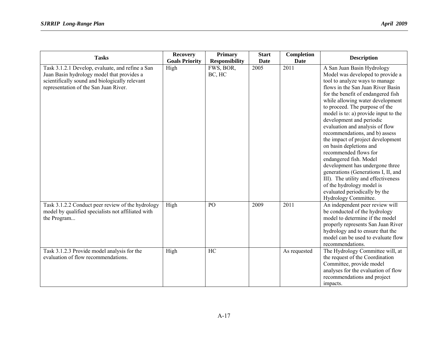| <b>Tasks</b>                                                                                                                                                                              | <b>Recovery</b><br><b>Goals Priority</b> | <b>Primary</b><br><b>Responsibility</b> | <b>Start</b><br><b>Date</b> | Completion<br><b>Date</b> | <b>Description</b>                                                                                                                                                                                                                                                                                                                                                                                                                                                                                                                                                                                                                                                                                                   |
|-------------------------------------------------------------------------------------------------------------------------------------------------------------------------------------------|------------------------------------------|-----------------------------------------|-----------------------------|---------------------------|----------------------------------------------------------------------------------------------------------------------------------------------------------------------------------------------------------------------------------------------------------------------------------------------------------------------------------------------------------------------------------------------------------------------------------------------------------------------------------------------------------------------------------------------------------------------------------------------------------------------------------------------------------------------------------------------------------------------|
| Task 3.1.2.1 Develop, evaluate, and refine a San<br>Juan Basin hydrology model that provides a<br>scientifically sound and biologically relevant<br>representation of the San Juan River. | High                                     | FWS, BOR,<br>BC, HC                     | 2005                        | $\overline{2011}$         | A San Juan Basin Hydrology<br>Model was developed to provide a<br>tool to analyze ways to manage<br>flows in the San Juan River Basin<br>for the benefit of endangered fish<br>while allowing water development<br>to proceed. The purpose of the<br>model is to: a) provide input to the<br>development and periodic<br>evaluation and analysis of flow<br>recommendations, and b) assess<br>the impact of project development<br>on basin depletions and<br>recommended flows for<br>endangered fish. Model<br>development has undergone three<br>generations (Generations I, II, and<br>III). The utility and effectiveness<br>of the hydrology model is<br>evaluated periodically by the<br>Hydrology Committee. |
| Task 3.1.2.2 Conduct peer review of the hydrology<br>model by qualified specialists not affiliated with<br>the Program                                                                    | High                                     | PO                                      | 2009                        | 2011                      | An independent peer review will<br>be conducted of the hydrology<br>model to determine if the model<br>properly represents San Juan River<br>hydrology and to ensure that the<br>model can be used to evaluate flow<br>recommendations.                                                                                                                                                                                                                                                                                                                                                                                                                                                                              |
| Task 3.1.2.3 Provide model analysis for the<br>evaluation of flow recommendations.                                                                                                        | High                                     | HC                                      |                             | As requested              | The Hydrology Committee will, at<br>the request of the Coordination<br>Committee, provide model<br>analyses for the evaluation of flow<br>recommendations and project<br>impacts.                                                                                                                                                                                                                                                                                                                                                                                                                                                                                                                                    |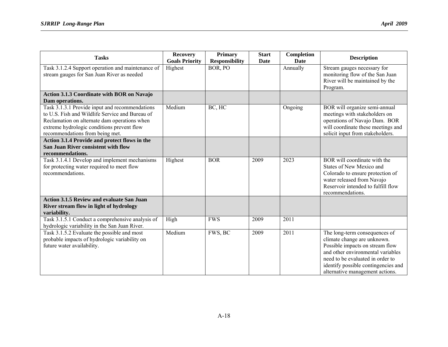| <b>Tasks</b>                                                                                                                                                                                                                       | <b>Recovery</b><br><b>Goals Priority</b> | <b>Primary</b><br><b>Responsibility</b> | <b>Start</b><br><b>Date</b> | Completion<br>Date | <b>Description</b>                                                                                                                                                                                                                                 |
|------------------------------------------------------------------------------------------------------------------------------------------------------------------------------------------------------------------------------------|------------------------------------------|-----------------------------------------|-----------------------------|--------------------|----------------------------------------------------------------------------------------------------------------------------------------------------------------------------------------------------------------------------------------------------|
| Task 3.1.2.4 Support operation and maintenance of<br>stream gauges for San Juan River as needed                                                                                                                                    | Highest                                  | BOR, PO                                 |                             | Annually           | Stream gauges necessary for<br>monitoring flow of the San Juan<br>River will be maintained by the<br>Program.                                                                                                                                      |
| <b>Action 3.1.3 Coordinate with BOR on Navajo</b><br>Dam operations.                                                                                                                                                               |                                          |                                         |                             |                    |                                                                                                                                                                                                                                                    |
| Task 3.1.3.1 Provide input and recommendations<br>to U.S. Fish and Wildlife Service and Bureau of<br>Reclamation on alternate dam operations when<br>extreme hydrologic conditions prevent flow<br>recommendations from being met. | Medium                                   | BC, HC                                  |                             | Ongoing            | BOR will organize semi-annual<br>meetings with stakeholders on<br>operations of Navajo Dam. BOR<br>will coordinate these meetings and<br>solicit input from stakeholders.                                                                          |
| Action 3.1.4 Provide and protect flows in the<br>San Juan River consistent with flow<br>recommendations.                                                                                                                           |                                          |                                         |                             |                    |                                                                                                                                                                                                                                                    |
| Task 3.1.4.1 Develop and implement mechanisms<br>for protecting water required to meet flow<br>recommendations.                                                                                                                    | Highest                                  | <b>BOR</b>                              | 2009                        | 2023               | BOR will coordinate with the<br>States of New Mexico and<br>Colorado to ensure protection of<br>water released from Navajo<br>Reservoir intended to fulfill flow<br>recommendations.                                                               |
| <b>Action 3.1.5 Review and evaluate San Juan</b><br>River stream flow in light of hydrology<br>variability.                                                                                                                        |                                          |                                         |                             |                    |                                                                                                                                                                                                                                                    |
| Task 3.1.5.1 Conduct a comprehensive analysis of<br>hydrologic variability in the San Juan River.                                                                                                                                  | High                                     | <b>FWS</b>                              | 2009                        | 2011               |                                                                                                                                                                                                                                                    |
| Task 3.1.5.2 Evaluate the possible and most<br>probable impacts of hydrologic variability on<br>future water availability.                                                                                                         | Medium                                   | FWS, BC                                 | 2009                        | 2011               | The long-term consequences of<br>climate change are unknown.<br>Possible impacts on stream flow<br>and other environmental variables<br>need to be evaluated in order to<br>identify possible contingencies and<br>alternative management actions. |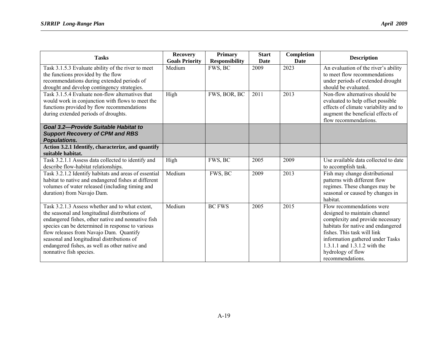| <b>Tasks</b>                                                                                                                                                                                                                                                                                                                                                                      | <b>Recovery</b><br><b>Goals Priority</b> | <b>Primary</b><br><b>Responsibility</b> | <b>Start</b><br>Date | Completion<br>Date | <b>Description</b>                                                                                                                                                                                                                                                              |
|-----------------------------------------------------------------------------------------------------------------------------------------------------------------------------------------------------------------------------------------------------------------------------------------------------------------------------------------------------------------------------------|------------------------------------------|-----------------------------------------|----------------------|--------------------|---------------------------------------------------------------------------------------------------------------------------------------------------------------------------------------------------------------------------------------------------------------------------------|
| Task 3.1.5.3 Evaluate ability of the river to meet<br>the functions provided by the flow<br>recommendations during extended periods of<br>drought and develop contingency strategies.                                                                                                                                                                                             | Medium                                   | FWS, BC                                 | 2009                 | 2023               | An evaluation of the river's ability<br>to meet flow recommendations<br>under periods of extended drought<br>should be evaluated.                                                                                                                                               |
| Task 3.1.5.4 Evaluate non-flow alternatives that<br>would work in conjunction with flows to meet the<br>functions provided by flow recommendations<br>during extended periods of droughts.                                                                                                                                                                                        | High                                     | FWS, BOR, BC                            | 2011                 | 2013               | Non-flow alternatives should be<br>evaluated to help offset possible<br>effects of climate variability and to<br>augment the beneficial effects of<br>flow recommendations.                                                                                                     |
| Goal 3.2-Provide Suitable Habitat to<br><b>Support Recovery of CPM and RBS</b><br>Populations.                                                                                                                                                                                                                                                                                    |                                          |                                         |                      |                    |                                                                                                                                                                                                                                                                                 |
| Action 3.2.1 Identify, characterize, and quantify<br>suitable habitat.                                                                                                                                                                                                                                                                                                            |                                          |                                         |                      |                    |                                                                                                                                                                                                                                                                                 |
| Task 3.2.1.1 Assess data collected to identify and<br>describe flow-habitat relationships.                                                                                                                                                                                                                                                                                        | High                                     | FWS, BC                                 | 2005                 | 2009               | Use available data collected to date<br>to accomplish task.                                                                                                                                                                                                                     |
| Task 3.2.1.2 Identify habitats and areas of essential<br>habitat to native and endangered fishes at different<br>volumes of water released (including timing and<br>duration) from Navajo Dam.                                                                                                                                                                                    | Medium                                   | FWS, BC                                 | 2009                 | 2013               | Fish may change distributional<br>patterns with different flow<br>regimes. These changes may be<br>seasonal or caused by changes in<br>habitat.                                                                                                                                 |
| Task 3.2.1.3 Assess whether and to what extent,<br>the seasonal and longitudinal distributions of<br>endangered fishes, other native and nonnative fish<br>species can be determined in response to various<br>flow releases from Navajo Dam. Quantify<br>seasonal and longitudinal distributions of<br>endangered fishes, as well as other native and<br>nonnative fish species. | Medium                                   | <b>BC FWS</b>                           | 2005                 | 2015               | Flow recommendations were<br>designed to maintain channel<br>complexity and provide necessary<br>habitats for native and endangered<br>fishes. This task will link<br>information gathered under Tasks<br>1.3.1.1 and 1.3.1.2 with the<br>hydrology of flow<br>recommendations. |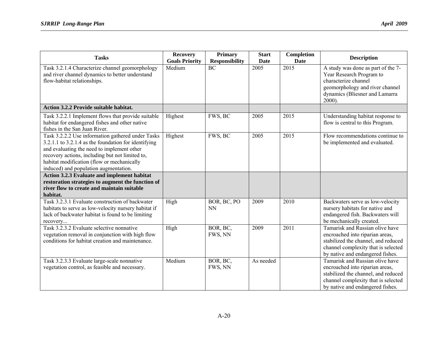| <b>Tasks</b>                                                                                                                                                                                                                                                                                      | <b>Recovery</b><br><b>Goals Priority</b> | <b>Primary</b><br><b>Responsibility</b> | <b>Start</b><br><b>Date</b> | Completion<br><b>Date</b> | <b>Description</b>                                                                                                                                                                   |
|---------------------------------------------------------------------------------------------------------------------------------------------------------------------------------------------------------------------------------------------------------------------------------------------------|------------------------------------------|-----------------------------------------|-----------------------------|---------------------------|--------------------------------------------------------------------------------------------------------------------------------------------------------------------------------------|
| Task 3.2.1.4 Characterize channel geomorphology<br>and river channel dynamics to better understand<br>flow-habitat relationships.                                                                                                                                                                 | Medium                                   | <b>BC</b>                               | 2005                        | 2015                      | A study was done as part of the 7-<br>Year Research Program to<br>characterize channel<br>geomorphology and river channel<br>dynamics (Bliesner and Lamarra<br>2000).                |
| Action 3.2.2 Provide suitable habitat.                                                                                                                                                                                                                                                            |                                          |                                         |                             |                           |                                                                                                                                                                                      |
| Task 3.2.2.1 Implement flows that provide suitable<br>habitat for endangered fishes and other native<br>fishes in the San Juan River.                                                                                                                                                             | Highest                                  | FWS, BC                                 | 2005                        | 2015                      | Understanding habitat response to<br>flow is central to this Program.                                                                                                                |
| Task 3.2.2.2 Use information gathered under Tasks<br>3.2.1.1 to 3.2.1.4 as the foundation for identifying<br>and evaluating the need to implement other<br>recovery actions, including but not limited to,<br>habitat modification (flow or mechanically<br>induced) and population augmentation. | Highest                                  | FWS, BC                                 | 2005                        | 2015                      | Flow recommendations continue to<br>be implemented and evaluated.                                                                                                                    |
| Action 3.2.3 Evaluate and implement habitat                                                                                                                                                                                                                                                       |                                          |                                         |                             |                           |                                                                                                                                                                                      |
| restoration strategies to augment the function of<br>river flow to create and maintain suitable<br>habitat.                                                                                                                                                                                       |                                          |                                         |                             |                           |                                                                                                                                                                                      |
| Task 3.2.3.1 Evaluate construction of backwater<br>habitats to serve as low-velocity nursery habitat if<br>lack of backwater habitat is found to be limiting<br>recovery                                                                                                                          | High                                     | BOR, BC, PO<br><b>NN</b>                | 2009                        | 2010                      | Backwaters serve as low-velocity<br>nursery habitats for native and<br>endangered fish. Backwaters will<br>be mechanically created.                                                  |
| Task 3.2.3.2 Evaluate selective nonnative<br>vegetation removal in conjunction with high flow<br>conditions for habitat creation and maintenance.                                                                                                                                                 | High                                     | BOR, BC,<br>FWS, NN                     | 2009                        | 2011                      | Tamarisk and Russian olive have<br>encroached into riparian areas,<br>stabilized the channel, and reduced<br>channel complexity that is selected<br>by native and endangered fishes. |
| Task 3.2.3.3 Evaluate large-scale nonnative<br>vegetation control, as feasible and necessary.                                                                                                                                                                                                     | Medium                                   | BOR, BC,<br>FWS, NN                     | As needed                   |                           | Tamarisk and Russian olive have<br>encroached into riparian areas,<br>stabilized the channel, and reduced<br>channel complexity that is selected<br>by native and endangered fishes. |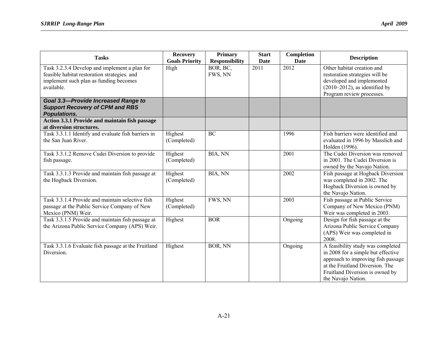| <b>Tasks</b>                                                                                                                                          | <b>Recovery</b><br><b>Goals Priority</b> | <b>Primary</b><br><b>Responsibility</b> | <b>Start</b><br><b>Date</b> | Completion<br>Date | <b>Description</b>                                                                                                                                                                                        |
|-------------------------------------------------------------------------------------------------------------------------------------------------------|------------------------------------------|-----------------------------------------|-----------------------------|--------------------|-----------------------------------------------------------------------------------------------------------------------------------------------------------------------------------------------------------|
| Task 3.2.3.4 Develop and implement a plan for<br>feasible habitat restoration strategies. and<br>implement such plan as funding becomes<br>available. | High                                     | BOR, BC,<br>FWS, NN                     | $\overline{2011}$           | 2012               | Other habitat creation and<br>restoration strategies will be<br>developed and implemented<br>$(2010-2012)$ , as identified by<br>Program review processes.                                                |
| <b>Goal 3.3-Provide Increased Range to</b><br><b>Support Recovery of CPM and RBS</b><br><b>Populations.</b>                                           |                                          |                                         |                             |                    |                                                                                                                                                                                                           |
| Action 3.3.1 Provide and maintain fish passage<br>at diversion structures.                                                                            |                                          |                                         |                             |                    |                                                                                                                                                                                                           |
| Task 3.3.1.1 Identify and evaluate fish barriers in<br>the San Juan River.                                                                            | Highest<br>(Completed)                   | <b>BC</b>                               |                             | 1996               | Fish barriers were identified and<br>evaluated in 1996 by Masslich and<br>Holden (1996).                                                                                                                  |
| Task 3.3.1.2 Remove Cudei Diversion to provide<br>fish passage.                                                                                       | Highest<br>(Completed)                   | BIA, NN                                 |                             | 2001               | The Cudei Diversion was removed<br>in 2001. The Cudei Diversion is<br>owned by the Navajo Nation.                                                                                                         |
| Task 3.3.1.3 Provide and maintain fish passage at<br>the Hogback Diversion.                                                                           | Highest<br>(Completed)                   | BIA, NN                                 |                             | 2002               | Fish passage at Hogback Diversion<br>was completed in 2002. The<br>Hogback Diversion is owned by<br>the Navajo Nation.                                                                                    |
| Task 3.3.1.4 Provide and maintain selective fish<br>passage at the Public Service Company of New<br>Mexico (PNM) Weir.                                | Highest<br>(Completed)                   | FWS, NN                                 |                             | 2003               | Fish passage at Public Service<br>Company of New Mexico (PNM)<br>Weir was completed in 2003.                                                                                                              |
| Task 3.3.1.5 Provide and maintain fish passage at<br>the Arizona Public Service Company (APS) Weir.                                                   | Highest                                  | <b>BOR</b>                              |                             | Ongoing            | Design for fish passage at the<br>Arizona Public Service Company<br>(APS) Weir was completed in<br>2008.                                                                                                  |
| Task 3.3.1.6 Evaluate fish passage at the Fruitland<br>Diversion.                                                                                     | Highest                                  | BOR, NN                                 |                             | Ongoing            | A feasibility study was completed<br>in 2008 for a simple but effective<br>approach to improving fish passage<br>at the Fruitland Diversion. The<br>Fruitland Diversion is owned by<br>the Navajo Nation. |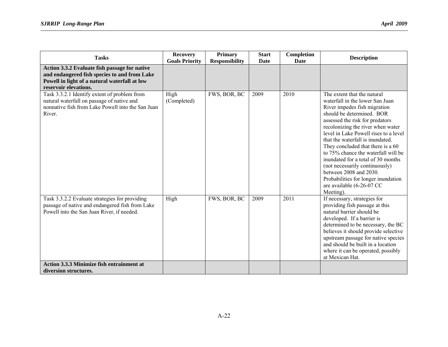| <b>Tasks</b>                                                                                                                                                            | <b>Recovery</b><br><b>Goals Priority</b> | <b>Primary</b><br><b>Responsibility</b> | <b>Start</b><br>Date | Completion<br>Date | <b>Description</b>                                                                                                                                                                                                                                                                                                                                                                                                                                                                                                                              |
|-------------------------------------------------------------------------------------------------------------------------------------------------------------------------|------------------------------------------|-----------------------------------------|----------------------|--------------------|-------------------------------------------------------------------------------------------------------------------------------------------------------------------------------------------------------------------------------------------------------------------------------------------------------------------------------------------------------------------------------------------------------------------------------------------------------------------------------------------------------------------------------------------------|
| Action 3.3.2 Evaluate fish passage for native<br>and endangered fish species to and from Lake<br>Powell in light of a natural waterfall at low<br>reservoir elevations. |                                          |                                         |                      |                    |                                                                                                                                                                                                                                                                                                                                                                                                                                                                                                                                                 |
| Task 3.3.2.1 Identify extent of problem from<br>natural waterfall on passage of native and<br>nonnative fish from Lake Powell into the San Juan<br>River.               | High<br>(Completed)                      | FWS, BOR, BC                            | 2009                 | 2010               | The extent that the natural<br>waterfall in the lower San Juan<br>River impedes fish migration<br>should be determined. BOR<br>assessed the risk for predators<br>recolonizing the river when water<br>level in Lake Powell rises to a level<br>that the waterfall is inundated.<br>They concluded that there is a 60<br>to 75% chance the waterfall will be<br>inundated for a total of 30 months<br>(not necessarily continuously)<br>between 2008 and 2030.<br>Probabilities for longer inundation<br>are available (6-26-07 CC<br>Meeting). |
| Task 3.3.2.2 Evaluate strategies for providing<br>passage of native and endangered fish from Lake<br>Powell into the San Juan River, if needed.                         | High                                     | FWS, BOR, BC                            | 2009                 | 2011               | If necessary, strategies for<br>providing fish passage at this<br>natural barrier should be<br>developed. If a barrier is<br>determined to be necessary, the BC<br>believes it should provide selective<br>upstream passage for native species<br>and should be built in a location<br>where it can be operated, possibly<br>at Mexican Hat.                                                                                                                                                                                                    |
| <b>Action 3.3.3 Minimize fish entrainment at</b><br>diversion structures.                                                                                               |                                          |                                         |                      |                    |                                                                                                                                                                                                                                                                                                                                                                                                                                                                                                                                                 |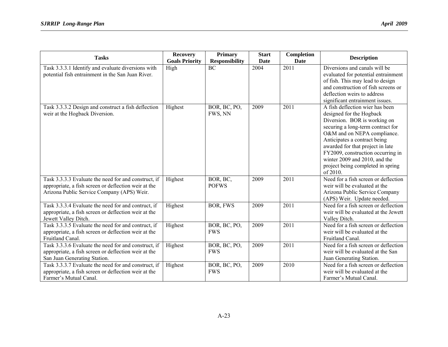| <b>Tasks</b>                                         | <b>Recovery</b>       | <b>Primary</b>                           | <b>Start</b> | Completion          | <b>Description</b>                                                      |
|------------------------------------------------------|-----------------------|------------------------------------------|--------------|---------------------|-------------------------------------------------------------------------|
|                                                      | <b>Goals Priority</b> | <b>Responsibility</b><br>$\overline{BC}$ | Date<br>2004 | <b>Date</b><br>2011 | Diversions and canals will be                                           |
| Task 3.3.3.1 Identify and evaluate diversions with   | High                  |                                          |              |                     |                                                                         |
| potential fish entrainment in the San Juan River.    |                       |                                          |              |                     | evaluated for potential entrainment                                     |
|                                                      |                       |                                          |              |                     | of fish. This may lead to design<br>and construction of fish screens or |
|                                                      |                       |                                          |              |                     | deflection weirs to address                                             |
|                                                      |                       |                                          |              |                     |                                                                         |
|                                                      |                       |                                          |              | 2011                | significant entrainment issues.<br>A fish deflection wier has been      |
| Task 3.3.3.2 Design and construct a fish deflection  | Highest               | BOR, BC, PO,<br>FWS, NN                  | 2009         |                     |                                                                         |
| weir at the Hogback Diversion.                       |                       |                                          |              |                     | designed for the Hogback                                                |
|                                                      |                       |                                          |              |                     | Diversion. BOR is working on                                            |
|                                                      |                       |                                          |              |                     | securing a long-term contract for<br>O&M and on NEPA compliance.        |
|                                                      |                       |                                          |              |                     | Anticipates a contract being                                            |
|                                                      |                       |                                          |              |                     | awarded for that project in late                                        |
|                                                      |                       |                                          |              |                     | FY2009, construction occurring in                                       |
|                                                      |                       |                                          |              |                     | winter 2009 and 2010, and the                                           |
|                                                      |                       |                                          |              |                     | project being completed in spring                                       |
|                                                      |                       |                                          |              |                     | of 2010.                                                                |
| Task 3.3.3.3 Evaluate the need for and construct, if | Highest               | BOR, BC,                                 | 2009         | $\overline{2011}$   | Need for a fish screen or deflection                                    |
| appropriate, a fish screen or deflection weir at the |                       | <b>POFWS</b>                             |              |                     | weir will be evaluated at the                                           |
| Arizona Public Service Company (APS) Weir.           |                       |                                          |              |                     | Arizona Public Service Company                                          |
|                                                      |                       |                                          |              |                     | (APS) Weir. Update needed.                                              |
| Task 3.3.3.4 Evaluate the need for and contruct, if  | Highest               | <b>BOR, FWS</b>                          | 2009         | 2011                | Need for a fish screen or deflection                                    |
| appropriate, a fish screen or deflection weir at the |                       |                                          |              |                     | weir will be evaluated at the Jewett                                    |
| Jewett Valley Ditch.                                 |                       |                                          |              |                     | Valley Ditch.                                                           |
| Task 3.3.3.5 Evaluate the need for and contruct, if  | Highest               | BOR, BC, PO,                             | 2009         | 2011                | Need for a fish screen or deflection                                    |
| appropriate, a fish screen or deflection weir at the |                       | <b>FWS</b>                               |              |                     | weir will be evaluated at the                                           |
| Fruitland Canal.                                     |                       |                                          |              |                     | Fruitland Canal.                                                        |
| Task 3.3.3.6 Evaluate the need for and construct, if | Highest               | BOR, BC, PO,                             | 2009         | 2011                | Need for a fish screen or deflection                                    |
| appropriate, a fish screen or deflection weir at the |                       | <b>FWS</b>                               |              |                     | weir will be evaluated at the San                                       |
| San Juan Generating Station.                         |                       |                                          |              |                     | Juan Generating Station.                                                |
| Task 3.3.3.7 Evaluate the need for and construct, if | Highest               | BOR, BC, PO,                             | 2009         | 2010                | Need for a fish screen or deflection                                    |
| appropriate, a fish screen or deflection weir at the |                       | <b>FWS</b>                               |              |                     | weir will be evaluated at the                                           |
| Farmer's Mutual Canal.                               |                       |                                          |              |                     | Farmer's Mutual Canal.                                                  |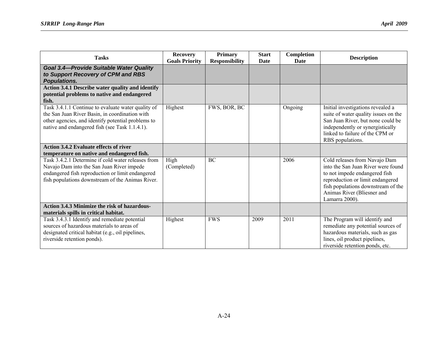| <b>Tasks</b>                                                                                                                                                                                                                                          | <b>Recovery</b><br><b>Goals Priority</b> | <b>Primary</b><br><b>Responsibility</b> | <b>Start</b><br>Date | Completion<br>Date | <b>Description</b>                                                                                                                                                                                                             |
|-------------------------------------------------------------------------------------------------------------------------------------------------------------------------------------------------------------------------------------------------------|------------------------------------------|-----------------------------------------|----------------------|--------------------|--------------------------------------------------------------------------------------------------------------------------------------------------------------------------------------------------------------------------------|
| <b>Goal 3.4-Provide Suitable Water Quality</b><br>to Support Recovery of CPM and RBS<br><b>Populations.</b>                                                                                                                                           |                                          |                                         |                      |                    |                                                                                                                                                                                                                                |
| Action 3.4.1 Describe water quality and identify<br>potential problems to native and endangered<br>fish.                                                                                                                                              |                                          |                                         |                      |                    |                                                                                                                                                                                                                                |
| Task 3.4.1.1 Continue to evaluate water quality of<br>the San Juan River Basin, in coordination with<br>other agencies, and identify potential problems to<br>native and endangered fish (see Task 1.1.4.1).                                          | Highest                                  | FWS, BOR, BC                            |                      | Ongoing            | Initial investigations revealed a<br>suite of water quality issues on the<br>San Juan River, but none could be<br>independently or synergistically<br>linked to failure of the CPM or<br>RBS populations.                      |
| <b>Action 3.4.2 Evaluate effects of river</b>                                                                                                                                                                                                         |                                          |                                         |                      |                    |                                                                                                                                                                                                                                |
| temperature on native and endangered fish.<br>Task 3.4.2.1 Determine if cold water releases from<br>Navajo Dam into the San Juan River impede<br>endangered fish reproduction or limit endangered<br>fish populations downstream of the Animas River. | High<br>(Completed)                      | <b>BC</b>                               |                      | 2006               | Cold releases from Navajo Dam<br>into the San Juan River were found<br>to not impede endangered fish<br>reproduction or limit endangered<br>fish populations downstream of the<br>Animas River (Bliesner and<br>Lamarra 2000). |
| <b>Action 3.4.3 Minimize the risk of hazardous-</b><br>materials spills in critical habitat.                                                                                                                                                          |                                          |                                         |                      |                    |                                                                                                                                                                                                                                |
| Task 3.4.3.1 Identify and remediate potential<br>sources of hazardous materials to areas of<br>designated critical habitat (e.g., oil pipelines,<br>riverside retention ponds).                                                                       | Highest                                  | <b>FWS</b>                              | 2009                 | 2011               | The Program will identify and<br>remediate any potential sources of<br>hazardous materials, such as gas<br>lines, oil product pipelines,<br>riverside retention ponds, etc.                                                    |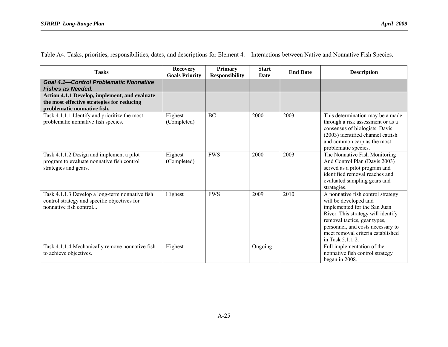| <b>Tasks</b>                                                                                                               | <b>Recovery</b><br><b>Goals Priority</b> | <b>Primary</b><br><b>Responsibility</b> | <b>Start</b><br><b>Date</b> | <b>End Date</b> | <b>Description</b>                                                                                                                                                                                                                                             |
|----------------------------------------------------------------------------------------------------------------------------|------------------------------------------|-----------------------------------------|-----------------------------|-----------------|----------------------------------------------------------------------------------------------------------------------------------------------------------------------------------------------------------------------------------------------------------------|
| <b>Goal 4.1-Control Problematic Nonnative</b><br><b>Fishes as Needed.</b>                                                  |                                          |                                         |                             |                 |                                                                                                                                                                                                                                                                |
| Action 4.1.1 Develop, implement, and evaluate<br>the most effective strategies for reducing<br>problematic nonnative fish. |                                          |                                         |                             |                 |                                                                                                                                                                                                                                                                |
| Task 4.1.1.1 Identify and prioritize the most<br>problematic nonnative fish species.                                       | Highest<br>(Completed)                   | <b>BC</b>                               | 2000                        | 2003            | This determination may be a made<br>through a risk assessment or as a<br>consensus of biologists. Davis<br>(2003) identified channel catfish<br>and common carp as the most<br>problematic species.                                                            |
| Task 4.1.1.2 Design and implement a pilot<br>program to evaluate nonnative fish control<br>strategies and gears.           | Highest<br>(Completed)                   | <b>FWS</b>                              | 2000                        | 2003            | The Nonnative Fish Monitoring<br>And Control Plan (Davis 2003)<br>served as a pilot program and<br>identified removal reaches and<br>evaluated sampling gears and<br>strategies.                                                                               |
| Task 4.1.1.3 Develop a long-term nonnative fish<br>control strategy and specific objectives for<br>nonnative fish control  | Highest                                  | <b>FWS</b>                              | 2009                        | 2010            | A nonnative fish control strategy<br>will be developed and<br>implemented for the San Juan<br>River. This strategy will identify<br>removal tactics, gear types,<br>personnel, and costs necessary to<br>meet removal criteria established<br>in Task 5.1.1.2. |
| Task 4.1.1.4 Mechanically remove nonnative fish<br>to achieve objectives.                                                  | Highest                                  |                                         | Ongoing                     |                 | Full implementation of the<br>nonnative fish control strategy<br>began in 2008.                                                                                                                                                                                |

Table A4. Tasks, priorities, responsibilities, dates, and descriptions for Element 4.—Interactions between Native and Nonnative Fish Species.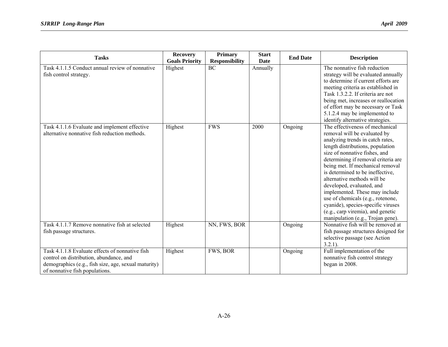| <b>Tasks</b>                                                                                                                                                                         | <b>Recovery</b><br><b>Goals Priority</b> | <b>Primary</b><br><b>Responsibility</b> | <b>Start</b><br>Date | <b>End Date</b> | <b>Description</b>                                                                                                                                                                                                                                                                                                                                                                                                                                                                                                                         |
|--------------------------------------------------------------------------------------------------------------------------------------------------------------------------------------|------------------------------------------|-----------------------------------------|----------------------|-----------------|--------------------------------------------------------------------------------------------------------------------------------------------------------------------------------------------------------------------------------------------------------------------------------------------------------------------------------------------------------------------------------------------------------------------------------------------------------------------------------------------------------------------------------------------|
| Task 4.1.1.5 Conduct annual review of nonnative<br>fish control strategy.                                                                                                            | Highest                                  | <b>BC</b>                               | Annually             |                 | The nonnative fish reduction<br>strategy will be evaluated annually<br>to determine if current efforts are<br>meeting criteria as established in<br>Task 1.3.2.2. If criteria are not<br>being met, increases or reallocation<br>of effort may be necessary or Task<br>5.1.2.4 may be implemented to<br>identify alternative strategies.                                                                                                                                                                                                   |
| Task 4.1.1.6 Evaluate and implement effective<br>alternative nonnative fish reduction methods.                                                                                       | Highest                                  | <b>FWS</b>                              | 2000                 | Ongoing         | The effectiveness of mechanical<br>removal will be evaluated by<br>analyzing trends in catch rates,<br>length distributions, population<br>size of nonnative fishes, and<br>determining if removal criteria are<br>being met. If mechanical removal<br>is determined to be ineffective,<br>alternative methods will be<br>developed, evaluated, and<br>implemented. These may include<br>use of chemicals (e.g., rotenone,<br>cyanide), species-specific viruses<br>(e.g., carp viremia), and genetic<br>manipulation (e.g., Trojan gene). |
| Task 4.1.1.7 Remove nonnative fish at selected<br>fish passage structures.                                                                                                           | Highest                                  | NN, FWS, BOR                            |                      | Ongoing         | Nonnative fish will be removed at<br>fish passage structures designed for<br>selective passage (see Action<br>$3.2.1$ ).                                                                                                                                                                                                                                                                                                                                                                                                                   |
| Task 4.1.1.8 Evaluate effects of nonnative fish<br>control on distribution, abundance, and<br>demographics (e.g., fish size, age, sexual maturity)<br>of nonnative fish populations. | Highest                                  | FWS, BOR                                |                      | Ongoing         | Full implementation of the<br>nonnative fish control strategy<br>began in 2008.                                                                                                                                                                                                                                                                                                                                                                                                                                                            |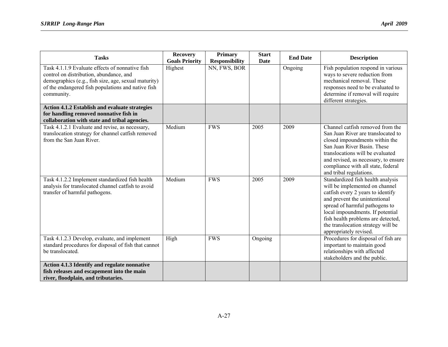| <b>Tasks</b>                                                                                                                                                                                                           | <b>Recovery</b><br><b>Goals Priority</b> | <b>Primary</b><br><b>Responsibility</b> | <b>Start</b><br>Date | <b>End Date</b> | <b>Description</b>                                                                                                                                                                                                                                                                                                    |
|------------------------------------------------------------------------------------------------------------------------------------------------------------------------------------------------------------------------|------------------------------------------|-----------------------------------------|----------------------|-----------------|-----------------------------------------------------------------------------------------------------------------------------------------------------------------------------------------------------------------------------------------------------------------------------------------------------------------------|
| Task 4.1.1.9 Evaluate effects of nonnative fish<br>control on distribution, abundance, and<br>demographics (e.g., fish size, age, sexual maturity)<br>of the endangered fish populations and native fish<br>community. | Highest                                  | NN, FWS, BOR                            |                      | Ongoing         | Fish population respond in various<br>ways to severe reduction from<br>mechanical removal. These<br>responses need to be evaluated to<br>determine if removal will require<br>different strategies.                                                                                                                   |
| Action 4.1.2 Establish and evaluate strategies<br>for handling removed nonnative fish in<br>collaboration with state and tribal agencies.                                                                              |                                          |                                         |                      |                 |                                                                                                                                                                                                                                                                                                                       |
| Task 4.1.2.1 Evaluate and revise, as necessary,<br>translocation strategy for channel catfish removed<br>from the San Juan River.                                                                                      | Medium                                   | <b>FWS</b>                              | 2005                 | 2009            | Channel catfish removed from the<br>San Juan River are translocated to<br>closed impoundments within the<br>San Juan River Basin. These<br>translocations will be evaluated<br>and revised, as necessary, to ensure<br>compliance with all state, federal<br>and tribal regulations.                                  |
| Task 4.1.2.2 Implement standardized fish health<br>analysis for translocated channel catfish to avoid<br>transfer of harmful pathogens.                                                                                | Medium                                   | <b>FWS</b>                              | 2005                 | 2009            | Standardized fish health analysis<br>will be implemented on channel<br>catfish every 2 years to identify<br>and prevent the unintentional<br>spread of harmful pathogens to<br>local impoundments. If potential<br>fish health problems are detected,<br>the translocation strategy will be<br>appropriately revised. |
| Task 4.1.2.3 Develop, evaluate, and implement<br>standard procedures for disposal of fish that cannot<br>be translocated.                                                                                              | High                                     | <b>FWS</b>                              | Ongoing              |                 | Procedures for disposal of fish are<br>important to maintain good<br>relationships with affected<br>stakeholders and the public.                                                                                                                                                                                      |
| Action 4.1.3 Identify and regulate nonnative<br>fish releases and escapement into the main<br>river, floodplain, and tributaries.                                                                                      |                                          |                                         |                      |                 |                                                                                                                                                                                                                                                                                                                       |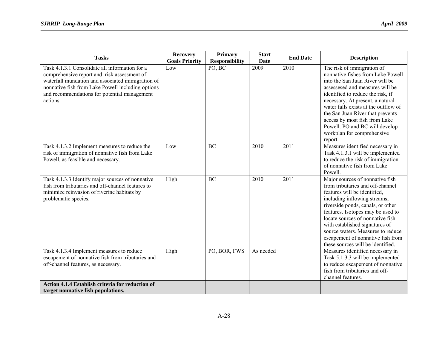| <b>Tasks</b>                                                                                                                                                                                                                                                         | <b>Recovery</b><br><b>Goals Priority</b> | <b>Primary</b><br><b>Responsibility</b> | <b>Start</b><br><b>Date</b> | <b>End Date</b>   | <b>Description</b>                                                                                                                                                                                                                                                                                                                                                                                     |
|----------------------------------------------------------------------------------------------------------------------------------------------------------------------------------------------------------------------------------------------------------------------|------------------------------------------|-----------------------------------------|-----------------------------|-------------------|--------------------------------------------------------------------------------------------------------------------------------------------------------------------------------------------------------------------------------------------------------------------------------------------------------------------------------------------------------------------------------------------------------|
| Task 4.1.3.1 Consolidate all information for a<br>comprehensive report and risk assessment of<br>waterfall inundation and associated immigration of<br>nonnative fish from Lake Powell including options<br>and recommendations for potential management<br>actions. | Low                                      | PO, BC                                  | 2009                        | 2010              | The risk of immigration of<br>nonnative fishes from Lake Powell<br>into the San Juan River will be<br>assessesed and measures will be<br>identified to reduce the risk, if<br>necessary. At present, a natural<br>water falls exists at the outflow of<br>the San Juan River that prevents<br>access by most fish from Lake<br>Powell. PO and BC will develop<br>workplan for comprehensive<br>report. |
| Task 4.1.3.2 Implement measures to reduce the<br>risk of immigration of nonnative fish from Lake<br>Powell, as feasible and necessary.                                                                                                                               | Low                                      | <b>BC</b>                               | 2010                        | $\overline{2011}$ | Measures identified necessary in<br>Task 4.1.3.1 will be implemented<br>to reduce the risk of immigration<br>of nonnative fish from Lake<br>Powell.                                                                                                                                                                                                                                                    |
| Task 4.1.3.3 Identify major sources of nonnative<br>fish from tributaries and off-channel features to<br>minimize reinvasion of riverine habitats by<br>problematic species.                                                                                         | High                                     | <b>BC</b>                               | 2010                        | $\overline{2011}$ | Major sources of nonnative fish<br>from tributaries and off-channel<br>features will be identified,<br>including inflowing streams,<br>riverside ponds, canals, or other<br>features. Isotopes may be used to<br>locate sources of nonnative fish<br>with established signatures of<br>source waters. Measures to reduce<br>escapement of nonnative fish from<br>these sources will be identified.     |
| Task 4.1.3.4 Implement measures to reduce<br>escapement of nonnative fish from tributaries and<br>off-channel features, as necessary.                                                                                                                                | High                                     | PO, BOR, FWS                            | As needed                   |                   | Measures identified necessary in<br>Task 5.1.3.3 will be implemented<br>to reduce escapement of nonnative<br>fish from tributaries and off-<br>channel features.                                                                                                                                                                                                                                       |
| Action 4.1.4 Establish criteria for reduction of<br>target nonnative fish populations.                                                                                                                                                                               |                                          |                                         |                             |                   |                                                                                                                                                                                                                                                                                                                                                                                                        |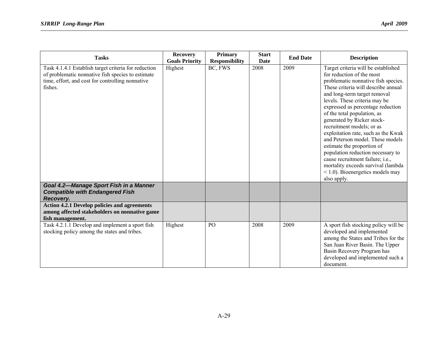| <b>Tasks</b>                                                                                                                                                             | <b>Recovery</b><br><b>Goals Priority</b> | <b>Primary</b><br><b>Responsibility</b> | <b>Start</b><br>Date | <b>End Date</b> | <b>Description</b>                                                                                                                                                                                                                                                                                                                                                                                                                                                                                                                                                                                                           |
|--------------------------------------------------------------------------------------------------------------------------------------------------------------------------|------------------------------------------|-----------------------------------------|----------------------|-----------------|------------------------------------------------------------------------------------------------------------------------------------------------------------------------------------------------------------------------------------------------------------------------------------------------------------------------------------------------------------------------------------------------------------------------------------------------------------------------------------------------------------------------------------------------------------------------------------------------------------------------------|
| Task 4.1.4.1 Establish target criteria for reduction<br>of problematic nonnative fish species to estimate<br>time, effort, and cost for controlling nonnative<br>fishes. | Highest                                  | BC, FWS                                 | 2008                 | 2009            | Target criteria will be established<br>for reduction of the most<br>problematic nonnative fish species.<br>These criteria will describe annual<br>and long-term target removal<br>levels. These criteria may be<br>expressed as percentage reduction<br>of the total population, as<br>generated by Ricker stock-<br>recruitment models; or as<br>exploitation rate, such as the Kwak<br>and Peterson model. These models<br>estimate the proportion of<br>population reduction necessary to<br>cause recruitment failure; i.e.,<br>mortality exceeds survival (lambda<br>$< 1.0$ ). Bioenergetics models may<br>also apply. |
| Goal 4.2-Manage Sport Fish in a Manner<br><b>Compatible with Endangered Fish</b><br>Recovery.                                                                            |                                          |                                         |                      |                 |                                                                                                                                                                                                                                                                                                                                                                                                                                                                                                                                                                                                                              |
| <b>Action 4.2.1 Develop policies and agreements</b><br>among affected stakeholders on nonnative game<br>fish management.                                                 |                                          |                                         |                      |                 |                                                                                                                                                                                                                                                                                                                                                                                                                                                                                                                                                                                                                              |
| Task 4.2.1.1 Develop and implement a sport fish<br>stocking policy among the states and tribes.                                                                          | Highest                                  | PO                                      | 2008                 | 2009            | A sport fish stocking policy will be<br>developed and implemented<br>among the States and Tribes for the<br>San Juan River Basin. The Upper<br>Basin Recovery Program has<br>developed and implemented such a<br>document.                                                                                                                                                                                                                                                                                                                                                                                                   |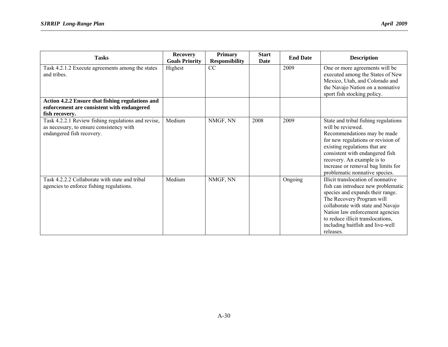| <b>Tasks</b>                                                                                                                 | <b>Recovery</b><br><b>Goals Priority</b> | <b>Primary</b><br><b>Responsibility</b> | <b>Start</b><br><b>Date</b> | <b>End Date</b> | <b>Description</b>                                                                                                                                                                                                                                                                                       |
|------------------------------------------------------------------------------------------------------------------------------|------------------------------------------|-----------------------------------------|-----------------------------|-----------------|----------------------------------------------------------------------------------------------------------------------------------------------------------------------------------------------------------------------------------------------------------------------------------------------------------|
| Task 4.2.1.2 Execute agreements among the states<br>and tribes.                                                              | Highest                                  | CC                                      |                             | 2009            | One or more agreements will be<br>executed among the States of New<br>Mexico, Utah, and Colorado and<br>the Navajo Nation on a nonnative<br>sport fish stocking policy.                                                                                                                                  |
| Action 4.2.2 Ensure that fishing regulations and<br>enforcement are consistent with endangered<br>fish recovery.             |                                          |                                         |                             |                 |                                                                                                                                                                                                                                                                                                          |
| Task 4.2.2.1 Review fishing regulations and revise,<br>as necessary, to ensure consistency with<br>endangered fish recovery. | Medium                                   | NMGF, NN                                | 2008                        | 2009            | State and tribal fishing regulations<br>will be reviewed.<br>Recommendations may be made<br>for new regulations or revision of<br>existing regulations that are<br>consistent with endangered fish<br>recovery. An example is to<br>increase or removal bag limits for<br>problematic nonnative species. |
| Task 4.2.2.2 Collaborate with state and tribal<br>agencies to enforce fishing regulations.                                   | Medium                                   | NMGF, NN                                |                             | Ongoing         | Illicit translocation of nonnative<br>fish can introduce new problematic<br>species and expands their range.<br>The Recovery Program will<br>collaborate with state and Navajo<br>Nation law enforcement agencies<br>to reduce illicit translocations,<br>including baitfish and live-well<br>releases.  |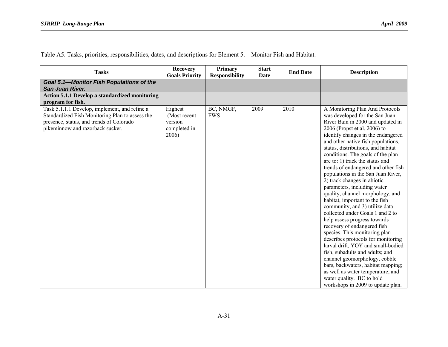Table A5. Tasks, priorities, responsibilities, dates, and descriptions for Element 5.—Monitor Fish and Habitat.

| <b>Tasks</b>                                                                                                                                                                     | <b>Recovery</b><br><b>Goals Priority</b>                    | <b>Primary</b><br><b>Responsibility</b> | <b>Start</b><br><b>Date</b> | <b>End Date</b> | <b>Description</b>                                                                                                                                                                                                                                                                                                                                                                                                                                                                                                                                                                                                                                                                                                                                                                                                                                                                                                                                                                                                   |
|----------------------------------------------------------------------------------------------------------------------------------------------------------------------------------|-------------------------------------------------------------|-----------------------------------------|-----------------------------|-----------------|----------------------------------------------------------------------------------------------------------------------------------------------------------------------------------------------------------------------------------------------------------------------------------------------------------------------------------------------------------------------------------------------------------------------------------------------------------------------------------------------------------------------------------------------------------------------------------------------------------------------------------------------------------------------------------------------------------------------------------------------------------------------------------------------------------------------------------------------------------------------------------------------------------------------------------------------------------------------------------------------------------------------|
| Goal 5.1-Monitor Fish Populations of the<br>San Juan River.                                                                                                                      |                                                             |                                         |                             |                 |                                                                                                                                                                                                                                                                                                                                                                                                                                                                                                                                                                                                                                                                                                                                                                                                                                                                                                                                                                                                                      |
| Action 5.1.1 Develop a standardized monitoring<br>program for fish.                                                                                                              |                                                             |                                         |                             |                 |                                                                                                                                                                                                                                                                                                                                                                                                                                                                                                                                                                                                                                                                                                                                                                                                                                                                                                                                                                                                                      |
| Task 5.1.1.1 Develop, implement, and refine a<br>Standardized Fish Monitoring Plan to assess the<br>presence, status, and trends of Colorado<br>pikeminnow and razorback sucker. | Highest<br>(Most recent<br>version<br>completed in<br>2006) | BC, NMGF,<br><b>FWS</b>                 | 2009                        | 2010            | A Monitoring Plan And Protocols<br>was developed for the San Juan<br>River Bain in 2000 and updated in<br>2006 (Propst et al. 2006) to<br>identify changes in the endangered<br>and other native fish populations,<br>status, distributions, and habitat<br>conditions. The goals of the plan<br>are to: 1) track the status and<br>trends of endangered and other fish<br>populations in the San Juan River,<br>2) track changes in abiotic<br>parameters, including water<br>quality, channel morphology, and<br>habitat, important to the fish<br>community, and 3) utilize data<br>collected under Goals 1 and 2 to<br>help assess progress towards<br>recovery of endangered fish<br>species. This monitoring plan<br>describes protocols for monitoring<br>larval drift, YOY and small-bodied<br>fish, subadults and adults; and<br>channel geomorphology, cobble<br>bars, backwaters, habitat mapping;<br>as well as water temperature, and<br>water quality. BC to hold<br>workshops in 2009 to update plan. |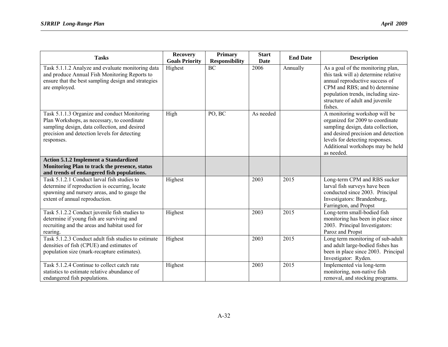| <b>Tasks</b>                                                                                                                                                                                               | <b>Recovery</b><br><b>Goals Priority</b> | <b>Primary</b><br><b>Responsibility</b> | <b>Start</b><br><b>Date</b> | <b>End Date</b> | <b>Description</b>                                                                                                                                                                                                                 |
|------------------------------------------------------------------------------------------------------------------------------------------------------------------------------------------------------------|------------------------------------------|-----------------------------------------|-----------------------------|-----------------|------------------------------------------------------------------------------------------------------------------------------------------------------------------------------------------------------------------------------------|
| Task 5.1.1.2 Analyze and evaluate monitoring data<br>and produce Annual Fish Monitoring Reports to<br>ensure that the best sampling design and strategies<br>are employed.                                 | Highest                                  | $\overline{BC}$                         | 2006                        | Annually        | As a goal of the monitoring plan,<br>this task will a) determine relative<br>annual reproductive success of<br>CPM and RBS; and b) determine<br>population trends, including size-<br>structure of adult and juvenile<br>fishes.   |
| Task 5.1.1.3 Organize and conduct Monitoring<br>Plan Workshops, as necessary, to coordinate<br>sampling design, data collection, and desired<br>precision and detection levels for detecting<br>responses. | High                                     | $\overline{PO, BC}$                     | As needed                   |                 | A monitoring workshop will be<br>organized for 2009 to coordinate<br>sampling design, data collection,<br>and desired precision and detection<br>levels for detecting responses.<br>Additional workshops may be held<br>as needed. |
| <b>Action 5.1.2 Implement a Standardized</b><br>Monitoring Plan to track the presence, status<br>and trends of endangered fish populations.                                                                |                                          |                                         |                             |                 |                                                                                                                                                                                                                                    |
| Task 5.1.2.1 Conduct larval fish studies to<br>determine if reproduction is occurring, locate<br>spawning and nursery areas, and to gauge the<br>extent of annual reproduction.                            | Highest                                  |                                         | 2003                        | 2015            | Long-term CPM and RBS sucker<br>larval fish surveys have been<br>conducted since 2003. Principal<br>Investigators: Brandenburg,<br>Farrington, and Propst                                                                          |
| Task 5.1.2.2 Conduct juvenile fish studies to<br>determine if young fish are surviving and<br>recruiting and the areas and habitat used for<br>rearing.                                                    | Highest                                  |                                         | 2003                        | 2015            | Long-term small-bodied fish<br>monitoring has been in place since<br>2003. Principal Investigators:<br>Paroz and Propst                                                                                                            |
| Task 5.1.2.3 Conduct adult fish studies to estimate<br>densities of fish (CPUE) and estimates of<br>population size (mark-recapture estimates).                                                            | Highest                                  |                                         | 2003                        | 2015            | Long term monitoring of sub-adult<br>and adult large-bodied fishes has<br>been in place since 2003. Principal<br>Investigator: Ryden.                                                                                              |
| Task 5.1.2.4 Continue to collect catch rate<br>statistics to estimate relative abundance of<br>endangered fish populations.                                                                                | Highest                                  |                                         | 2003                        | 2015            | Implemented via long-term<br>monitoring, non-native fish<br>removal, and stocking programs.                                                                                                                                        |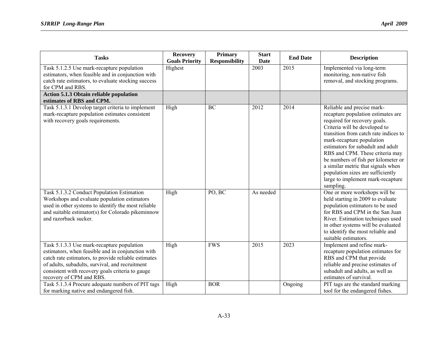| <b>Tasks</b>                                                                                                                                                                                                                                                                               | <b>Recovery</b><br><b>Goals Priority</b> | <b>Primary</b><br><b>Responsibility</b> | <b>Start</b><br><b>Date</b> | <b>End Date</b> | <b>Description</b>                                                                                                                                                                                                                                                                                                                                                                                                                                  |
|--------------------------------------------------------------------------------------------------------------------------------------------------------------------------------------------------------------------------------------------------------------------------------------------|------------------------------------------|-----------------------------------------|-----------------------------|-----------------|-----------------------------------------------------------------------------------------------------------------------------------------------------------------------------------------------------------------------------------------------------------------------------------------------------------------------------------------------------------------------------------------------------------------------------------------------------|
| Task 5.1.2.5 Use mark-recapture population<br>estimators, when feasible and in conjunction with<br>catch rate estimators, to evaluate stocking success<br>for CPM and RBS.                                                                                                                 | Highest                                  |                                         | 2003                        | 2015            | Implemented via long-term<br>monitoring, non-native fish<br>removal, and stocking programs.                                                                                                                                                                                                                                                                                                                                                         |
| <b>Action 5.1.3 Obtain reliable population</b><br>estimates of RBS and CPM.                                                                                                                                                                                                                |                                          |                                         |                             |                 |                                                                                                                                                                                                                                                                                                                                                                                                                                                     |
| Task 5.1.3.1 Develop target criteria to implement<br>mark-recapture population estimates consistent<br>with recovery goals requirements.                                                                                                                                                   | High                                     | BC                                      | 2012                        | 2014            | Reliable and precise mark-<br>recapture population estimates are<br>required for recovery goals.<br>Criteria will be developed to<br>transition from catch rate indices to<br>mark-recapture population<br>estimators for subadult and adult<br>RBS and CPM. These criteria may<br>be numbers of fish per kilometer or<br>a similar metric that signals when<br>population sizes are sufficiently<br>large to implement mark-recapture<br>sampling. |
| Task 5.1.3.2 Conduct Population Estimation<br>Workshops and evaluate population estimators<br>used in other systems to identify the most reliable<br>and suitable estimator(s) for Colorado pikeminnow<br>and razorback sucker.                                                            | High                                     | PO, BC                                  | As needed                   |                 | One or more workshops will be<br>held starting in 2009 to evaluate<br>population estimators to be used<br>for RBS and CPM in the San Juan<br>River. Estimation techniques used<br>in other systems will be evaluated<br>to identify the most reliable and<br>suitable estimators.                                                                                                                                                                   |
| Task 5.1.3.3 Use mark-recapture population<br>estimators, when feasible and in conjunction with<br>catch rate estimators, to provide reliable estimates<br>of adults, subadults, survival, and recruitment<br>consistent with recovery goals criteria to gauge<br>recovery of CPM and RBS. | High                                     | <b>FWS</b>                              | 2015                        | 2023            | Implement and refine mark-<br>recapture population estimates for<br>RBS and CPM that provide<br>reliable and precise estimates of<br>subadult and adults, as well as<br>estimates of survival.                                                                                                                                                                                                                                                      |
| Task 5.1.3.4 Procure adequate numbers of PIT tags<br>for marking native and endangered fish.                                                                                                                                                                                               | High                                     | <b>BOR</b>                              |                             | Ongoing         | PIT tags are the standard marking<br>tool for the endangered fishes.                                                                                                                                                                                                                                                                                                                                                                                |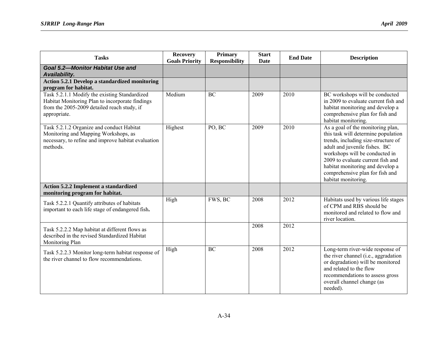| <b>Tasks</b>                                                                                                                                                    | <b>Recovery</b><br><b>Goals Priority</b> | <b>Primary</b><br><b>Responsibility</b> | <b>Start</b><br><b>Date</b> | <b>End Date</b> | <b>Description</b>                                                                                                                                                                                                                                                                                                    |
|-----------------------------------------------------------------------------------------------------------------------------------------------------------------|------------------------------------------|-----------------------------------------|-----------------------------|-----------------|-----------------------------------------------------------------------------------------------------------------------------------------------------------------------------------------------------------------------------------------------------------------------------------------------------------------------|
| <b>Goal 5.2-Monitor Habitat Use and</b><br>Availability.                                                                                                        |                                          |                                         |                             |                 |                                                                                                                                                                                                                                                                                                                       |
| Action 5.2.1 Develop a standardized monitoring<br>program for habitat.                                                                                          |                                          |                                         |                             |                 |                                                                                                                                                                                                                                                                                                                       |
| Task 5.2.1.1 Modify the existing Standardized<br>Habitat Monitoring Plan to incorporate findings<br>from the 2005-2009 detailed reach study, if<br>appropriate. | Medium                                   | BC                                      | 2009                        | 2010            | BC workshops will be conducted<br>in 2009 to evaluate current fish and<br>habitat monitoring and develop a<br>comprehensive plan for fish and<br>habitat monitoring.                                                                                                                                                  |
| Task 5.2.1.2 Organize and conduct Habitat<br>Monitoring and Mapping Workshops, as<br>necessary, to refine and improve habitat evaluation<br>methods.            | Highest                                  | PO, BC                                  | 2009                        | 2010            | As a goal of the monitoring plan,<br>this task will determine population<br>trends, including size-structure of<br>adult and juvenile fishes. BC<br>workshops will be conducted in<br>2009 to evaluate current fish and<br>habitat monitoring and develop a<br>comprehensive plan for fish and<br>habitat monitoring. |
| Action 5.2.2 Implement a standardized<br>monitoring program for habitat.                                                                                        |                                          |                                         |                             |                 |                                                                                                                                                                                                                                                                                                                       |
| Task 5.2.2.1 Quantify attributes of habitats<br>important to each life stage of endangered fish.                                                                | High                                     | FWS, BC                                 | 2008                        | 2012            | Habitats used by various life stages<br>of CPM and RBS should be<br>monitored and related to flow and<br>river location.                                                                                                                                                                                              |
| Task 5.2.2.2 Map habitat at different flows as<br>described in the revised Standardized Habitat<br>Monitoring Plan                                              |                                          |                                         | 2008                        | 2012            |                                                                                                                                                                                                                                                                                                                       |
| Task 5.2.2.3 Monitor long-term habitat response of<br>the river channel to flow recommendations.                                                                | High                                     | <b>BC</b>                               | 2008                        | 2012            | Long-term river-wide response of<br>the river channel (i.e., aggradation<br>or degradation) will be monitored<br>and related to the flow<br>recommendations to assess gross<br>overall channel change (as<br>needed).                                                                                                 |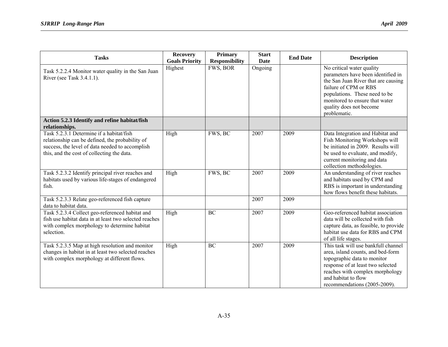| <b>Tasks</b>                                                                                                                                                                                 | <b>Recovery</b><br><b>Goals Priority</b> | <b>Primary</b><br><b>Responsibility</b> | <b>Start</b><br><b>Date</b> | <b>End Date</b> | <b>Description</b>                                                                                                                                                                                                                            |
|----------------------------------------------------------------------------------------------------------------------------------------------------------------------------------------------|------------------------------------------|-----------------------------------------|-----------------------------|-----------------|-----------------------------------------------------------------------------------------------------------------------------------------------------------------------------------------------------------------------------------------------|
| Task 5.2.2.4 Monitor water quality in the San Juan<br>River (see Task 3.4.1.1).                                                                                                              | Highest                                  | FWS, BOR                                | Ongoing                     |                 | No critical water quality<br>parameters have been identified in<br>the San Juan River that are causing<br>failure of CPM or RBS<br>populations. These need to be<br>monitored to ensure that water<br>quality does not become<br>problematic. |
| Action 5.2.3 Identify and refine habitat/fish<br>relationships.                                                                                                                              |                                          |                                         |                             |                 |                                                                                                                                                                                                                                               |
| Task 5.2.3.1 Determine if a habitat/fish<br>relationship can be defined, the probability of<br>success, the level of data needed to accomplish<br>this, and the cost of collecting the data. | High                                     | FWS, BC                                 | 2007                        | 2009            | Data Integration and Habitat and<br>Fish Monitoring Workshops will<br>be initiated in 2009. Results will<br>be used to evaluate, and modify,<br>current monitoring and data<br>collection methodologies.                                      |
| Task 5.2.3.2 Identify principal river reaches and<br>habitats used by various life-stages of endangered<br>fish.                                                                             | High                                     | FWS, BC                                 | 2007                        | 2009            | An understanding of river reaches<br>and habitats used by CPM and<br>RBS is important in understanding<br>how flows benefit these habitats.                                                                                                   |
| Task 5.2.3.3 Relate geo-referenced fish capture<br>data to habitat data.                                                                                                                     |                                          |                                         | 2007                        | 2009            |                                                                                                                                                                                                                                               |
| Task 5.2.3.4 Collect geo-referenced habitat and<br>fish use habitat data in at least two selected reaches<br>with complex morphology to determine habitat<br>selection.                      | High                                     | BC                                      | 2007                        | 2009            | Geo-referenced habitat association<br>data will be collected with fish<br>capture data, as feasible, to provide<br>habitat use data for RBS and CPM<br>of all life stages.                                                                    |
| Task 5.2.3.5 Map at high resolution and monitor<br>changes in habitat in at least two selected reaches<br>with complex morphology at different flows.                                        | High                                     | <b>BC</b>                               | 2007                        | 2009            | This task will use bankfull channel<br>area, island counts, and bed-form<br>topographic data to monitor<br>response of at least two selected<br>reaches with complex morphology<br>and habitat to flow<br>recommendations (2005-2009).        |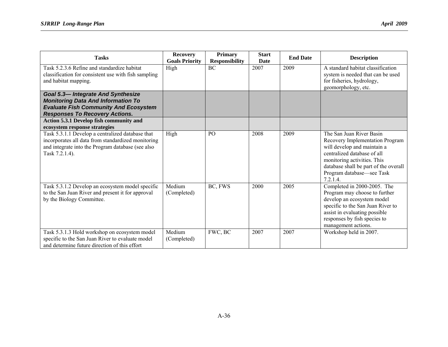| <b>Tasks</b>                                                                                                                                                                   | <b>Recovery</b>       | <b>Primary</b>        | <b>Start</b> | <b>End Date</b> | <b>Description</b>                                                                                                                                                                                                                        |
|--------------------------------------------------------------------------------------------------------------------------------------------------------------------------------|-----------------------|-----------------------|--------------|-----------------|-------------------------------------------------------------------------------------------------------------------------------------------------------------------------------------------------------------------------------------------|
|                                                                                                                                                                                | <b>Goals Priority</b> | <b>Responsibility</b> | <b>Date</b>  |                 |                                                                                                                                                                                                                                           |
| Task 5.2.3.6 Refine and standardize habitat<br>classification for consistent use with fish sampling<br>and habitat mapping.                                                    | High                  | <b>BC</b>             | 2007         | 2009            | A standard habitat classification<br>system is needed that can be used<br>for fisheries, hydrology,<br>geomorphology, etc.                                                                                                                |
| <b>Goal 5.3-Integrate And Synthesize</b><br><b>Monitoring Data And Information To</b><br><b>Evaluate Fish Community And Ecosystem</b><br><b>Responses To Recovery Actions.</b> |                       |                       |              |                 |                                                                                                                                                                                                                                           |
| Action 5.3.1 Develop fish community and<br>ecosystem response strategies                                                                                                       |                       |                       |              |                 |                                                                                                                                                                                                                                           |
| Task 5.3.1.1 Develop a centralized database that<br>incorporates all data from standardized monitoring<br>and integrate into the Program database (see also<br>Task 7.2.1.4).  | High                  | PO                    | 2008         | 2009            | The San Juan River Basin<br>Recovery Implementation Program<br>will develop and maintain a<br>centralized database of all<br>monitoring activities. This<br>database shall be part of the overall<br>Program database-see Task<br>7.2.1.4 |
| Task 5.3.1.2 Develop an ecosystem model specific<br>to the San Juan River and present it for approval<br>by the Biology Committee.                                             | Medium<br>(Completed) | BC, FWS               | 2000         | 2005            | Completed in 2000-2005. The<br>Program may choose to further<br>develop an ecosystem model<br>specific to the San Juan River to<br>assist in evaluating possible<br>responses by fish species to<br>management actions.                   |
| Task 5.3.1.3 Hold workshop on ecosystem model<br>specific to the San Juan River to evaluate model<br>and determine future direction of this effort                             | Medium<br>(Completed) | FWC, BC               | 2007         | 2007            | Workshop held in 2007.                                                                                                                                                                                                                    |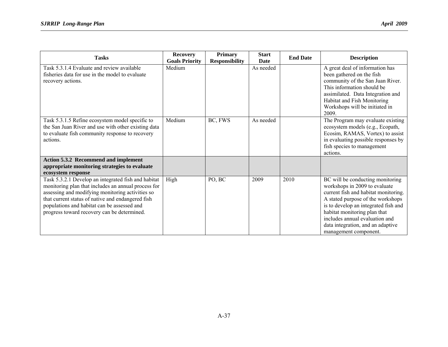| <b>Tasks</b>                                                                                                                                                                                                                                                                                                      | <b>Recovery</b><br><b>Goals Priority</b> | <b>Primary</b><br><b>Responsibility</b> | <b>Start</b><br>Date | <b>End Date</b> | <b>Description</b>                                                                                                                                                                                                                                                                                                     |
|-------------------------------------------------------------------------------------------------------------------------------------------------------------------------------------------------------------------------------------------------------------------------------------------------------------------|------------------------------------------|-----------------------------------------|----------------------|-----------------|------------------------------------------------------------------------------------------------------------------------------------------------------------------------------------------------------------------------------------------------------------------------------------------------------------------------|
| Task 5.3.1.4 Evaluate and review available<br>fisheries data for use in the model to evaluate<br>recovery actions.                                                                                                                                                                                                | Medium                                   |                                         | As needed            |                 | A great deal of information has<br>been gathered on the fish<br>community of the San Juan River.<br>This information should be<br>assimilated. Data Integration and<br>Habitat and Fish Monitoring<br>Workshops will be initiated in<br>2009.                                                                          |
| Task 5.3.1.5 Refine ecosystem model specific to<br>the San Juan River and use with other existing data<br>to evaluate fish community response to recovery<br>actions.                                                                                                                                             | Medium                                   | BC, FWS                                 | As needed            |                 | The Program may evaluate existing<br>ecosystem models (e.g., Ecopath,<br>Ecosim, RAMAS, Vortex) to assist<br>in evaluating possible responses by<br>fish species to management<br>actions.                                                                                                                             |
| <b>Action 5.3.2 Recommend and implement</b><br>appropriate monitoring strategies to evaluate<br>ecosystem response                                                                                                                                                                                                |                                          |                                         |                      |                 |                                                                                                                                                                                                                                                                                                                        |
| Task 5.3.2.1 Develop an integrated fish and habitat<br>monitoring plan that includes an annual process for<br>assessing and modifying monitoring activities so<br>that current status of native and endangered fish<br>populations and habitat can be assessed and<br>progress toward recovery can be determined. | High                                     | PO, BC                                  | 2009                 | 2010            | BC will be conducting monitoring<br>workshops in 2009 to evaluate<br>current fish and habitat monitoring.<br>A stated purpose of the workshops<br>is to develop an integrated fish and<br>habitat monitoring plan that<br>includes annual evaluation and<br>data integration, and an adaptive<br>management component. |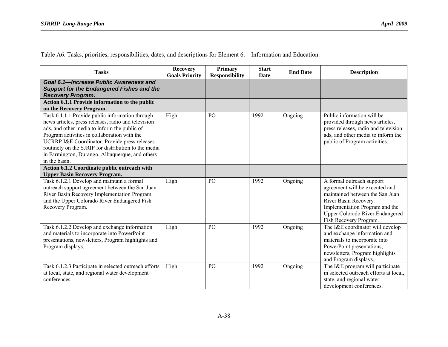Table A6. Tasks, priorities, responsibilities, dates, and descriptions for Element 6.—Information and Education.

| <b>Tasks</b>                                                                                                                                                                                                                                                                                                                                                                        | <b>Recovery</b><br><b>Goals Priority</b> | <b>Primary</b><br><b>Responsibility</b> | <b>Start</b><br><b>Date</b> | <b>End Date</b> | <b>Description</b>                                                                                                                                                                                                                  |
|-------------------------------------------------------------------------------------------------------------------------------------------------------------------------------------------------------------------------------------------------------------------------------------------------------------------------------------------------------------------------------------|------------------------------------------|-----------------------------------------|-----------------------------|-----------------|-------------------------------------------------------------------------------------------------------------------------------------------------------------------------------------------------------------------------------------|
| Goal 6.1-Increase Public Awareness and<br><b>Support for the Endangered Fishes and the</b><br><b>Recovery Program.</b>                                                                                                                                                                                                                                                              |                                          |                                         |                             |                 |                                                                                                                                                                                                                                     |
| Action 6.1.1 Provide information to the public<br>on the Recovery Program.                                                                                                                                                                                                                                                                                                          |                                          |                                         |                             |                 |                                                                                                                                                                                                                                     |
| Task 6.1.1.1 Provide public information through<br>news articles, press releases, radio and television<br>ads, and other media to inform the public of<br>Program activities in collaboration with the<br>UCRRP I&E Coordinator. Provide press releases<br>routinely on the SJRIP for distribution to the media<br>in Farmington, Durango, Albuquerque, and others<br>in the basin. | High                                     | PO                                      | 1992                        | Ongoing         | Public information will be<br>provided through news articles,<br>press releases, radio and television<br>ads, and other media to inform the<br>public of Program activities.                                                        |
| Action 6.1.2 Coordinate public outreach with<br><b>Upper Basin Recovery Program.</b>                                                                                                                                                                                                                                                                                                |                                          |                                         |                             |                 |                                                                                                                                                                                                                                     |
| Task 6.1.2.1 Develop and maintain a formal<br>outreach support agreement between the San Juan<br>River Basin Recovery Implementation Program<br>and the Upper Colorado River Endangered Fish<br>Recovery Program.                                                                                                                                                                   | High                                     | PO                                      | 1992                        | Ongoing         | A formal outreach support<br>agreement will be executed and<br>maintained between the San Juan<br><b>River Basin Recovery</b><br>Implementation Program and the<br><b>Upper Colorado River Endangered</b><br>Fish Recovery Program. |
| Task 6.1.2.2 Develop and exchange information<br>and materials to incorporate into PowerPoint<br>presentations, newsletters, Program highlights and<br>Program displays.                                                                                                                                                                                                            | High                                     | PO                                      | 1992                        | Ongoing         | The I&E coordinator will develop<br>and exchange information and<br>materials to incorporate into<br>PowerPoint presentations,<br>newsletters, Program highlights<br>and Program displays.                                          |
| Task 6.1.2.3 Participate in selected outreach efforts<br>at local, state, and regional water development<br>conferences.                                                                                                                                                                                                                                                            | High                                     | PO                                      | 1992                        | Ongoing         | The I&E program will participate<br>in selected outreach efforts at local,<br>state, and regional water<br>development conferences.                                                                                                 |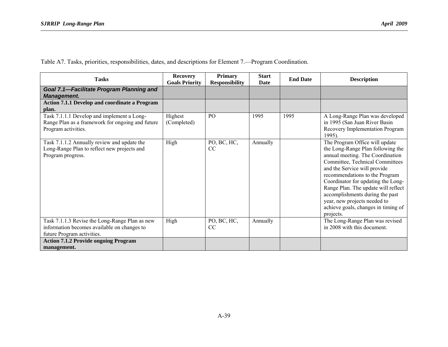Table A7. Tasks, priorities, responsibilities, dates, and descriptions for Element 7.—Program Coordination.

| <b>Tasks</b>                                                                                                                | <b>Recovery</b><br><b>Goals Priority</b> | <b>Primary</b><br><b>Responsibility</b> | <b>Start</b><br>Date | <b>End Date</b> | <b>Description</b>                                                                                                                                                                                                                                                                                                                                                                                               |
|-----------------------------------------------------------------------------------------------------------------------------|------------------------------------------|-----------------------------------------|----------------------|-----------------|------------------------------------------------------------------------------------------------------------------------------------------------------------------------------------------------------------------------------------------------------------------------------------------------------------------------------------------------------------------------------------------------------------------|
| Goal 7.1-Facilitate Program Planning and<br><b>Management.</b>                                                              |                                          |                                         |                      |                 |                                                                                                                                                                                                                                                                                                                                                                                                                  |
| Action 7.1.1 Develop and coordinate a Program<br>plan.                                                                      |                                          |                                         |                      |                 |                                                                                                                                                                                                                                                                                                                                                                                                                  |
| Task 7.1.1.1 Develop and implement a Long-<br>Range Plan as a framework for ongoing and future<br>Program activities.       | Highest<br>(Completed)                   | P <sub>O</sub>                          | 1995                 | 1995            | A Long-Range Plan was developed<br>in 1995 (San Juan River Basin<br>Recovery Implementation Program<br>1995).                                                                                                                                                                                                                                                                                                    |
| Task 7.1.1.2 Annually review and update the<br>Long-Range Plan to reflect new projects and<br>Program progress.             | High                                     | PO, BC, HC,<br><sub>CC</sub>            | Annually             |                 | The Program Office will update<br>the Long-Range Plan following the<br>annual meeting. The Coordination<br>Committee, Technical Committees<br>and the Service will provide<br>recommendations to the Program<br>Coordinator for updating the Long-<br>Range Plan. The update will reflect<br>accomplishments during the past<br>year, new projects needed to<br>achieve goals, changes in timing of<br>projects. |
| Task 7.1.1.3 Revise the Long-Range Plan as new<br>information becomes available on changes to<br>future Program activities. | High                                     | PO, BC, HC,<br>CC                       | Annually             |                 | The Long-Range Plan was revised<br>in 2008 with this document.                                                                                                                                                                                                                                                                                                                                                   |
| <b>Action 7.1.2 Provide ongoing Program</b><br>management.                                                                  |                                          |                                         |                      |                 |                                                                                                                                                                                                                                                                                                                                                                                                                  |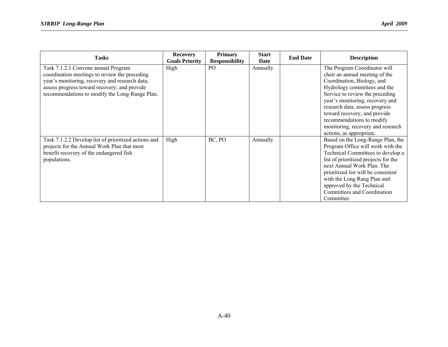| <b>Tasks</b>                                                                                                                                                                                                                             | <b>Recovery</b><br><b>Goals Priority</b> | <b>Primary</b><br><b>Responsibility</b> | <b>Start</b><br>Date | <b>End Date</b> | <b>Description</b>                                                                                                                                                                                                                                                                                                                                                 |
|------------------------------------------------------------------------------------------------------------------------------------------------------------------------------------------------------------------------------------------|------------------------------------------|-----------------------------------------|----------------------|-----------------|--------------------------------------------------------------------------------------------------------------------------------------------------------------------------------------------------------------------------------------------------------------------------------------------------------------------------------------------------------------------|
| Task 7.1.2.1 Convene annual Program<br>coordination meetings to review the preceding<br>year's monitoring, recovery and research data;<br>assess progress toward recovery; and provide<br>recommendations to modify the Long-Range Plan. | High                                     | P <sub>O</sub>                          | Annually             |                 | The Program Coordinator will<br>chair an annual meeting of the<br>Coordination, Biology, and<br>Hydrology committees and the<br>Service to review the preceding<br>year's monitoring, recovery and<br>research data, assess progress<br>toward recovery, and provide<br>recommendations to modify<br>monitoring, recovery and research<br>actions, as appropriate. |
| Task 7.1.2.2 Develop list of prioritized actions and<br>projects for the Annual Work Plan that most<br>benefit recovery of the endangered fish<br>populations.                                                                           | High                                     | BC, PO                                  | Annually             |                 | Based on the Long-Range Plan, the<br>Program Office will work with the<br>Technical Committees to develop a<br>list of prioritized projects for the<br>next Annual Work Plan. The<br>prioritized list will be consistent<br>with the Long Rang Plan and<br>approved by the Technical<br>Committees and Coordination<br>Committee.                                  |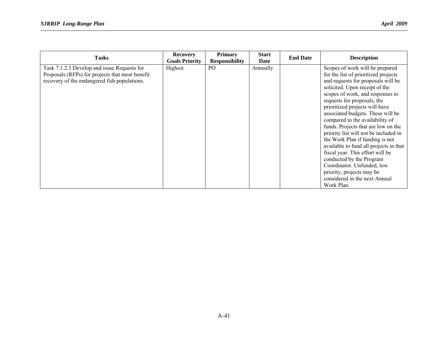| <b>Tasks</b>                                                                                                                                   | <b>Recovery</b><br><b>Goals Priority</b> | <b>Primary</b><br><b>Responsibility</b> | <b>Start</b><br>Date | <b>End Date</b> | <b>Description</b>                                                                                                                                                                                                                                                                                                                                                                                                                                                                                                                                                                                                                                                  |
|------------------------------------------------------------------------------------------------------------------------------------------------|------------------------------------------|-----------------------------------------|----------------------|-----------------|---------------------------------------------------------------------------------------------------------------------------------------------------------------------------------------------------------------------------------------------------------------------------------------------------------------------------------------------------------------------------------------------------------------------------------------------------------------------------------------------------------------------------------------------------------------------------------------------------------------------------------------------------------------------|
| Task 7.1.2.3 Develop and issue Requests for<br>Proposals (RFPs) for projects that most benefit<br>recovery of the endangered fish populations. | Highest                                  | P <sub>O</sub>                          | Annually             |                 | Scopes of work will be prepared<br>for the list of prioritized projects<br>and requests for proposals will be<br>solicited. Upon receipt of the<br>scopes of work, and responses to<br>requests for proposals, the<br>prioritized projects will have<br>associated budgets. These will be<br>compared to the availability of<br>funds. Projects that are low on the<br>priority list will not be included in<br>the Work Plan if funding is not<br>available to fund all projects in that<br>fiscal year. This effort will be<br>conducted by the Program<br>Coordinator. Unfunded, low<br>priority, projects may be<br>considered in the next Annual<br>Work Plan. |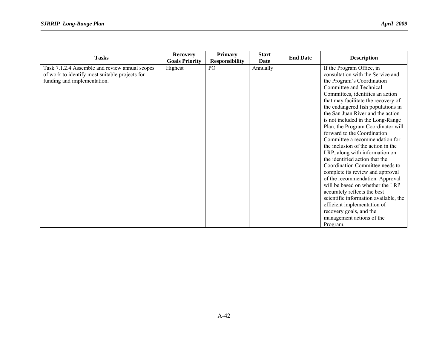| <b>Tasks</b>                                                                                                                    | <b>Recovery</b><br><b>Goals Priority</b> | <b>Primary</b>                           | <b>Start</b><br><b>Date</b> | <b>End Date</b> | <b>Description</b>                                                                                                                                                                                                                                                                                                                                                                                                                                                                                                                                                                                                                                                                                                                                                                                                                                            |
|---------------------------------------------------------------------------------------------------------------------------------|------------------------------------------|------------------------------------------|-----------------------------|-----------------|---------------------------------------------------------------------------------------------------------------------------------------------------------------------------------------------------------------------------------------------------------------------------------------------------------------------------------------------------------------------------------------------------------------------------------------------------------------------------------------------------------------------------------------------------------------------------------------------------------------------------------------------------------------------------------------------------------------------------------------------------------------------------------------------------------------------------------------------------------------|
| Task 7.1.2.4 Assemble and review annual scopes<br>of work to identify most suitable projects for<br>funding and implementation. | Highest                                  | <b>Responsibility</b><br>PO <sub>1</sub> | Annually                    |                 | If the Program Office, in<br>consultation with the Service and<br>the Program's Coordination<br>Committee and Technical<br>Committees, identifies an action<br>that may facilitate the recovery of<br>the endangered fish populations in<br>the San Juan River and the action<br>is not included in the Long-Range<br>Plan, the Program Coordinator will<br>forward to the Coordination<br>Committee a recommendation for<br>the inclusion of the action in the<br>LRP, along with information on<br>the identified action that the<br>Coordination Committee needs to<br>complete its review and approval<br>of the recommendation. Approval<br>will be based on whether the LRP<br>accurately reflects the best<br>scientific information available, the<br>efficient implementation of<br>recovery goals, and the<br>management actions of the<br>Program. |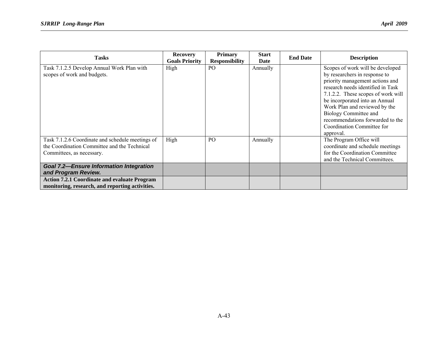| <b>Tasks</b>                                                                                                                  | <b>Recovery</b><br><b>Goals Priority</b> | <b>Primary</b><br><b>Responsibility</b> | <b>Start</b><br>Date | <b>End Date</b> | <b>Description</b>                                                                                                                                                                                                                                                                                                                                         |
|-------------------------------------------------------------------------------------------------------------------------------|------------------------------------------|-----------------------------------------|----------------------|-----------------|------------------------------------------------------------------------------------------------------------------------------------------------------------------------------------------------------------------------------------------------------------------------------------------------------------------------------------------------------------|
| Task 7.1.2.5 Develop Annual Work Plan with<br>scopes of work and budgets.                                                     | High                                     | P <sub>O</sub>                          | Annually             |                 | Scopes of work will be developed<br>by researchers in response to<br>priority management actions and<br>research needs identified in Task<br>7.1.2.2. These scopes of work will<br>be incorporated into an Annual<br>Work Plan and reviewed by the<br>Biology Committee and<br>recommendations forwarded to the<br>Coordination Committee for<br>approval. |
| Task 7.1.2.6 Coordinate and schedule meetings of<br>the Coordination Committee and the Technical<br>Committees, as necessary. | High                                     | P <sub>O</sub>                          | Annually             |                 | The Program Office will<br>coordinate and schedule meetings<br>for the Coordination Committee<br>and the Technical Committees.                                                                                                                                                                                                                             |
| <b>Goal 7.2-Ensure Information Integration</b><br>and Program Review.                                                         |                                          |                                         |                      |                 |                                                                                                                                                                                                                                                                                                                                                            |
| <b>Action 7.2.1 Coordinate and evaluate Program</b><br>monitoring, research, and reporting activities.                        |                                          |                                         |                      |                 |                                                                                                                                                                                                                                                                                                                                                            |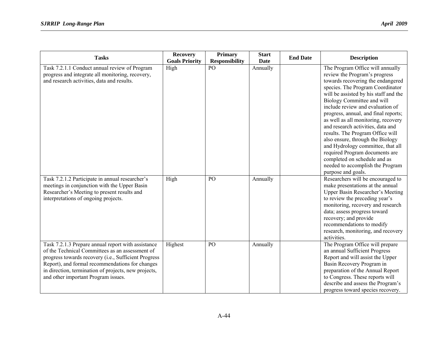| <b>Tasks</b>                                                                                                                                                                                                                                                                                                    | <b>Recovery</b><br><b>Goals Priority</b> | <b>Primary</b><br><b>Responsibility</b> | <b>Start</b><br><b>Date</b> | <b>End Date</b> | <b>Description</b>                                                                                                                                                                                                                                                                                                                                                                                                                                                                                                                                                                                                 |
|-----------------------------------------------------------------------------------------------------------------------------------------------------------------------------------------------------------------------------------------------------------------------------------------------------------------|------------------------------------------|-----------------------------------------|-----------------------------|-----------------|--------------------------------------------------------------------------------------------------------------------------------------------------------------------------------------------------------------------------------------------------------------------------------------------------------------------------------------------------------------------------------------------------------------------------------------------------------------------------------------------------------------------------------------------------------------------------------------------------------------------|
| Task 7.2.1.1 Conduct annual review of Program<br>progress and integrate all monitoring, recovery,<br>and research activities, data and results.                                                                                                                                                                 | High                                     | $\overline{P}$                          | Annually                    |                 | The Program Office will annually<br>review the Program's progress<br>towards recovering the endangered<br>species. The Program Coordinator<br>will be assisted by his staff and the<br>Biology Committee and will<br>include review and evaluation of<br>progress, annual, and final reports;<br>as well as all monitoring, recovery<br>and research activities, data and<br>results. The Program Office will<br>also ensure, through the Biology<br>and Hydrology committee, that all<br>required Program documents are<br>completed on schedule and as<br>needed to accomplish the Program<br>purpose and goals. |
| Task 7.2.1.2 Participate in annual researcher's<br>meetings in conjunction with the Upper Basin<br>Researcher's Meeting to present results and<br>interpretations of ongoing projects.                                                                                                                          | High                                     | PO                                      | Annually                    |                 | Researchers will be encouraged to<br>make presentations at the annual<br><b>Upper Basin Researcher's Meeting</b><br>to review the preceding year's<br>monitoring, recovery and research<br>data; assess progress toward<br>recovery; and provide<br>recommendations to modify<br>research, monitoring, and recovery<br>activities.                                                                                                                                                                                                                                                                                 |
| Task 7.2.1.3 Prepare annual report with assistance<br>of the Technical Committees as an assessment of<br>progress towards recovery (i.e., Sufficient Progress<br>Report), and formal recommendations for changes<br>in direction, termination of projects, new projects,<br>and other important Program issues. | Highest                                  | PO                                      | Annually                    |                 | The Program Office will prepare<br>an annual Sufficient Progress<br>Report and will assist the Upper<br>Basin Recovery Program in<br>preparation of the Annual Report<br>to Congress. These reports will<br>describe and assess the Program's<br>progress toward species recovery.                                                                                                                                                                                                                                                                                                                                 |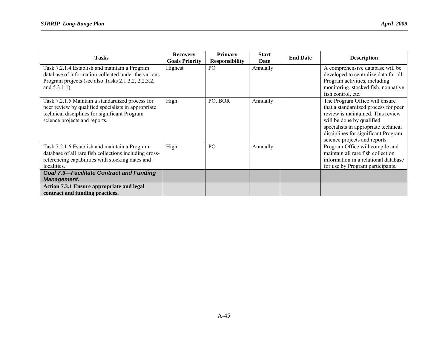| <b>Tasks</b>                                                                                                                                                                              | <b>Recovery</b><br><b>Goals Priority</b> | <b>Primary</b><br><b>Responsibility</b> | <b>Start</b><br>Date | <b>End Date</b> | <b>Description</b>                                                                                                                                                                                                                                       |
|-------------------------------------------------------------------------------------------------------------------------------------------------------------------------------------------|------------------------------------------|-----------------------------------------|----------------------|-----------------|----------------------------------------------------------------------------------------------------------------------------------------------------------------------------------------------------------------------------------------------------------|
| Task 7.2.1.4 Establish and maintain a Program<br>database of information collected under the various<br>Program projects (see also Tasks 2.1.3.2, 2.2.3.2,<br>and $5.3.1.1$ ).            | Highest                                  | P <sub>O</sub>                          | Annually             |                 | A comprehensive database will be<br>developed to centralize data for all<br>Program activities, including<br>monitoring, stocked fish, nonnative<br>fish control, etc.                                                                                   |
| Task 7.2.1.5 Maintain a standardized process for<br>peer review by qualified specialists in appropriate<br>technical disciplines for significant Program<br>science projects and reports. | High                                     | PO, BOR                                 | Annually             |                 | The Program Office will ensure<br>that a standardized process for peer<br>review is maintained. This review<br>will be done by qualified<br>specialists in appropriate technical<br>disciplines for significant Program<br>science projects and reports. |
| Task 7.2.1.6 Establish and maintain a Program<br>database of all rare fish collections including cross-<br>referencing capabilities with stocking dates and<br>localities.                | High                                     | PO                                      | Annually             |                 | Program Office will compile and<br>maintain all rare fish collection<br>information in a relational database<br>for use by Program participants.                                                                                                         |
| <b>Goal 7.3-Facilitate Contract and Funding</b><br><b>Management.</b>                                                                                                                     |                                          |                                         |                      |                 |                                                                                                                                                                                                                                                          |
| <b>Action 7.3.1 Ensure appropriate and legal</b><br>contract and funding practices.                                                                                                       |                                          |                                         |                      |                 |                                                                                                                                                                                                                                                          |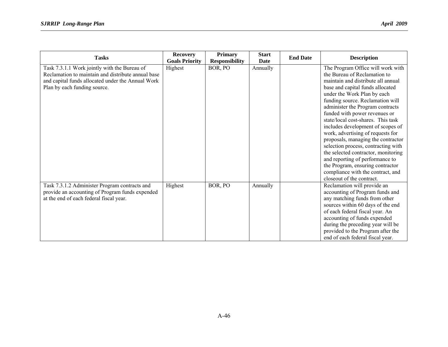| <b>Tasks</b>                                                                                                                                                                            | <b>Recovery</b><br><b>Goals Priority</b> | <b>Primary</b><br><b>Responsibility</b> | <b>Start</b><br>Date | <b>End Date</b> | <b>Description</b>                                                                                                                                                                                                                                                                                                                                                                                                                                                                                                                                                                                                                                               |
|-----------------------------------------------------------------------------------------------------------------------------------------------------------------------------------------|------------------------------------------|-----------------------------------------|----------------------|-----------------|------------------------------------------------------------------------------------------------------------------------------------------------------------------------------------------------------------------------------------------------------------------------------------------------------------------------------------------------------------------------------------------------------------------------------------------------------------------------------------------------------------------------------------------------------------------------------------------------------------------------------------------------------------------|
| Task 7.3.1.1 Work jointly with the Bureau of<br>Reclamation to maintain and distribute annual base<br>and capital funds allocated under the Annual Work<br>Plan by each funding source. | Highest                                  | BOR, PO                                 | Annually             |                 | The Program Office will work with<br>the Bureau of Reclamation to<br>maintain and distribute all annual<br>base and capital funds allocated<br>under the Work Plan by each<br>funding source. Reclamation will<br>administer the Program contracts<br>funded with power revenues or<br>state/local cost-shares. This task<br>includes development of scopes of<br>work, advertising of requests for<br>proposals, managing the contractor<br>selection process, contracting with<br>the selected contractor, monitoring<br>and reporting of performance to<br>the Program, ensuring contractor<br>compliance with the contract, and<br>closeout of the contract. |
| Task 7.3.1.2 Administer Program contracts and<br>provide an accounting of Program funds expended<br>at the end of each federal fiscal year.                                             | Highest                                  | BOR, PO                                 | Annually             |                 | Reclamation will provide an<br>accounting of Program funds and<br>any matching funds from other<br>sources within 60 days of the end<br>of each federal fiscal year. An<br>accounting of funds expended<br>during the preceding year will be<br>provided to the Program after the<br>end of each federal fiscal year.                                                                                                                                                                                                                                                                                                                                            |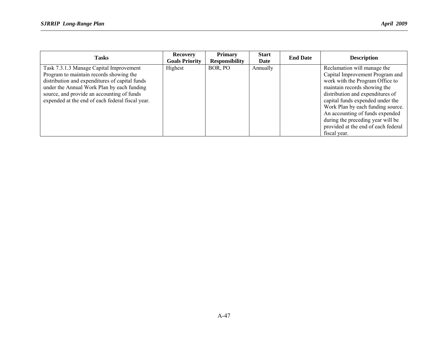| <b>Tasks</b>                                                                                                                                                                       | <b>Recovery</b><br><b>Goals Priority</b> | <b>Primary</b><br><b>Responsibility</b> | <b>Start</b><br>Date | <b>End Date</b> | <b>Description</b>                                                                                                                                                                                                                       |
|------------------------------------------------------------------------------------------------------------------------------------------------------------------------------------|------------------------------------------|-----------------------------------------|----------------------|-----------------|------------------------------------------------------------------------------------------------------------------------------------------------------------------------------------------------------------------------------------------|
| Task 7.3.1.3 Manage Capital Improvement<br>Program to maintain records showing the<br>distribution and expenditures of capital funds<br>under the Annual Work Plan by each funding | Highest                                  | BOR, PO                                 | Annually             |                 | Reclamation will manage the<br>Capital Improvement Program and<br>work with the Program Office to<br>maintain records showing the                                                                                                        |
| source, and provide an accounting of funds<br>expended at the end of each federal fiscal year.                                                                                     |                                          |                                         |                      |                 | distribution and expenditures of<br>capital funds expended under the<br>Work Plan by each funding source.<br>An accounting of funds expended<br>during the preceding year will be<br>provided at the end of each federal<br>fiscal year. |